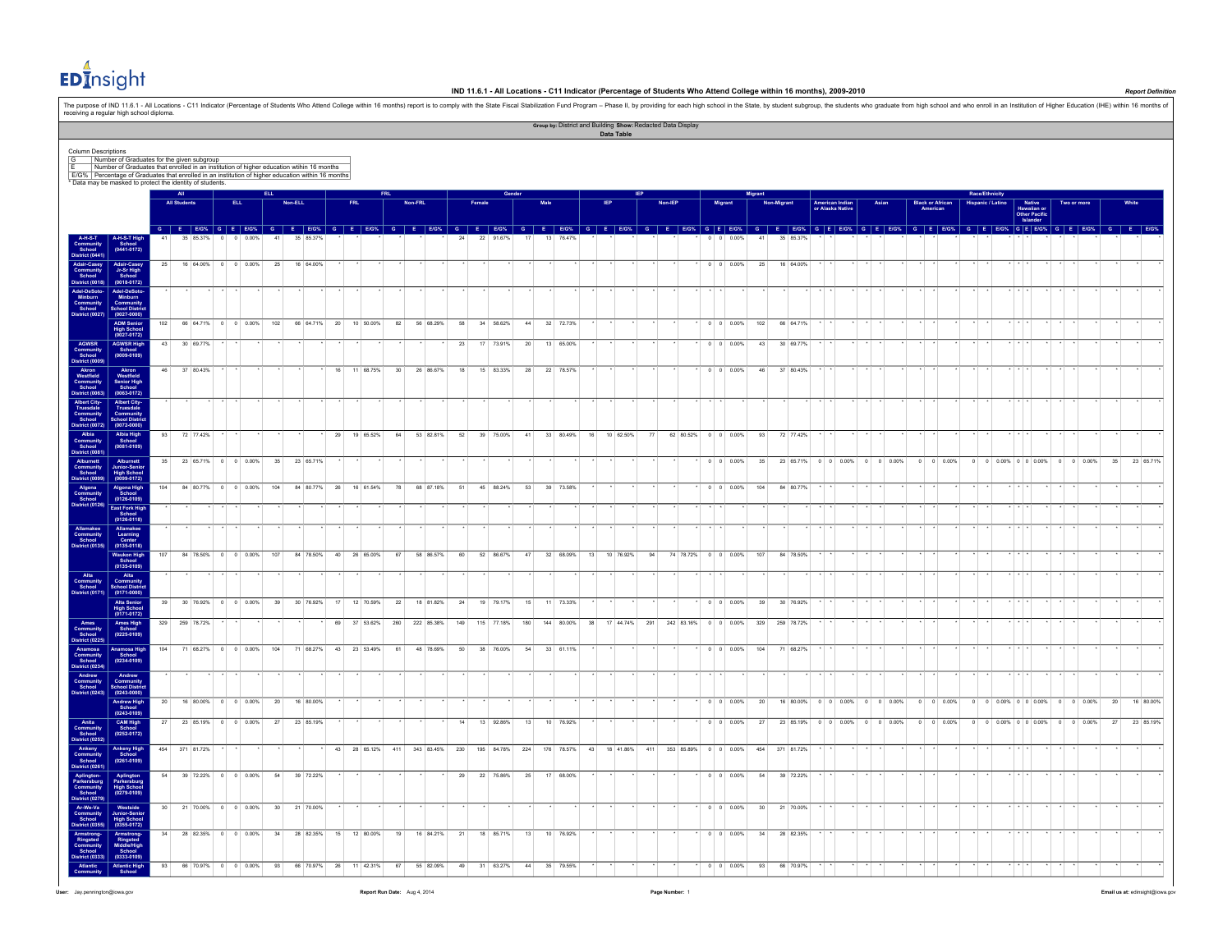**ED**Insight

The purpose of IND 11.6.1 - All Locations - C11 Indicator (Percentage of Students Who Attend College within 16 months) report is to comply with the State Fiscal Stabilization Fund Program - Phase II, by providing for each receiving a regular high school diploma. **Group by:** District and Building **Show:** Redacted Data Display **Data Table** Column Descriptions<br>| G | Number of Graduates for the given subgroup<br>| E | Number of Graduates that enrolled in an institution of higher education within 16 months<br>| E/G% | Percentage of Graduates that enrolled in an insti \* Data may be masked to protect the identity of students. **All ELL FRL Gender IEP Migrant Race/Ethnicity All Students ELL Non-ELL FRL Non-FRL Female Male IEP Non-IEP Migrant Non-Migrant American Indian or Alaska Native Asian Black or African American Hispanic / Latino Native Hawaiian or Other Pacific Islander Two or more White** G E BOX G E BOX G E BOX G E BOX G E BOX G E BOX G E BOX G E BOX G E BOX G E BOX G E BOX G E BOX G E BOX G E BOX G E BOX G E BOX G E BOX G E BOX G E BOX G E BOX G E BOX **A-H-S-T Community School District (0441) A-H-S-T High School (0441-0172)** 41 35 85.37% 0 0 0.00% 41 35 85.37% \* \* \* \* \* \* 24 22 91.67% 17 13 76.47% \* \* \* \* \* \* 0 0 0.00% 41 35 85.37% \* \* \* \* \* \* \* \* \* \* \* \* \* \* \* \* \* \* \* \* \* **Adair-Casey Community School District (0018) Adair-Casey Jr-Sr High School (0018-0172)** 25 16 64.00% 0 0 0.00% 25 16 64.00% \* \* \* \* \* \* \* \* \* \* \* \* \* \* \* \* \* \* 0 0 0.00% 25 16 64.00% \* \* \* \* \* \* \* \* \* \* \* \* \* \* \* \* \* \* \* \* \* **Adel-DeSoto- Minburn Community School District (0027) Adel-DeSoto- Minburn Community School District (0027-0000)** \* \* \* \* \* \* \* \* \* \* \* \* \* \* \* \* \* \* \* \* \* \* \* \* \* \* \* \* \* \* \* \* \* \* \* \* \* \* \* \* \* \* \* \* \* \* \* \* \* \* \* \* \* \* **ADM Senior High School (0027-0172)** 102 66 64.71% 0 0 0.00% 102 66 64.71% 20 10 50.00% 82 56 68.29% 58 34 58.62% 44 32 72.73% \* \* \* \* \* \* 0 0 0.00% 102 66 64.71% \* \* \* \* \* \* \* \* \* \* \* \* \* \* \* \* \* \* \* \* \* **AGWSR<br>Community<br>School**<br>**istrict** (0009) **AGWSR High School (0009-0109)** 43 30 69.77% \* \* \* \* \* \* \* \* \* \* \* \* 23 17 73.91% 20 13 65.00% \* \* \* \* \* \* 0 0 0.00% 43 30 69.77% \* \* \* \* \* \* \* \* \* \* \* \* \* \* \* \* \* \* \* \* \* **Akron**<br>Westfield **Akron Westfield Senior High School (0063-0172)** 46 37 80.43% \* \* \* \* \* \* 16 11 68.75% 30 26 86.67% 18 15 83.33% 28 22 78.57% \* \* \* \* \* \* 0 0 0.00% 46 37 80.43% \* \* \* \* \* \* \* \* \* \* \* \* \* \* \* \* \* \* \* \* \* **Albert City-**School<br>trict (0072) **Albert City-Truesdale Community School District (0072-0000)** \* \* \* \* \* \* \* \* \* \* \* \* \* \* \* \* \* \* \* \* \* \* \* \* \* \* \* \* \* \* \* \* \* \* \* \* \* \* \* \* \* \* \* \* \* \* \* \* \* \* \* \* \* \* **Albia**<br>Community<br>School<br>strict (008 **Albia High School (0081-0109)** 93 72 77.42% \* \* \* \* \* \* 29 19 65.52% 64 53 82.81% 52 39 75.00% 41 33 80.49% 16 10 62.50% 77 62 80.52% 0 0 0.00% 93 72 77.42% **Alburnett Community School District (0099) Alburnett Junior-Senior High School (0099-0172)** 35 23 65.71% 0 0 0.00% 35 23 65.71% \* \* \* \* \* \* \* \* \* \* \* \* \* \* \* \* \* \* 0 0 0.00% 35 23 65.71% 0 0 0.00% 0 0 0.00% 0 0 0.00% 0 0 0.00% 0 0 0.00% 0 0 0.00% 35 23 65.71% **Algona**<br>Community<br>School **Algona High School (0126-0109)** 104 84 80.77% 0 0 0.00% 104 84 80.77% 26 16 61.54% 78 68 87.18% 51 45 88.24% 53 39 73.58% \* \* \* \* \* \* 0 0 0.00% 104 84 80.77% \* \* \* \* \* \* \* \* \* \* \* \* \* \* \* \* \* \* \* \* \* **East Fork High School (0126-0118)** \* \* \* \* \* \* \* \* \* \* \* \* \* \* \* \* \* \* \* \* \* \* \* \* \* \* \* \* \* \* \* \* \* \* \* \* \* \* \* \* \* \* \* \* \* \* \* \* \* \* \* \* \* \* **Allamakee<br>Community<br>School<br>Istrict (0135 Allamakee Learning Center (0135-0118)** \* \* \* \* \* \* \* \* \* \* \* \* \* \* \* \* \* \* \* \* \* \* \* \* \* \* \* \* \* \* \* \* \* \* \* \* \* \* \* \* \* \* \* \* \* \* \* \* \* \* \* \* \* \* **Waukon High School (0135-0109)** 107 84 78.50% 0 0 0.00% 107 84 78.50% 40 26 65.00% 67 58 86.57% 60 52 86.67% 47 32 68.09% 13 10 76.92% 94 74 78.72% 0 0 0.00% 107 84 78.50% \* \* \* \* \* \* \* \* \* \* \* \* \* \* \* \* \* \* \* \* \* Alta<br>
Community<br>
School **Alta Community School District (0171-0000)** \* \* \* \* \* \* \* \* \* \* \* \* \* \* \* \* \* \* \* \* \* \* \* \* \* \* \* \* \* \* \* \* \* \* \* \* \* \* \* \* \* \* \* \* \* \* \* \* \* \* \* \* \* \* **Alta Senior High School (0171-0172)** 39 30 76.92% 0 0 0.00% 39 30 76.92% 17 12 70.59% 22 18 81.82% 24 19 79.17% 15 11 73.33% \* \* \* \* \* \* 0 0 0.00% 39 30 76.92% \* \* \* \* \* \* \* \* \* \* \* \* \* \* \* \* \* \* \* \* \* **Ames**<br>Community<br>School<br>strict (0225) **Ames High School (0225-0109)** 329 259 78.72% \* \* \* \* \* \* 69 37 53.62% 260 222 85.38% 149 115 77.18% 180 144 80.00% 38 17 44.74% 291 242 83.16% 0 0 0.00% 329 259 78.72% \* \* \* \* \* \* \* \* \* \* \* \* \* \* \* \* \* \* \* \* \* **Anamosa**<br>Communit<br>School<br>Istrict (023 **Anamosa High School (0234-0109)** 104 71 68.27% 0 0 0.00% 104 71 68.27% 43 23 53.49% 61 48 78.69% 50 38 76.00% 54 33 61.11% \* \* \* \* \* \* 0 0 0.00% 104 71 68.27% \* \* \* \* \* \* \* \* \* \* \* \* \* \* \* \* \* \* \* \* \* **Andrew<br>Community<br>School<br>istrict (0243) Andrew<br>Communit**<br>School Dist **(0243-0000)** \* \* \* \* \* \* \* \* \* \* \* \* \* \* \* \* \* \* \* \* \* \* \* \* \* \* \* \* \* \* \* \* \* \* \* \* \* \* \* \* \* \* \* \* \* \* \* \* \* \* \* \* \* \* **Andrew High School (0243-0109)** 20 16 80.00% 0 0 0.00% 20 16 80.00% \* \* \* \* \* \* \* \* \* \* \* \* \* \* 1 \* \* 1 \* 1 \* 1 \* 1 0 0 0.00% 0 0 0.00% 0 0 0.00% 0 0 0.00% 0 0 0.00% 0 0 0.00% 0 0 0.00% 0 0 0.00% 0 0 0.00% 0 0 0.00% 20 16 80.00% **Anita<br>Community<br>School<br>District (0252) CAM High School (0252-0172)** 27 23 85.19% 0 0 0.00% 27 23 85.19% \* \* \* \* \* \* 14 13 92.86% 13 10 76.92% \* \* \* \* \* \* 0 0 0.00% 27 23 85.19% 0 0 0.00% 0 0 0.00% 0 0 0.00% 0 0 0.00% 0 0 0.00% 0 0 0.00% 27 23 85.19% **Animunity<br>School<br>Andrict (0261) Ankeny High School (0261-0109)** 454 371 81.72% \* \* \* \* \* \* 43 28 65.12% 411 343 83.45% 230 195 84.78% 224 176 78.57% 43 18 41.86% 411 353 85.89% 0 0 0.00% 454 371 81.72% \* \* \* \* \* \* \* \* \* \* \* \* \* \* \* \* \* \* \* \* \* **Aplington- Parkersburg Community School District (0279) Aplington**<br>Parkersbur **(0279-0109)** 54 39 72.22% 0 0 0.00% 54 39 72.22% \* \* \* \* \* \* 29 22 75.86% 25 17 68.00% \* \* \* \* \* \* 0 0 0.00% 54 39 72.22% \* \* \* \* \* \* \* \* \* \* \* \* \* \* \* \* \* \* \* \* \* **Ar-We-Va Community School District (0355) Westside Junior-Senior High School (0355-0172)** 30 21 70.00% 0 0 0.00% 30 21 70.00% \* \* \* \* \* \* \* \* \* \* \* \* \* \* \* \* \* \* 0 0 0.00% 30 21 70.00% \* \* \* \* \* \* \* \* \* \* \* \* \* \* \* \* \* \* \* \* \* **Armstrong- Ringsted Community School District (0333) Armstrong- Ringsted Middle/High School (0333-0109)** 34 28 82.35% 0 0 0.00% 34 28 82.35% 15 12 80.00% 19 16 84.21% 21 18 85.71% 13 10 76.92% \* \* \* \* \* \* 0 0 0.00% 34 28 82.35% \* \* \* \* \* \* \* \* \* \* \* \* \* \* \* \* \* \* \* \* \* **Atlant** Atlanti<br>Sch 93 66 70.97% 0 0 0.00% 93 66 70.97% 26 11 42.31% 67 55 82.09% 49 31 63.27% 44 35 79.55% \* \* \* \* \* \* \* \* \* 0 0 0.00% 93 66 70.97%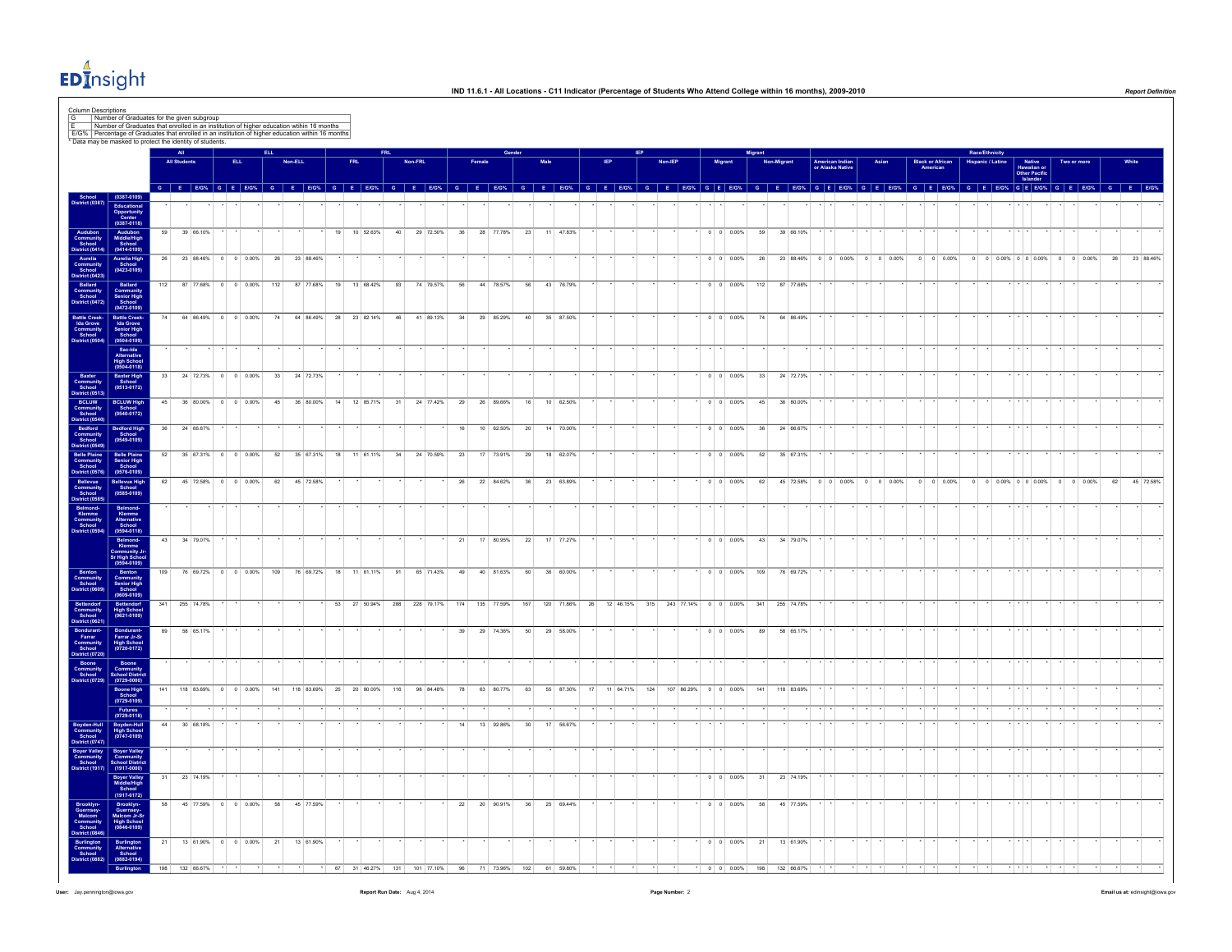

| <b>Column Descriptions</b>                                           |                                                                                                                                        |     |                        |            |        |                             |                        |              |               |         |                                            |        |           |        |              |  |               |  |                                     |     |                                                                 |                                     |         |                               |                                            |                  |                           |                                                                                  |    |              |           |
|----------------------------------------------------------------------|----------------------------------------------------------------------------------------------------------------------------------------|-----|------------------------|------------|--------|-----------------------------|------------------------|--------------|---------------|---------|--------------------------------------------|--------|-----------|--------|--------------|--|---------------|--|-------------------------------------|-----|-----------------------------------------------------------------|-------------------------------------|---------|-------------------------------|--------------------------------------------|------------------|---------------------------|----------------------------------------------------------------------------------|----|--------------|-----------|
| l G                                                                  | Number of Graduates for the given subgroup<br>Number of Graduates that enrolled in an institution of higher education wtihin 16 months |     |                        |            |        |                             |                        |              |               |         |                                            |        |           |        |              |  |               |  |                                     |     |                                                                 |                                     |         |                               |                                            |                  |                           |                                                                                  |    |              |           |
|                                                                      | E/G%   Percentage of Graduates that enrolled in an institution of higher education within 16 months                                    |     |                        |            |        |                             |                        |              |               |         |                                            |        |           |        |              |  |               |  |                                     |     |                                                                 |                                     |         |                               |                                            |                  |                           |                                                                                  |    |              |           |
|                                                                      | * Data may be masked to protect the identity of students.                                                                              |     |                        |            |        |                             |                        |              |               |         |                                            |        |           |        |              |  |               |  |                                     |     |                                                                 |                                     |         |                               |                                            |                  |                           |                                                                                  |    |              |           |
|                                                                      |                                                                                                                                        |     |                        |            |        |                             |                        |              |               |         |                                            |        |           |        |              |  |               |  |                                     |     |                                                                 |                                     |         |                               |                                            | <b>Race/Ethi</b> |                           |                                                                                  |    |              |           |
|                                                                      |                                                                                                                                        |     | <b>All Students</b>    | <b>ELL</b> |        | Non-ELL                     |                        | <b>FRI</b>   |               | Non-FRI |                                            |        |           |        |              |  |               |  | Migran                              |     |                                                                 | American Indian<br>or Alaska Native |         |                               | <b>Black or African</b><br><b>American</b> |                  | Native<br>Hawaiian o      | Two or more                                                                      |    |              |           |
|                                                                      |                                                                                                                                        |     |                        |            |        |                             |                        |              |               |         |                                            |        |           |        |              |  |               |  |                                     |     |                                                                 |                                     |         |                               |                                            |                  | Other Pacific<br>Islander |                                                                                  |    |              |           |
|                                                                      |                                                                                                                                        |     | G E E/G% G E E/G%      |            |        |                             |                        |              |               |         | G E E/G% G E E/G% G E E/G% G E E/G%        |        |           |        |              |  |               |  | G E E/G% G E E/G% G E E/G% G E E/G% |     |                                                                 |                                     |         |                               |                                            |                  |                           | G E EIG% G E EIG% G E EIG% G E EIG% G E EIG% G E EIG% G E EIG% G E EIG% G E EIG% |    |              |           |
|                                                                      | 0387-0109                                                                                                                              |     |                        |            |        |                             |                        |              |               |         |                                            |        |           |        |              |  |               |  |                                     |     |                                                                 |                                     |         |                               |                                            |                  |                           |                                                                                  |    |              |           |
|                                                                      |                                                                                                                                        |     |                        |            |        |                             |                        |              |               |         |                                            |        |           |        |              |  |               |  |                                     |     |                                                                 |                                     |         |                               |                                            |                  |                           |                                                                                  |    |              |           |
|                                                                      | Educational<br>Opportunity<br>Center<br>(0387-0118)                                                                                    |     |                        |            |        |                             |                        |              |               |         |                                            |        |           |        |              |  |               |  |                                     |     |                                                                 |                                     |         |                               |                                            |                  |                           |                                                                                  |    |              |           |
|                                                                      |                                                                                                                                        | 59  | 39 66.10%              |            |        |                             | 19                     |              | 10 52.63%     | 40      | 29 72.50%                                  | 36     | 28 77.78% | 23     | 11 47.83%    |  |               |  | $0 \t 0 \t 0.00\%$                  | 59  | 39 66.10%                                                       |                                     |         |                               |                                            |                  |                           |                                                                                  |    |              |           |
| Audubor<br>Communi<br>School                                         | Audubon<br>Middle/Higl<br>School<br>0414-0109)                                                                                         |     |                        |            |        |                             |                        |              |               |         |                                            |        |           |        |              |  |               |  |                                     |     |                                                                 |                                     |         |                               |                                            |                  |                           |                                                                                  |    |              |           |
|                                                                      |                                                                                                                                        |     |                        |            |        |                             |                        |              |               |         |                                            |        |           |        |              |  |               |  |                                     |     |                                                                 |                                     |         |                               |                                            |                  |                           |                                                                                  |    |              |           |
|                                                                      | Aurelia High<br>School<br>(0423-0109)                                                                                                  | 26  | 23 88.46% 0 0 0.00%    |            | $26\,$ | 23 88.46%                   |                        |              |               |         |                                            |        |           |        |              |  |               |  | $0 \t 0 \t 0.00%$                   | 26  |                                                                 |                                     |         | 23 88.46% 0 0 0.00% 0 0 0.00% | $0 \t 0 \t 0.00\%$                         |                  |                           |                                                                                  | 26 |              | 23 88.46% |
| Aurelia<br>Community<br>School                                       |                                                                                                                                        |     |                        |            |        |                             |                        |              |               |         |                                            |        |           |        |              |  |               |  |                                     |     |                                                                 |                                     |         |                               |                                            |                  |                           |                                                                                  |    |              |           |
|                                                                      |                                                                                                                                        |     |                        |            |        |                             |                        |              |               |         |                                            |        |           |        |              |  |               |  |                                     |     |                                                                 |                                     |         |                               |                                            |                  |                           |                                                                                  |    |              |           |
| Ballard<br>Community<br>School<br>District (0472)                    |                                                                                                                                        | 112 | 87 77.68% 0 0 0.00%    |            | 112    | 87 77.68%                   | 19                     |              | 13 68.42%     | 93      | 74 79.57%                                  | 56     | 44 78.57% | 56     | 43 76.79%    |  |               |  | $0 \t 0 \t 0.00%$                   | 112 | 87 77.68%                                                       |                                     |         |                               |                                            |                  |                           |                                                                                  |    |              |           |
|                                                                      | Ballard<br>Community<br>Senior High<br>School<br>(0472-0109)                                                                           |     |                        |            |        |                             |                        |              |               |         |                                            |        |           |        |              |  |               |  |                                     |     |                                                                 |                                     |         |                               |                                            |                  |                           |                                                                                  |    |              |           |
|                                                                      |                                                                                                                                        |     |                        |            |        |                             |                        |              |               |         |                                            |        |           |        |              |  |               |  |                                     |     |                                                                 |                                     |         |                               |                                            |                  |                           |                                                                                  |    |              |           |
|                                                                      |                                                                                                                                        | 74  | 64 86.49% 0 0 0.00%    |            | 74     |                             | 64 86.49% 28 23 82.14% |              |               | 46      | 41 89.13%                                  | 34     | 29 85.29% | 40     | 35 87.50%    |  |               |  | $0 \t 0 \t 0.00\%$                  | 74  | 64 86.49%                                                       |                                     |         |                               |                                            |                  |                           |                                                                                  |    |              |           |
| Battle Creek-<br>Ida Grove<br>Community<br>School<br>District (0504) | Battle Creek<br>Ida Grove<br>Senior High<br>School<br>(0504-0109)                                                                      |     |                        |            |        |                             |                        |              |               |         |                                            |        |           |        |              |  |               |  |                                     |     |                                                                 |                                     |         |                               |                                            |                  |                           |                                                                                  |    |              |           |
|                                                                      |                                                                                                                                        |     |                        |            |        |                             |                        |              |               |         |                                            |        |           |        |              |  |               |  |                                     |     |                                                                 |                                     |         |                               |                                            |                  |                           |                                                                                  |    |              |           |
|                                                                      |                                                                                                                                        |     |                        |            |        |                             |                        |              |               |         |                                            |        |           |        |              |  |               |  |                                     |     |                                                                 |                                     |         |                               |                                            |                  |                           |                                                                                  |    |              |           |
|                                                                      | Sac-Ida<br>Alternative<br>High School<br>(0504-0118)                                                                                   |     |                        |            |        |                             |                        |              |               |         |                                            |        |           |        |              |  |               |  |                                     |     |                                                                 |                                     |         |                               |                                            |                  |                           |                                                                                  |    |              |           |
|                                                                      |                                                                                                                                        |     | 33 24 72.73% 0 0 0.00% |            | 33     | 24 72.73%                   |                        |              |               |         |                                            |        |           |        |              |  |               |  |                                     |     | 0 0 0.00% 33 24 72.73%                                          |                                     |         |                               |                                            |                  |                           |                                                                                  |    |              |           |
| Baxter<br>Community<br>School<br>District (0513                      | Baxter High<br>School<br>(0513-0172)                                                                                                   |     |                        |            |        |                             |                        |              |               |         |                                            |        |           |        |              |  |               |  |                                     |     |                                                                 |                                     |         |                               |                                            |                  |                           |                                                                                  |    |              |           |
|                                                                      |                                                                                                                                        | 45  | 36 80.00% 0 0 0.00%    |            | 45     | 36 80.00%                   |                        | 14 12 85.71% |               | 31      | 24 77.42%                                  | 29     | 26 89.66% | 16     | 10 62.50%    |  |               |  | $0 \t 0 \t 0.00\%$                  | 45  | 36 80.00%                                                       |                                     |         |                               |                                            |                  |                           |                                                                                  |    |              |           |
| BCLUW<br>Community<br>School<br>District (0540                       | BCLUW High<br>School<br>(0540-0172)                                                                                                    |     |                        |            |        |                             |                        |              |               |         |                                            |        |           |        |              |  |               |  |                                     |     |                                                                 |                                     |         |                               |                                            |                  |                           |                                                                                  |    |              |           |
|                                                                      |                                                                                                                                        |     |                        |            |        |                             |                        |              |               |         |                                            |        |           |        |              |  |               |  |                                     |     |                                                                 |                                     |         |                               |                                            |                  |                           |                                                                                  |    |              |           |
|                                                                      | Bedford High<br>School<br>(0549-0109)                                                                                                  | 36  | 24 66.67%              |            |        |                             |                        |              |               |         |                                            |        | 10 62.50% | $20\,$ | 14 70.00%    |  |               |  | $0 \t 0 \t 0.00\%$                  | 36  | 24 66.67%                                                       |                                     |         |                               |                                            |                  |                           |                                                                                  |    |              |           |
| Bedford<br>Bedford<br>Community<br>School<br>District (0549)         |                                                                                                                                        |     |                        |            |        |                             |                        |              |               |         |                                            |        |           |        |              |  |               |  |                                     |     |                                                                 |                                     |         |                               |                                            |                  |                           |                                                                                  |    |              |           |
|                                                                      |                                                                                                                                        | 52  | 35 67.31% 0 0 0.00%    |            | 52     | 35 67.31%                   |                        | 18 11 61.11% |               | 34      | 24 70.59%                                  | 23     | 17 73.91% | 29     | 18 62.07%    |  |               |  | $0 \quad 0 \quad 0.00\%$            | 52  | 35 67.31%                                                       |                                     |         |                               |                                            |                  |                           |                                                                                  |    |              |           |
| Belle Plaine<br>Community<br>School<br>District (0576)               | Belle Plaine<br>Senior High<br>School<br>(0576-0109)                                                                                   |     |                        |            |        |                             |                        |              |               |         |                                            |        |           |        |              |  |               |  |                                     |     |                                                                 |                                     |         |                               |                                            |                  |                           |                                                                                  |    |              |           |
|                                                                      |                                                                                                                                        |     |                        |            |        |                             |                        |              |               |         |                                            |        |           |        |              |  |               |  |                                     |     |                                                                 |                                     |         |                               |                                            |                  |                           |                                                                                  |    |              |           |
|                                                                      | Bellevue High<br>School<br>(0585-0109)                                                                                                 | 62  | 45 72.58% 0 0 0.00%    |            | 62     | 45 72.58%                   |                        |              |               |         |                                            | 26     | 22 84.62% | 36     | 23 63.89%    |  |               |  | $0 \quad 0 \quad 0.00\%$            | 62  |                                                                 |                                     |         | 45 72.58% 0 0 0.00% 0 0 0.00% | $0 \t 0 \t 0.00\%$                         |                  |                           | $0$ 0 0.00% 0 0 0.00% 0 0 0.00%                                                  |    | 62 45 72.58% |           |
| Bellevue<br>Community<br>School<br>Jistrict (0585)                   |                                                                                                                                        |     |                        |            |        |                             |                        |              |               |         |                                            |        |           |        |              |  |               |  |                                     |     |                                                                 |                                     |         |                               |                                            |                  |                           |                                                                                  |    |              |           |
|                                                                      |                                                                                                                                        |     |                        |            |        |                             |                        |              |               |         |                                            |        |           |        |              |  |               |  |                                     |     |                                                                 |                                     |         |                               |                                            |                  |                           |                                                                                  |    |              |           |
| Belmond-<br>Klemme<br>Community<br>School<br>Jistrict (0594)         | Belmond-<br>Klemme<br>Alternative<br>School<br>(0594-0118)                                                                             |     |                        |            |        |                             |                        |              |               |         |                                            |        |           |        |              |  |               |  |                                     |     |                                                                 |                                     |         |                               |                                            |                  |                           |                                                                                  |    |              |           |
|                                                                      |                                                                                                                                        |     |                        |            |        |                             |                        |              |               |         |                                            |        |           |        |              |  |               |  |                                     |     |                                                                 |                                     |         |                               |                                            |                  |                           |                                                                                  |    |              |           |
|                                                                      |                                                                                                                                        | 43  | 34 79.07%              |            |        |                             |                        |              |               |         |                                            | 21     | 17 80.95% | 22     | 17 77.27%    |  |               |  | $0 \t 0 \t 0.00\%$                  | 43  | 34 79.07%                                                       |                                     |         |                               |                                            |                  |                           |                                                                                  |    |              |           |
|                                                                      | Belmond-<br>Klemme<br>Community J<br>Sr High Scho<br>(0594-0109)                                                                       |     |                        |            |        |                             |                        |              |               |         |                                            |        |           |        |              |  |               |  |                                     |     |                                                                 |                                     |         |                               |                                            |                  |                           |                                                                                  |    |              |           |
|                                                                      |                                                                                                                                        |     |                        |            |        |                             |                        |              |               |         |                                            |        |           |        |              |  |               |  |                                     |     |                                                                 |                                     |         |                               |                                            |                  |                           |                                                                                  |    |              |           |
|                                                                      |                                                                                                                                        | 109 | 76 69.72% 0 0 0.00%    |            | 109    | 76 69.72%                   |                        | 18 11 61.11% |               | 91      | 65 71.43%                                  | 49     | 40 81.63% | 60     | 36 60.00%    |  |               |  | $0 \t 0 \t 0.00\%$                  | 109 | 76 69.72%                                                       |                                     |         |                               |                                            |                  |                           |                                                                                  |    |              |           |
| Benton<br>Community<br>School                                        | Benton<br>Community<br>Senior High<br>School<br>(0609-0109)                                                                            |     |                        |            |        |                             |                        |              |               |         |                                            |        |           |        |              |  |               |  |                                     |     |                                                                 |                                     |         |                               |                                            |                  |                           |                                                                                  |    |              |           |
|                                                                      |                                                                                                                                        |     |                        |            |        |                             |                        |              |               |         |                                            |        |           |        |              |  |               |  |                                     |     |                                                                 |                                     |         |                               |                                            |                  |                           |                                                                                  |    |              |           |
|                                                                      |                                                                                                                                        |     | 341 255 74.78%         |            |        |                             |                        |              |               |         | 53 27 50.94% 288 228 79.17% 174 135 77.59% |        |           | 167    |              |  |               |  |                                     |     | 120 71.86% 26 12 46.15% 315 243 77.14% 0 0 0.00% 341 255 74.78% |                                     |         |                               |                                            |                  |                           |                                                                                  |    |              |           |
| Bettendorf<br>Community<br>School<br>Vistrict (0621                  | Bettendorf<br>High School<br>(0621-0109)                                                                                               |     |                        |            |        |                             |                        |              |               |         |                                            |        |           |        |              |  |               |  |                                     |     |                                                                 |                                     |         |                               |                                            |                  |                           |                                                                                  |    |              |           |
|                                                                      |                                                                                                                                        |     |                        |            |        |                             |                        |              |               |         |                                            |        |           |        |              |  |               |  |                                     |     |                                                                 |                                     |         |                               |                                            |                  |                           |                                                                                  |    |              |           |
|                                                                      |                                                                                                                                        | 89  | 58 65.17%              |            |        |                             |                        |              |               |         |                                            | 39     | 29 74.36% | 50     | 29 58.00%    |  |               |  | $0 \t 0 \t 0.00\%$                  | 89  | 58 65.17%                                                       |                                     |         |                               |                                            |                  |                           |                                                                                  |    |              |           |
| Bondurant<br>Farrar<br>Community<br>School<br>Vistrict (072)         | Bondurant-<br>Farrar Jr-Sr<br>High School<br>(0720-0172)                                                                               |     |                        |            |        |                             |                        |              |               |         |                                            |        |           |        |              |  |               |  |                                     |     |                                                                 |                                     |         |                               |                                            |                  |                           |                                                                                  |    |              |           |
|                                                                      |                                                                                                                                        |     |                        |            |        |                             |                        |              |               |         |                                            |        |           |        |              |  |               |  |                                     |     |                                                                 |                                     |         |                               |                                            |                  |                           |                                                                                  |    |              |           |
| Boone<br>Community<br>School<br>District (0729)                      | Boone<br>Community<br>School Distri<br>(0729-0000)                                                                                     |     |                        |            |        |                             |                        |              |               |         |                                            |        |           |        |              |  |               |  |                                     |     |                                                                 |                                     |         |                               |                                            |                  |                           |                                                                                  |    |              |           |
|                                                                      |                                                                                                                                        |     |                        |            |        |                             |                        |              |               |         |                                            |        |           |        |              |  |               |  |                                     |     |                                                                 |                                     |         |                               |                                            |                  |                           |                                                                                  |    |              |           |
|                                                                      | Boone High<br>School<br>(0729-0109)                                                                                                    | 141 | 118 83.69% 0 0 0.00%   |            | 141    | 118 83.69% 25 20 80.00% 116 |                        |              |               |         | 98 84.48%                                  | 78     | 63 80.77% | 63     | 55 87.30% 17 |  | 11 64.71% 124 |  | 107 86.29% 0 0 0.00%                | 141 | 118 83.69%                                                      |                                     |         |                               |                                            |                  |                           |                                                                                  |    |              |           |
|                                                                      |                                                                                                                                        |     |                        |            |        |                             |                        |              |               |         |                                            |        |           |        |              |  |               |  |                                     |     |                                                                 |                                     |         |                               |                                            |                  |                           |                                                                                  |    |              |           |
|                                                                      | Futures<br>(0729-0118)                                                                                                                 |     |                        |            |        |                             |                        |              |               |         |                                            |        |           |        |              |  |               |  |                                     |     |                                                                 |                                     | $\cdot$ |                               |                                            |                  | $\cdot$ $\cdot$ $\cdot$   |                                                                                  |    |              |           |
|                                                                      |                                                                                                                                        | 44  | 30 68.18%              |            |        |                             |                        |              |               |         |                                            | 14     | 13 92.86% | 30     | 17 56.67%    |  |               |  |                                     |     |                                                                 |                                     |         |                               |                                            |                  |                           |                                                                                  |    |              |           |
| Boyden-Hull<br>Community<br>School<br>District (0747                 | Boyden-Hull<br>High School<br>(0747-0109)                                                                                              |     |                        |            |        |                             |                        |              |               |         |                                            |        |           |        |              |  |               |  |                                     |     |                                                                 |                                     |         |                               |                                            |                  |                           |                                                                                  |    |              |           |
|                                                                      |                                                                                                                                        |     |                        |            |        |                             |                        |              |               |         |                                            |        |           |        |              |  |               |  |                                     |     |                                                                 |                                     |         |                               |                                            |                  |                           |                                                                                  |    |              |           |
| Boyer Valley<br>Community<br>School                                  | Boyer Valley<br>Community<br>School Distri<br>(1917-0000)                                                                              |     |                        |            |        |                             |                        |              |               |         |                                            |        |           |        |              |  |               |  |                                     |     |                                                                 |                                     |         |                               |                                            |                  |                           |                                                                                  |    |              |           |
|                                                                      |                                                                                                                                        |     |                        |            |        |                             |                        |              |               |         |                                            |        |           |        |              |  |               |  |                                     |     |                                                                 |                                     |         |                               |                                            |                  |                           |                                                                                  |    |              |           |
|                                                                      |                                                                                                                                        | 31  | 23 74.19%              |            |        |                             |                        |              |               |         |                                            |        |           |        |              |  |               |  | $0 \t 0 \t 0.00\%$                  | 31  | 23 74.19%                                                       |                                     |         |                               |                                            |                  |                           |                                                                                  |    |              |           |
|                                                                      | Boyer Valley<br>Middle/High<br>School<br>(1917-0172)                                                                                   |     |                        |            |        |                             |                        |              |               |         |                                            |        |           |        |              |  |               |  |                                     |     |                                                                 |                                     |         |                               |                                            |                  |                           |                                                                                  |    |              |           |
|                                                                      |                                                                                                                                        | 58  |                        |            | 58     |                             |                        |              |               |         |                                            | $22\,$ |           | 36     |              |  |               |  |                                     | 58  |                                                                 |                                     |         |                               |                                            |                  |                           |                                                                                  |    |              |           |
|                                                                      | Brooklyn-<br>Guernsey-<br>Malcom Jr-S<br>High School<br>(0846-0109)                                                                    |     | 45 77.59% 0 0 0.00%    |            |        | 45 77.59%                   |                        |              |               |         |                                            |        | 20 90.91% |        | 25 69.44%    |  |               |  | $0 \t 0 \t 0.00\%$                  |     | 45 77.59%                                                       |                                     |         |                               |                                            |                  |                           |                                                                                  |    |              |           |
|                                                                      |                                                                                                                                        |     |                        |            |        |                             |                        |              |               |         |                                            |        |           |        |              |  |               |  |                                     |     |                                                                 |                                     |         |                               |                                            |                  |                           |                                                                                  |    |              |           |
|                                                                      |                                                                                                                                        |     |                        |            |        |                             |                        |              |               |         |                                            |        |           |        |              |  |               |  |                                     |     |                                                                 |                                     |         |                               |                                            |                  |                           |                                                                                  |    |              |           |
|                                                                      |                                                                                                                                        | 21  | 13 61.90% 0 0 0.00%    |            | 21     | 13 61.90%                   |                        |              |               |         |                                            |        |           |        |              |  |               |  | $0 \quad 0 \quad 0.00\%$            | 21  | 13 61.90%                                                       |                                     |         |                               |                                            |                  |                           |                                                                                  |    |              |           |
|                                                                      | Burlington<br>Alternative<br>School<br>(0882-0194)                                                                                     |     |                        |            |        |                             |                        |              |               |         |                                            |        |           |        |              |  |               |  |                                     |     |                                                                 |                                     |         |                               |                                            |                  |                           |                                                                                  |    |              |           |
|                                                                      |                                                                                                                                        | 198 | 132 66.67%             |            |        |                             | 67                     |              | 31 46.27% 131 |         | 101 77.10%                                 | 96     | 71 73.96% | 102    | 61 59.80%    |  |               |  | $0 \t 0 \t 0.00\%$                  | 198 | 132 66.67%                                                      |                                     |         |                               |                                            |                  |                           |                                                                                  |    |              |           |
|                                                                      |                                                                                                                                        |     |                        |            |        |                             |                        |              |               |         |                                            |        |           |        |              |  |               |  |                                     |     |                                                                 |                                     |         |                               |                                            |                  |                           |                                                                                  |    |              |           |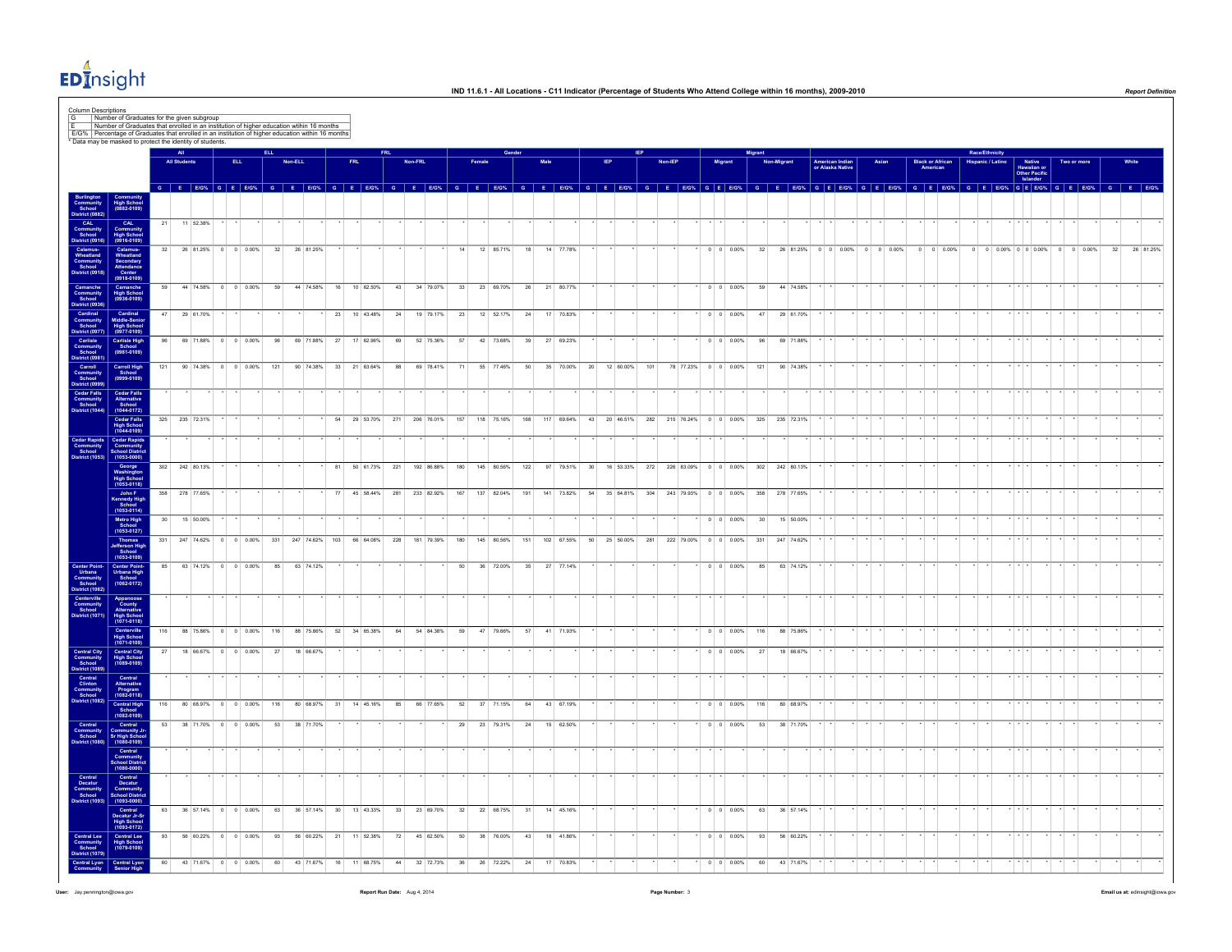

|  | <b>Report Definitio</b> |  |
|--|-------------------------|--|
|  |                         |  |

|                                                                                                                                                                                                                                                                      | * Data may be masked to protect the identity of students.                                        |                        | E/G% Percentage of Graduates that enrolled in an institution of higher education within 16 months<br>All                                                          |                |             |     |         |              |    |            |                                     |                                         |         |           |    |                |            |           |    |           |                                 |         |                     |                          |     |                                                                                                                |                                     |       |  |                         |                          |                 |                                        |                |  |
|----------------------------------------------------------------------------------------------------------------------------------------------------------------------------------------------------------------------------------------------------------------------|--------------------------------------------------------------------------------------------------|------------------------|-------------------------------------------------------------------------------------------------------------------------------------------------------------------|----------------|-------------|-----|---------|--------------|----|------------|-------------------------------------|-----------------------------------------|---------|-----------|----|----------------|------------|-----------|----|-----------|---------------------------------|---------|---------------------|--------------------------|-----|----------------------------------------------------------------------------------------------------------------|-------------------------------------|-------|--|-------------------------|--------------------------|-----------------|----------------------------------------|----------------|--|
|                                                                                                                                                                                                                                                                      |                                                                                                  |                        | <b>All Students</b>                                                                                                                                               |                | <b>ELL</b>  |     | Non-ELL |              |    | <b>FRL</b> |                                     |                                         | Non-FRL |           |    |                |            |           |    |           |                                 | Non-IFP |                     | <b>Migrant</b>           |     |                                                                                                                | American Indian<br>or Alaska Native | Asiar |  | <b>Black or African</b> | <b>Hispanic / Latino</b> | <b>Native</b>   | Two or more                            |                |  |
| <b>Burlington</b><br>Community<br>School                                                                                                                                                                                                                             | Community<br>High School<br>(0882-0109)                                                          |                        | G E EOSK G E EOSK G E EOSK G E EOSK G E EOSK G E EOSK G E EOSK G E EOSK G E EOSK G E EOSK G E EOSK G E EOSK G E EOSK G E EOSK G E EOSK G E EOSK G E EOSK G E EOSK |                |             |     |         |              |    |            |                                     |                                         |         |           |    |                |            |           |    |           |                                 |         |                     |                          |     |                                                                                                                |                                     |       |  |                         |                          |                 |                                        | $G$ $E$ $E/G'$ |  |
|                                                                                                                                                                                                                                                                      | CAL<br>Community<br>High School<br>(0916-0109)                                                   | 21                     | 11 52.38%                                                                                                                                                         |                |             |     |         |              |    |            |                                     |                                         |         |           |    |                |            |           |    |           |                                 |         |                     |                          |     |                                                                                                                |                                     |       |  |                         |                          |                 |                                        |                |  |
| School<br>District (0882)<br>CAL<br>Community<br>School<br>District (0918)<br>Wheatland<br>Community<br>School<br>District (0918)                                                                                                                                    | Calamus<br>Wheatland<br>Secondary<br>Attendance<br>Center<br>(0918-0109)                         | 32                     | 26 81.25% 0 0 0.00%                                                                                                                                               |                |             |     | 32      | 26 81.25%    |    |            |                                     |                                         |         |           | 14 | 12 85.71%      | 18         | 14 77.78% |    |           |                                 |         |                     | $0 \quad 0 \quad 0.00\%$ | 32  | 26 81.25% 0 0 0.00% 0 0 0.00%                                                                                  |                                     |       |  | $0 \t 0 \t 0.00\%$      |                          |                 | $0 \t 0 \t 0.00\%$ 0 0 0.00% 0 0 0.00% | 32 26 81.25%   |  |
|                                                                                                                                                                                                                                                                      | Camanche<br>High School<br>(0936-0109)                                                           | 59                     | 44 74.58%                                                                                                                                                         | $\overline{0}$ | $0 - 0.00%$ | 59  |         | 44 74.58%    | 16 |            | 10 62.50%                           | 43                                      |         | 34 79.07% | 33 | 23 69.70%      | 26         | 21 80.77% |    |           |                                 |         |                     | $0 \t 0 \t 0.00\%$       | 59  | 44 74.58%                                                                                                      |                                     |       |  |                         |                          |                 |                                        |                |  |
|                                                                                                                                                                                                                                                                      | Cardinal<br>Middle-Senior<br>High School<br>(0977-0109)                                          | 47                     | 29 61.70%                                                                                                                                                         |                |             |     |         |              | 23 |            | 10 43.48%                           | 24                                      |         | 19 79.17% | 23 | 12 52.17%      | 24         | 17 70.83% |    |           |                                 |         |                     | $0 \ 0 \ 0.00\%$         | 47  | 29 61.70%                                                                                                      |                                     |       |  |                         |                          |                 |                                        |                |  |
|                                                                                                                                                                                                                                                                      | Carlisle High<br>School<br>(0981-0109)                                                           | 96                     | 69 71.88%                                                                                                                                                         | $\circ$        | $0$ 0.00%   |     |         | 69 71.88%    | 27 |            | 17 62.96%                           | 69                                      |         | 52 75.36% | 57 | 42 73.68%      | 39         | 27 69.23% |    |           |                                 |         |                     | $0 \t 0 \t 0.00%$        | 96  | 69 71.88%                                                                                                      |                                     |       |  |                         |                          |                 |                                        |                |  |
| Community<br>Community<br>School<br>Cordination<br>Cardial<br>Community<br>School<br>Community<br>Community<br>Community<br>Community<br>School<br>Obstrict (0981)<br>Community<br>Community<br>Coder Falls<br>Ceder Falls<br>Ceder Falls<br>Ceder Falls<br>Communit | Carroll High<br>School<br>(0999-0109)                                                            | 121                    | 90 74.38% 0 0 0.00%                                                                                                                                               |                |             | 121 |         |              |    |            | 90 74.38% 33 21 63.64%              | 88                                      |         | 69 78.41% | 71 | 55 77.46%      | 50         | 35 70.00% | 20 | 12 60.00% | 101                             |         | 78 77.23% 0 0 0.00% |                          | 121 | 90 74.38%                                                                                                      |                                     |       |  |                         |                          |                 |                                        |                |  |
|                                                                                                                                                                                                                                                                      | Cedar Falls<br>Alternative<br>School<br>(1044-0172)<br>Cedar Falls<br>High School<br>(1044-0109) |                        | 325 235 72.31%                                                                                                                                                    |                |             |     |         |              |    |            |                                     |                                         |         |           |    |                |            |           |    |           |                                 |         |                     |                          |     | 54 29 53.70% 271 206 76.01% 157 118 75.16% 168 117 69.64% 43 20 46.51% 282 215 76.24% 0 0 0.00% 325 235 72.31% |                                     |       |  |                         |                          |                 |                                        |                |  |
| Cedar Rapids<br>Community<br>School<br>District (1053)                                                                                                                                                                                                               | Cedar Rapids<br>Community<br>School Distric<br>(1053-0000)                                       |                        |                                                                                                                                                                   |                |             |     |         |              |    |            |                                     |                                         |         |           |    |                |            |           |    |           |                                 |         |                     |                          |     |                                                                                                                |                                     |       |  |                         |                          |                 |                                        |                |  |
|                                                                                                                                                                                                                                                                      | George<br>Washington<br>High School<br>(1053-0118)                                               |                        | 302 242 80.13%                                                                                                                                                    |                |             |     |         |              | 81 |            |                                     | 50 61.73% 221 192 86.88% 180 145 80.56% |         |           |    |                |            |           |    |           |                                 |         |                     |                          |     | 122 97 79.51% 30 16 53.33% 272 226 83.09% 0 0 0.00% 302 242 80.13%                                             |                                     |       |  |                         |                          |                 |                                        |                |  |
|                                                                                                                                                                                                                                                                      | John F<br>Kennedy High<br>School<br>(1053-0114)                                                  |                        | 358 278 77.65%                                                                                                                                                    |                |             |     |         |              |    |            |                                     |                                         |         |           |    |                |            |           |    |           |                                 |         |                     |                          |     | 77 45 58.44% 281 233 82.92% 167 137 82.04% 191 141 73.82% 54 35 64.81% 304 243 79.93% 0 0 0.00% 358 278 77.65% |                                     |       |  |                         |                          |                 |                                        |                |  |
|                                                                                                                                                                                                                                                                      | Metro High<br>School<br>(1053-0127)                                                              | 30 <sup>°</sup><br>331 | 15 50.00%<br>247 74.62% 0 0 0.00% 331 247 74.62% 103 66 64.08% 228 181 79.39%                                                                                     |                |             |     |         |              |    |            |                                     |                                         |         |           |    | 180 145 80.56% |            |           |    |           | 151 102 67.55% 50 25 50.00% 281 |         |                     |                          |     | $*$ 0 0 0.00% 30 15 50.00%<br>222 79.00% 0 0 0.00% 331 247 74.62%                                              |                                     |       |  |                         |                          | $\cdot$ $\cdot$ |                                        |                |  |
|                                                                                                                                                                                                                                                                      | Thomas<br>Jefferson High<br>School<br>(1053-0109)                                                | 85                     | 63 74.12% 0 0 0.00%                                                                                                                                               |                |             |     | 85      | 63 74.12%    |    |            |                                     |                                         |         |           | 50 | 36 72.00%      | 35         | 27 77.14% |    |           |                                 |         |                     | $0 \t 0 \t 0.00%$        | 85  | 63 74.12%                                                                                                      |                                     |       |  |                         |                          |                 |                                        |                |  |
| Center Point-<br>Urbana<br>Community<br>School<br>District (1062)<br>Centerville<br>Community<br>School<br>District (1071)                                                                                                                                           | Center Point-<br>Urbana High<br>School<br>(1062-0172)                                            |                        |                                                                                                                                                                   |                |             |     |         |              |    |            |                                     |                                         |         |           |    |                |            |           |    |           |                                 |         |                     |                          |     |                                                                                                                |                                     |       |  |                         |                          |                 |                                        |                |  |
|                                                                                                                                                                                                                                                                      | Appanoose<br>County<br>Alternative<br>High School<br>(1071-0118)                                 | 116                    | 88 75.86% 0 0 0.00%                                                                                                                                               |                |             | 116 |         | 88 75.86%    |    |            | 52 34 65.38%                        | 64                                      |         | 54 84.38% | 59 | 47 79.66%      | 57         | 41 71.93% |    |           |                                 |         |                     | $0 \quad 0 \quad 0.00\%$ | 116 | 88 75.86%                                                                                                      |                                     |       |  |                         |                          |                 |                                        |                |  |
| Central City<br>Community<br>School<br>District (1089)                                                                                                                                                                                                               | Centerville<br>High School<br>(1071-0109)<br>Central City<br>High School<br>(1089-0109)          | 27                     | 18 66.67% 0 0 0.00%                                                                                                                                               |                |             | 27  |         | 18 66.67%    |    |            |                                     |                                         |         |           |    |                |            |           |    |           |                                 |         |                     | $0 \t 0 \t 0.00\%$       | 27  | 18 66.67%                                                                                                      |                                     |       |  |                         |                          |                 |                                        |                |  |
| Central<br>Clinton<br>Community<br>School<br>District (1082)                                                                                                                                                                                                         | Central<br>Alternative<br>Program<br>(1082-0118)                                                 |                        |                                                                                                                                                                   |                |             |     |         |              |    |            |                                     |                                         |         |           |    |                |            |           |    |           |                                 |         |                     |                          |     |                                                                                                                |                                     |       |  |                         |                          |                 |                                        |                |  |
|                                                                                                                                                                                                                                                                      | Central High<br>School<br>$(1082 - 0109)$                                                        | 116                    | 80 68.97% 0 0 0.00%                                                                                                                                               |                |             | 116 |         | 80 68.97%    | 31 |            | 14 45.16%                           | 85                                      |         | 66 77.65% | 52 | 37 71.15%      | 64         | 43 67.19% |    |           |                                 |         |                     | $0 \quad 0 \quad 0.00\%$ | 116 | 80 68.97%                                                                                                      |                                     |       |  |                         |                          |                 |                                        |                |  |
| Central<br>Community<br>School<br>District (1080)                                                                                                                                                                                                                    | Central<br>Community Jr<br>Sr High Schoo<br>(1080-0109)                                          | 53                     | 38 71.70%                                                                                                                                                         | $\overline{0}$ | 0 0.00%     | 53  |         | 38 71.70%    |    |            |                                     |                                         |         |           | 29 | 23 79.31%      | 24         | 15 62.50% |    |           |                                 |         |                     | $0 \quad 0 \quad 0.00\%$ | 53  | 38 71.70%                                                                                                      |                                     |       |  |                         |                          |                 |                                        |                |  |
|                                                                                                                                                                                                                                                                      | Central<br>Community<br>School Distric<br>(1080-0000)                                            |                        |                                                                                                                                                                   |                |             |     |         |              |    |            |                                     |                                         |         |           |    |                |            |           |    |           |                                 |         |                     |                          |     |                                                                                                                |                                     |       |  |                         |                          |                 |                                        |                |  |
| Central<br>Decatur<br>Community<br>School<br>Istrict (1093)                                                                                                                                                                                                          | Central<br>Decatur<br>Community<br>School Distric<br>(1093-0000)                                 | 63                     | 36 57.14% 0 0 0.00%                                                                                                                                               |                |             | 63  |         | 36 57.14%    | 30 |            | 13 43.33%                           | 33                                      |         | 23 69.70% | 32 | 22 68.75%      | 31         | 14 45.16% |    |           |                                 |         |                     | $0 \t 0 \t 0.00\%$       | 63  | 36 57.14%                                                                                                      |                                     |       |  |                         |                          |                 |                                        |                |  |
|                                                                                                                                                                                                                                                                      | Central<br>Decatur Jr-Sr<br>High School<br>(1093-0172)                                           | 93                     | 56 60.22% 0 0 0.00%                                                                                                                                               |                |             | 93  |         | 56 60.22% 21 |    |            | 11 52.38%                           | 72                                      |         | 45 62.50% | 50 | 38 76.00%      | 43         | 18 41.86% |    |           |                                 |         |                     | $0 \ 0 \ 0.00\%$         | 93  | 56 60.22%                                                                                                      |                                     |       |  |                         |                          |                 |                                        |                |  |
| Central Lee<br>Community<br>School<br>Jistrict (1079)<br>Central Lyon                                                                                                                                                                                                | Central Lee<br>High School<br>(1079-0109)<br><b>Central Lyon</b><br>Senior High                  |                        | 43 71.67% 0 0 0.00%                                                                                                                                               |                |             |     | 60      |              |    |            | 43 71.67% 16 11 68.75% 44 32 72.73% |                                         |         |           | 36 | 26 72.22%      | ${\bf 24}$ | 17 70.83% |    |           |                                 |         |                     | $0 \t 0 \t 0.00\%$       | 60  | 43 71.67%                                                                                                      |                                     |       |  |                         |                          |                 |                                        |                |  |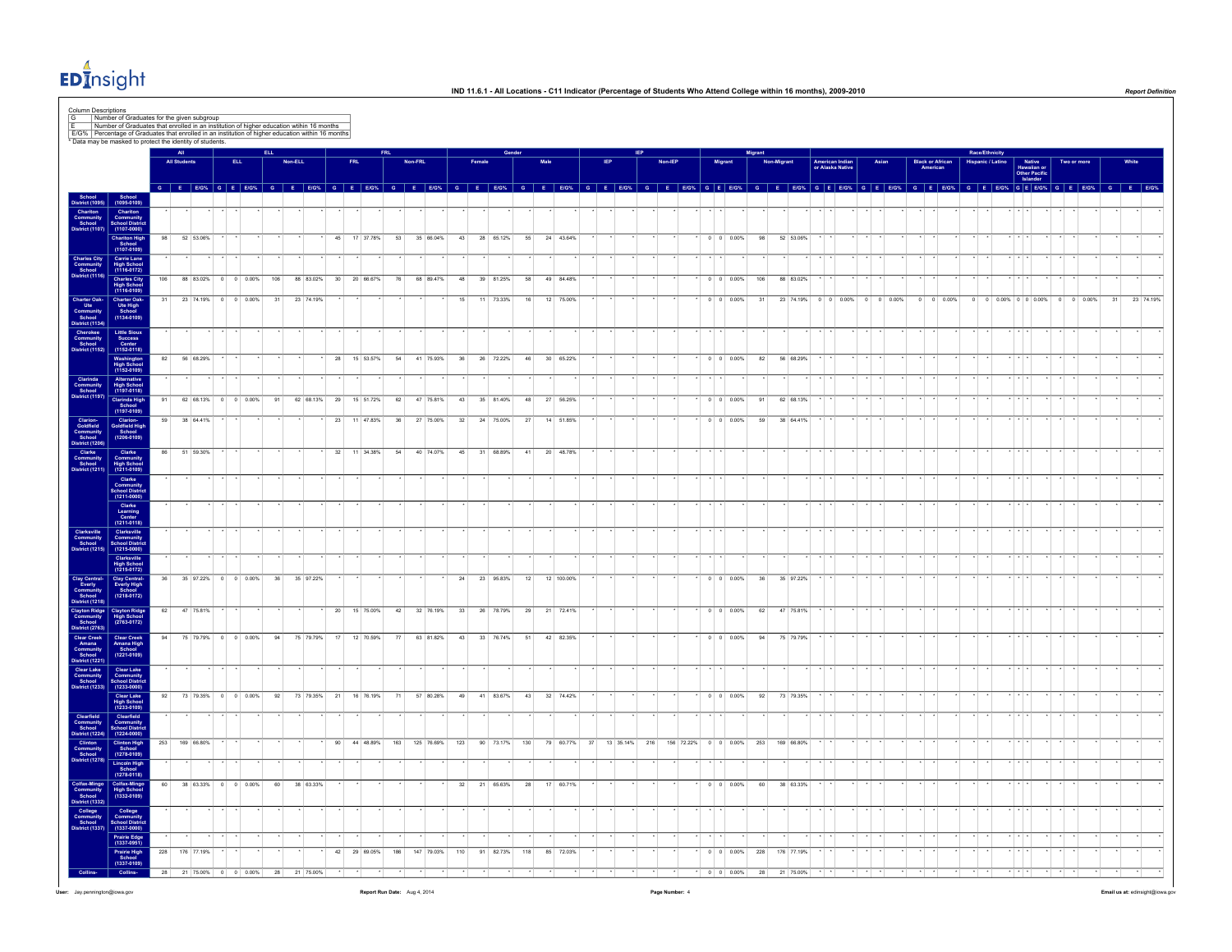

| Column Descriptions                                                                                                                                                                                                                                          | G Number of Graduates for the given subgroup<br>E Number of Graduates that enrolled in an institution of higher education wtihin 16 months<br>E/G% Percentage of Graduates that enrolled in an institution of higher education within 16 months<br>* Data may be masked to protect the identity of students. |                            |                     |                |             |                 |           |            |              |     |                   |            |     |                 |           |     |             |      |             |     |                 |                      |         |                          |          |            |                                     |  |                               |                         |                                     |                   |                                                                      |                                 |          |       |                          |
|--------------------------------------------------------------------------------------------------------------------------------------------------------------------------------------------------------------------------------------------------------------|--------------------------------------------------------------------------------------------------------------------------------------------------------------------------------------------------------------------------------------------------------------------------------------------------------------|----------------------------|---------------------|----------------|-------------|-----------------|-----------|------------|--------------|-----|-------------------|------------|-----|-----------------|-----------|-----|-------------|------|-------------|-----|-----------------|----------------------|---------|--------------------------|----------|------------|-------------------------------------|--|-------------------------------|-------------------------|-------------------------------------|-------------------|----------------------------------------------------------------------|---------------------------------|----------|-------|--------------------------|
|                                                                                                                                                                                                                                                              |                                                                                                                                                                                                                                                                                                              | All<br><b>All Students</b> |                     |                | ELL         | <b>ELL</b>      | Non-ELL   | <b>FRL</b> |              |     | Non-FRI           |            |     |                 |           |     |             |      |             |     | Non-JEE         |                      | Migrant |                          |          |            | American Indian<br>or Alaska Native |  | Asiar                         | <b>Black or African</b> | Race/Ethnicity<br>Hispanic / Latino |                   | <b>Native</b><br>awaiian<br>Hawaiian or<br>Other Pacific<br>Islander | Two or more                     |          | White |                          |
| School<br>District (1095)                                                                                                                                                                                                                                    | School<br>(1095-0109)                                                                                                                                                                                                                                                                                        | G E E/G%                   |                     | G E E/G%       |             | $G$ $E$ $E/G$ % |           |            | G E E/G%     |     | $C = \frac{1}{2}$ |            |     | $G$ $E$ $E/G$ % |           |     | $E = 1.502$ | اعاه | <b>FIGN</b> |     | $G$ $E$ $E/G$ % |                      |         | $G$ $E$ $E/G%$           | $\alpha$ |            |                                     |  | E E/G% G E E/G% G E E/G%      | $G$ $E$ $E/G$ %         |                                     | G E E/G% G E E/G% |                                                                      | G E E/G%                        | $\alpha$ |       | $E = 1$ E/G <sup>o</sup> |
|                                                                                                                                                                                                                                                              |                                                                                                                                                                                                                                                                                                              |                            |                     |                |             |                 |           |            |              |     |                   |            |     |                 |           |     |             |      |             |     |                 |                      |         |                          |          |            |                                     |  |                               |                         |                                     |                   |                                                                      |                                 |          |       |                          |
| Chariton<br>Community<br>School<br>District (1107)                                                                                                                                                                                                           | Chariton<br>Community<br>School Distric<br>(1107-0000)                                                                                                                                                                                                                                                       |                            |                     |                |             |                 |           |            |              |     |                   |            |     |                 |           |     |             |      |             |     |                 |                      |         |                          |          |            |                                     |  |                               |                         |                                     |                   |                                                                      |                                 |          |       |                          |
|                                                                                                                                                                                                                                                              | Chariton High<br>School<br>(1107-0109)                                                                                                                                                                                                                                                                       | 98                         | 52 53.06%           |                |             |                 |           | 45         | 17 37.78%    | 53  |                   | 35 66.04%  | 43  |                 | 28 65.12% | 55  | 24 43.64%   |      |             |     |                 |                      |         | $0 \t 0 \t 0.00%$        | 98       | 52 53.06%  |                                     |  |                               |                         |                                     |                   |                                                                      |                                 |          |       |                          |
| Charles City<br>Community<br>School<br>District (1116)                                                                                                                                                                                                       | Carrie Lane<br>High School<br>(1116-0172)                                                                                                                                                                                                                                                                    |                            |                     |                |             |                 |           |            |              |     |                   |            |     |                 |           |     |             |      |             |     |                 |                      |         |                          |          |            |                                     |  |                               |                         |                                     |                   |                                                                      |                                 |          |       |                          |
|                                                                                                                                                                                                                                                              | Charles City<br>High School<br>(1116-0109)                                                                                                                                                                                                                                                                   | 106                        | 88 83.02% 0 0 0.00% |                |             | 106             | 88 83.02% | 30         | 20 66.67%    | 76  |                   | 68 89.47%  | 48  |                 | 39 81.25% | 58  | 49 84.48%   |      |             |     |                 |                      |         | $0 \t 0 \t 0.00%$        | 106      | 88 83.02%  |                                     |  |                               |                         |                                     |                   |                                                                      |                                 |          |       |                          |
|                                                                                                                                                                                                                                                              | Charter Oak-<br>Ute High<br>School<br>(1134-0109)                                                                                                                                                                                                                                                            | 31                         | 23 74.19% 0 0 0.00% |                |             | 31              | 23 74.19% |            |              |     |                   |            | 15  |                 | 11 73.33% | 16  | 12 75.00%   |      |             |     |                 |                      |         | $0 \t 0 \t 0.00\%$       | 31       |            |                                     |  | 23 74.19% 0 0 0.00% 0 0 0.00% | $0 \t 0 \t 0.00\%$      |                                     |                   |                                                                      | $0$ 0 0.00% 0 0 0.00% 0 0 0.00% |          | 31    | 23 74.19%                |
| Charter Oak-<br>Ute<br>Community<br>School<br>District (1134)<br>Community<br>School<br>District (1152)                                                                                                                                                      |                                                                                                                                                                                                                                                                                                              |                            |                     |                |             |                 |           |            |              |     |                   |            |     |                 |           |     |             |      |             |     |                 |                      |         |                          |          |            |                                     |  |                               |                         |                                     |                   |                                                                      |                                 |          |       |                          |
|                                                                                                                                                                                                                                                              | Little Sioux<br>Success<br>Center<br>(1152-0118)                                                                                                                                                                                                                                                             |                            |                     |                |             |                 |           |            |              |     |                   |            |     |                 |           |     |             |      |             |     |                 |                      |         |                          |          |            |                                     |  |                               |                         |                                     |                   |                                                                      |                                 |          |       |                          |
|                                                                                                                                                                                                                                                              | Washington<br>High School<br>(1152-0109)                                                                                                                                                                                                                                                                     | 82                         | 56 68.29%           |                |             |                 |           | 28         | 15 53.57%    |     |                   | 41 75.93%  | 36  |                 | 26 72.22% |     | 30 65.22%   |      |             |     |                 |                      |         | $0 \t 0 \t 0.00%$        | 82       | 56 68.29%  |                                     |  |                               |                         |                                     |                   |                                                                      |                                 |          |       |                          |
|                                                                                                                                                                                                                                                              |                                                                                                                                                                                                                                                                                                              |                            |                     |                |             |                 |           |            |              |     |                   |            |     |                 |           |     |             |      |             |     |                 |                      |         |                          |          |            |                                     |  |                               |                         |                                     | $\cdot$ $\cdot$   |                                                                      |                                 |          |       |                          |
| Clarinda<br>Community<br>School<br>District (1197)                                                                                                                                                                                                           | Alternative<br>High School<br>(1197-0118)                                                                                                                                                                                                                                                                    | 91                         | 62 68.13% 0 0 0.00% |                |             | 91              | 62 68.13% | 29         | 15 51.72%    | 62  |                   | 47 75.81%  | 43  |                 | 35 81.40% | 48  | 27 56.25%   |      |             |     |                 |                      |         | $0 \quad 0 \quad 0.00\%$ | 91       | 62 68.13%  |                                     |  |                               |                         |                                     |                   |                                                                      |                                 |          |       |                          |
|                                                                                                                                                                                                                                                              | Clarinda High<br>School<br>(1197-0109)                                                                                                                                                                                                                                                                       | 59                         | 38 64.41%           |                |             |                 |           |            | 23 11 47.83% |     |                   | 27 75.00%  | 32  |                 | 24 75.00% | 27  | 14 51.85%   |      |             |     |                 |                      |         | $0 \quad 0 \quad 0.00\%$ | 59       | 38 64.41%  |                                     |  |                               |                         |                                     |                   |                                                                      |                                 |          |       |                          |
|                                                                                                                                                                                                                                                              | Clarion-<br>Goldfield Hig<br>School<br>(1206-0109)                                                                                                                                                                                                                                                           |                            |                     |                |             |                 |           |            |              | 36  |                   |            |     |                 |           |     |             |      |             |     |                 |                      |         |                          |          |            |                                     |  |                               |                         |                                     |                   |                                                                      |                                 |          |       |                          |
| Clarion-<br>Goldfield<br>Community<br>School<br>District (1206)<br>Clarke<br>Community<br>School<br>District (1211)                                                                                                                                          |                                                                                                                                                                                                                                                                                                              | 86                         | 51 59.30%           |                |             |                 |           | 32         | 11 34.38%    | 54  |                   | 40 74.07%  | 45  |                 | 31 68.89% | 41  | 20 48.78%   |      |             |     |                 |                      |         |                          |          |            |                                     |  |                               |                         |                                     |                   |                                                                      |                                 |          |       |                          |
|                                                                                                                                                                                                                                                              | Clarke<br>Community<br>High School<br>(1211-0109)                                                                                                                                                                                                                                                            |                            |                     |                |             |                 |           |            |              |     |                   |            |     |                 |           |     |             |      |             |     |                 |                      |         |                          |          |            |                                     |  |                               |                         |                                     |                   |                                                                      |                                 |          |       |                          |
|                                                                                                                                                                                                                                                              | Clarke<br>Community<br>School Distric<br>(1211-0000)                                                                                                                                                                                                                                                         |                            |                     |                |             |                 |           |            |              |     |                   |            |     |                 |           |     |             |      |             |     |                 |                      |         |                          |          |            |                                     |  |                               |                         |                                     |                   |                                                                      |                                 |          |       |                          |
|                                                                                                                                                                                                                                                              | Clarke<br>Learning<br>Center<br>(1211-0118)                                                                                                                                                                                                                                                                  |                            |                     |                |             |                 |           |            |              |     |                   |            |     |                 |           |     |             |      |             |     |                 |                      |         |                          |          |            |                                     |  |                               |                         |                                     |                   |                                                                      |                                 |          |       |                          |
| Clarksville<br>Community<br>School<br>District (1215)                                                                                                                                                                                                        | Clarksville<br>Community<br>School Distric<br>(1215-0000)                                                                                                                                                                                                                                                    |                            |                     |                |             |                 |           |            |              |     |                   |            |     |                 |           |     |             |      |             |     |                 |                      |         |                          |          |            |                                     |  |                               |                         |                                     |                   |                                                                      |                                 |          |       |                          |
|                                                                                                                                                                                                                                                              | Clarksville<br>High School<br>(1215-0172)                                                                                                                                                                                                                                                                    |                            |                     |                |             |                 |           |            |              |     |                   |            |     |                 |           |     |             |      |             |     |                 |                      |         |                          |          |            |                                     |  |                               |                         |                                     |                   |                                                                      |                                 |          |       |                          |
|                                                                                                                                                                                                                                                              | Clay Central<br>Everly High<br>School                                                                                                                                                                                                                                                                        | 36                         | 35 97.22%           | $\overline{0}$ | $0 \ 0.00%$ | 36              | 35 97.22% |            |              |     |                   |            | 24  |                 | 23 95.83% | 12  | 12 100.00%  |      |             |     |                 |                      |         | $0 \t 0 \t 0.00%$        | 36       | 35 97.22%  |                                     |  |                               |                         |                                     |                   |                                                                      |                                 |          |       |                          |
|                                                                                                                                                                                                                                                              | (1218-0172)                                                                                                                                                                                                                                                                                                  |                            |                     |                |             |                 |           |            |              |     |                   |            |     |                 |           |     |             |      |             |     |                 |                      |         |                          |          |            |                                     |  |                               |                         |                                     |                   |                                                                      |                                 |          |       |                          |
| Clay Central<br>Everty<br>Community<br>School<br>District (1218)<br>District (1218)<br>Clayton Ridge<br>Community<br>School<br>Clare Creek<br>Clare Community<br>Clare Life School<br>District (1221)<br>Clare Lake<br>Clare Life School<br>Clare Life Schoo | Clayton Ridge<br>High School<br>(2763-0172)                                                                                                                                                                                                                                                                  | 62                         | 47 75.81%           |                |             |                 |           | 20         | 15 75.00%    | 42  |                   | 32 76.19%  | 33  |                 | 26 78.79% | 29  | 21 72.41%   |      |             |     |                 |                      |         | $0 \quad 0 \quad 0.00\%$ | 62       | 47 75.81%  |                                     |  |                               |                         |                                     |                   |                                                                      |                                 |          |       |                          |
|                                                                                                                                                                                                                                                              | Clear Creek<br>Amana High<br>School<br>(1221-0109)                                                                                                                                                                                                                                                           | 94                         | 75 79.79% 0 0 0.00% |                |             | 94              | 75 79.79% | 17         | 12 70.59%    | 77  |                   | 63 81.82%  | 43  |                 | 33 76.74% | 51  | 42 82.35%   |      |             |     |                 |                      |         | $0 \quad 0 \quad 0.00\%$ | 94       | 75 79.79%  |                                     |  |                               |                         |                                     |                   |                                                                      |                                 |          |       |                          |
|                                                                                                                                                                                                                                                              |                                                                                                                                                                                                                                                                                                              |                            |                     |                |             |                 |           |            |              |     |                   |            |     |                 |           |     |             |      |             |     |                 |                      |         |                          |          |            |                                     |  |                               |                         |                                     |                   |                                                                      |                                 |          |       |                          |
|                                                                                                                                                                                                                                                              | Clear Lake<br>Community<br>School Distric<br>(1233-0000)                                                                                                                                                                                                                                                     |                            |                     |                |             |                 |           |            |              |     |                   |            |     |                 |           |     |             |      |             |     |                 |                      |         |                          |          |            |                                     |  |                               |                         |                                     |                   |                                                                      |                                 |          |       |                          |
|                                                                                                                                                                                                                                                              | Clear Lake<br>High School<br>(1233-0109)                                                                                                                                                                                                                                                                     | 92                         | 73 79.35% 0 0 0.00% |                |             | 92              | 73 79.35% | 21         | 16 76.19%    | 71  |                   | 57 80.28%  | 49  |                 | 41 83.67% | 43  | 32 74.42%   |      |             |     |                 |                      |         | $0 \quad 0 \quad 0.00\%$ | 92       | 73 79.35%  |                                     |  |                               |                         |                                     |                   |                                                                      |                                 |          |       |                          |
| Clearfield<br>Community<br>School<br>District (1224                                                                                                                                                                                                          | Clearfield<br>Community<br>School Distric<br>(1224-0000)                                                                                                                                                                                                                                                     |                            |                     |                |             |                 |           |            |              |     |                   |            |     |                 |           |     |             |      |             |     |                 |                      |         |                          |          |            |                                     |  |                               |                         |                                     |                   |                                                                      |                                 |          |       |                          |
|                                                                                                                                                                                                                                                              | Clinton High<br>School<br>(1278-0109)                                                                                                                                                                                                                                                                        | 253                        | 169 66.80%          |                |             |                 |           | on         | 44 48 89%    | 163 |                   | 125 76.69% | 123 |                 | 90 73.17% | 130 | 79 60.77%   | 37   | 13 35.14%   | 216 |                 | 156 72.22% 0 0 0.00% |         |                          | 253      | 169 66 80% |                                     |  |                               |                         |                                     |                   |                                                                      |                                 |          |       |                          |
| Clinton<br>Community<br>School<br>District (1278)                                                                                                                                                                                                            |                                                                                                                                                                                                                                                                                                              |                            |                     |                |             |                 |           |            |              |     |                   |            |     |                 |           |     |             |      |             |     |                 |                      |         |                          |          |            |                                     |  |                               |                         |                                     |                   |                                                                      |                                 |          |       |                          |
|                                                                                                                                                                                                                                                              | Lincoln High<br>School<br>(1278-0118)                                                                                                                                                                                                                                                                        | 60                         | 38 63.33% 0 0 0.00% |                |             | 60              | 38 63.33% |            |              |     |                   |            | 32  |                 | 21 65.63% | 28  | 17 60.71%   |      |             |     |                 |                      |         | $0 \quad 0 \quad 0.00\%$ | 60       | 38 63.33%  |                                     |  |                               |                         |                                     |                   |                                                                      |                                 |          |       |                          |
| Colfax-Mingo<br>Community<br>School<br>District (1332)                                                                                                                                                                                                       | Colfax-Mingo<br>High School<br>(1332-0109)                                                                                                                                                                                                                                                                   |                            |                     |                |             |                 |           |            |              |     |                   |            |     |                 |           |     |             |      |             |     |                 |                      |         |                          |          |            |                                     |  |                               |                         |                                     |                   |                                                                      |                                 |          |       |                          |
| College<br>Community<br>School<br>District (1337)                                                                                                                                                                                                            | College<br>Community<br>School Distric<br>(1337-0000)                                                                                                                                                                                                                                                        |                            |                     |                |             |                 |           |            |              |     |                   |            |     |                 |           |     |             |      |             |     |                 |                      |         |                          |          |            |                                     |  |                               |                         |                                     |                   |                                                                      |                                 |          |       |                          |
|                                                                                                                                                                                                                                                              | Prairie Edge<br>(1337-0951)                                                                                                                                                                                                                                                                                  |                            |                     |                |             |                 |           |            |              |     |                   |            |     |                 |           |     |             |      |             |     |                 |                      |         |                          |          |            |                                     |  |                               |                         |                                     |                   |                                                                      |                                 |          |       |                          |
|                                                                                                                                                                                                                                                              | Prairie High<br>School<br>(1337-0109)                                                                                                                                                                                                                                                                        | 228                        | 176 77.19%          |                |             |                 |           | 42         | 29 69.05%    | 186 |                   | 147 79.03% | 110 |                 | 91 82.73% | 118 | 85 72.03%   |      |             |     |                 |                      |         | $0 \t 0 \t 0.00\%$       | 228      | 176 77.19% |                                     |  |                               |                         |                                     |                   |                                                                      |                                 |          |       |                          |
|                                                                                                                                                                                                                                                              | Collin                                                                                                                                                                                                                                                                                                       |                            | 21 75.00%           |                | 0.00%       |                 | 21 75.00% |            |              |     |                   |            |     |                 |           |     |             |      |             |     |                 |                      |         |                          |          |            |                                     |  |                               |                         |                                     |                   |                                                                      |                                 |          |       |                          |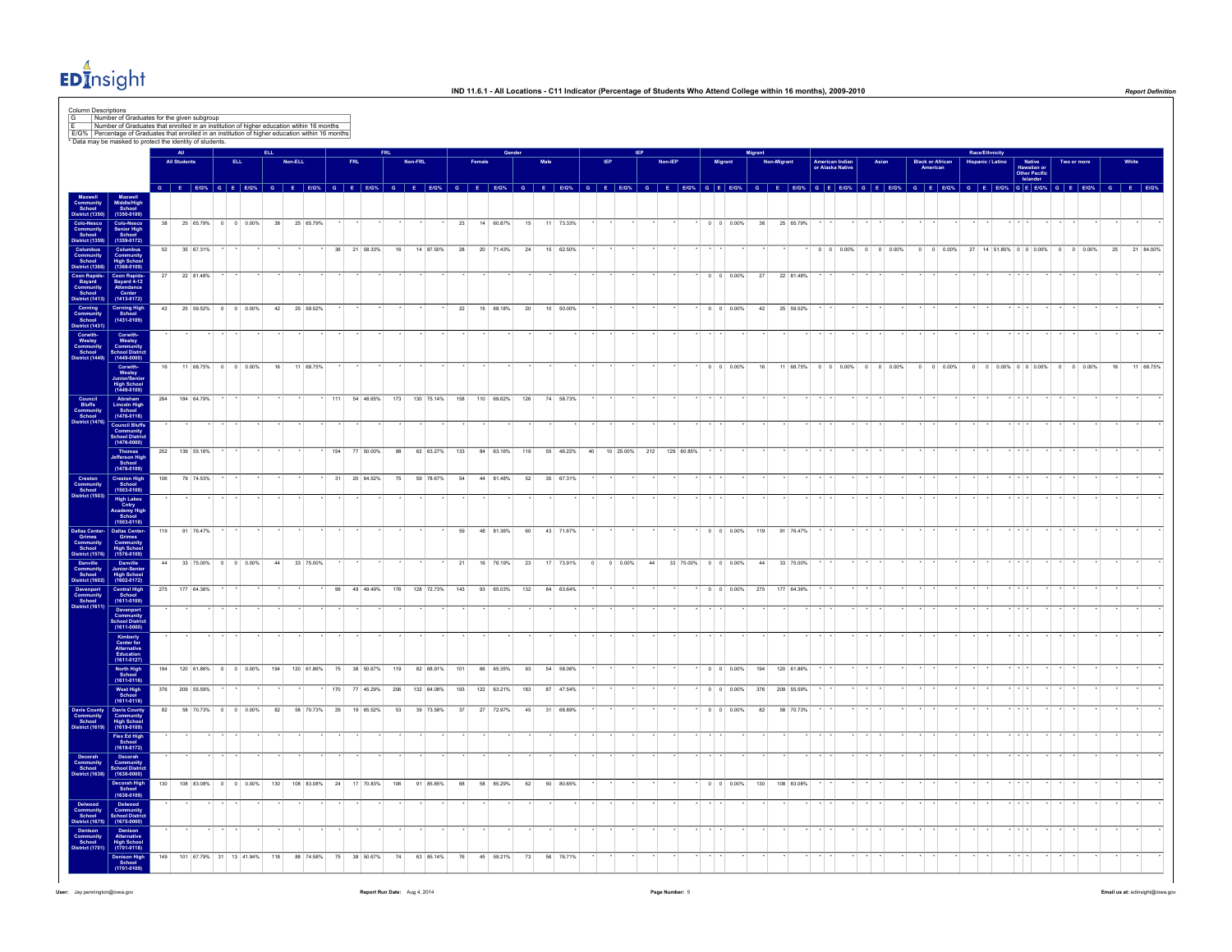

|                                                                                                                                                                                                                                                                                                    | * Data may be masked to protect the identity of students. |                             |            |     |            |           |                        |            |                  |         |            |     |            |           |       |                                       |         |              |    |                |         |                     |                         |              |            |                                     |                               |       |                         |             |                                                                                                                                                                   |                         |                                      |             |               |           |
|----------------------------------------------------------------------------------------------------------------------------------------------------------------------------------------------------------------------------------------------------------------------------------------------------|-----------------------------------------------------------|-----------------------------|------------|-----|------------|-----------|------------------------|------------|------------------|---------|------------|-----|------------|-----------|-------|---------------------------------------|---------|--------------|----|----------------|---------|---------------------|-------------------------|--------------|------------|-------------------------------------|-------------------------------|-------|-------------------------|-------------|-------------------------------------------------------------------------------------------------------------------------------------------------------------------|-------------------------|--------------------------------------|-------------|---------------|-----------|
|                                                                                                                                                                                                                                                                                                    | <b>All Students</b>                                       |                             | <b>ELL</b> |     | Non-ELL    |           |                        | <b>FRL</b> |                  |         | Non-FRL    |     |            |           |       |                                       |         |              |    | <b>Jon-IFF</b> | Migrant |                     |                         |              |            | American Indian<br>or Alaska Native |                               | Asiar | <b>Black or African</b> |             | <b>Hispanic / Latino</b>                                                                                                                                          |                         | Native<br>Hawaiian c<br>Other Pacifi | Two or more |               | White     |
|                                                                                                                                                                                                                                                                                                    |                                                           |                             |            |     |            |           |                        |            |                  |         |            |     |            |           |       |                                       |         |              |    |                |         |                     |                         |              |            |                                     |                               |       |                         |             | G E EOSK G E EOSK G E EOSK G E EOSK G E EOSK G E EOSK G E EOSK G E EOSK G E EOSK G E EOSK G E EOSK G E EOSK G E EOSK G E EOSK G E EOSK G E EOSK G E EOSK G E EOSK |                         |                                      |             | $G$ $F$ $F/G$ |           |
| Maxwell<br>Middle/High<br>School<br>(1350-0109)                                                                                                                                                                                                                                                    |                                                           |                             |            |     |            |           |                        |            |                  |         |            |     |            |           |       |                                       |         |              |    |                |         |                     |                         |              |            |                                     |                               |       |                         |             |                                                                                                                                                                   |                         |                                      |             |               |           |
| Colo-Nesco<br>Senior High<br>School<br>(1359-0172)<br>Community<br>School<br>District (1359)                                                                                                                                                                                                       | 38                                                        | 25 65.79% 0 0 0.00%         |            | 38  |            | 25 65.79% |                        |            |                  |         |            | 23  | 14 60.87%  |           | 15    | 11 73.33%                             |         |              |    |                |         | $0 \t 0 \t 0.00\%$  | 38                      |              | 25 65.79%  |                                     |                               |       |                         |             |                                                                                                                                                                   |                         |                                      |             |               |           |
|                                                                                                                                                                                                                                                                                                    | 52                                                        | 35 67.31%                   |            |     |            |           | 36                     | 21 58.33%  |                  | 16      | 14 87.50%  | 28  |            | 20 71.43% | 24    | 15 62.50%                             |         |              |    |                |         |                     |                         |              |            |                                     | $0$ 0 0.00% 0 0 0.00%         |       |                         |             | 0 0 0.00% 27 14 51.85% 0 0 0.00% 0 0 0.00%                                                                                                                        |                         |                                      |             | 25            | 21 84.00% |
| Columbus<br>Community<br>School<br>District (1368)<br>Columbus<br>Community<br>High School<br>(1368-0109)                                                                                                                                                                                          | 27                                                        | 22 81.48%                   |            |     |            |           |                        |            |                  |         |            |     |            |           |       |                                       |         |              |    |                |         | $0 \t 0 \t 0.00%$   | 27                      |              | 22 81.48%  |                                     |                               |       |                         |             |                                                                                                                                                                   |                         |                                      |             |               |           |
| District (1368)<br>Coon Rapids<br>Community<br>Sayard<br>Community<br>School<br>Community<br>School<br>Community<br>Community<br>Constant (1431)<br>Community<br>Community<br>Constant (1431)<br>Community<br>Constant (1443)<br>Coon Rapids<br>Bayard 4-12<br>Attendance<br>Center<br>(1413-0172) |                                                           |                             |            |     |            |           |                        |            |                  |         |            |     |            |           |       |                                       |         |              |    |                |         |                     |                         |              |            |                                     |                               |       |                         |             |                                                                                                                                                                   |                         |                                      |             |               |           |
| Corning High<br>School<br>(1431-0109)                                                                                                                                                                                                                                                              | 42                                                        | 25 59.52% 0 0 0.00%         |            | 42  | 25 59.52%  |           |                        |            |                  |         |            | 22  | 15 68.18%  |           | 20    | 10 50.00%                             |         |              |    |                |         | $0 \t 0 \t 0.00\%$  |                         | 42 25 59.52% |            |                                     |                               |       |                         |             |                                                                                                                                                                   |                         |                                      |             |               |           |
|                                                                                                                                                                                                                                                                                                    |                                                           |                             |            |     |            |           |                        |            |                  |         |            |     |            |           |       |                                       |         |              |    |                |         |                     |                         |              |            |                                     |                               |       |                         |             |                                                                                                                                                                   |                         |                                      |             |               |           |
| Corwith-<br>Wesley<br>Community<br>School Distric<br>(1449-0000)                                                                                                                                                                                                                                   |                                                           |                             |            |     |            |           |                        |            |                  |         |            |     |            |           |       |                                       |         |              |    |                |         |                     |                         |              |            |                                     |                               |       |                         |             |                                                                                                                                                                   |                         |                                      |             |               |           |
|                                                                                                                                                                                                                                                                                                    | 16                                                        | 11 68.75% 0 0 0.00%         |            | 16  |            | 11 68.75% |                        |            |                  |         |            |     |            |           |       |                                       |         |              |    |                |         | $0 \t 0 \t 0.00\%$  | 16                      |              |            |                                     | 11 68.75% 0 0 0.00% 0 0 0.00% |       |                         | $0$ 0 0.00% | $0 \qquad 0 \qquad 0.00\% \quad 0 \qquad 0 \qquad 0.00\% \qquad 0 \qquad 0 \qquad 0.00\%$                                                                         |                         |                                      |             | 16            | 11 68.75% |
| Corwith-<br>Wesley<br>Junior/Senior<br>High School<br>(1449-0109)                                                                                                                                                                                                                                  |                                                           |                             |            |     |            |           |                        |            |                  |         |            |     |            |           |       |                                       |         |              |    |                |         |                     |                         |              |            |                                     |                               |       |                         |             |                                                                                                                                                                   |                         |                                      |             |               |           |
| Abraham<br>Lincoln High<br>School<br>(1476-0118)                                                                                                                                                                                                                                                   | 284                                                       | 184 64.79%                  |            |     |            |           | 111                    | 54 48.65%  |                  | 173     | 130 75.14% | 158 | 110 69.62% |           | 126   | 74 58.73%                             |         |              |    |                |         |                     |                         |              |            |                                     |                               |       |                         |             |                                                                                                                                                                   |                         |                                      |             |               |           |
| Council Bluffs<br>Community<br>School District<br>(1476-0000)                                                                                                                                                                                                                                      |                                                           |                             |            |     |            |           |                        |            |                  |         |            |     |            |           |       |                                       |         |              |    |                |         |                     |                         |              |            |                                     |                               |       |                         |             |                                                                                                                                                                   |                         |                                      |             |               |           |
|                                                                                                                                                                                                                                                                                                    |                                                           | 252 139 55.16%              |            |     |            |           | 154                    | 77 50.00%  |                  | 98      | 62 63.27%  | 133 |            | 84 63.16% | 119   | 55 46.22% 40 10 25.00% 212 129 60.85% |         |              |    |                |         |                     |                         |              |            |                                     |                               |       |                         |             |                                                                                                                                                                   |                         |                                      |             |               |           |
| Thomas<br>Jefferson High<br>School<br>(1476-0109)                                                                                                                                                                                                                                                  |                                                           |                             |            |     |            |           |                        |            |                  |         |            |     |            |           |       |                                       |         |              |    |                |         |                     |                         |              |            |                                     |                               |       |                         |             |                                                                                                                                                                   |                         |                                      |             |               |           |
| Creston High<br>School<br>(1503-0109)                                                                                                                                                                                                                                                              | 106                                                       | 79 74.53%                   |            |     |            |           | 31                     | 20 64.52%  |                  | 75      | 59 78.67%  | 54  | 44 81.48%  |           | 52    | 35 67.31%                             |         |              |    |                |         |                     |                         |              |            |                                     |                               |       |                         |             |                                                                                                                                                                   |                         |                                      |             |               |           |
| High Lakes<br>Cntry<br>Academy High<br>School<br>(1503-0118)                                                                                                                                                                                                                                       |                                                           |                             |            |     |            |           |                        |            |                  |         |            |     |            |           |       |                                       |         |              |    |                |         |                     |                         |              |            |                                     |                               |       |                         |             |                                                                                                                                                                   |                         |                                      |             |               |           |
|                                                                                                                                                                                                                                                                                                    |                                                           | 119 91 76.47%               |            |     |            |           |                        |            |                  |         |            | 59  |            | 48 81.36% |       | 60 43 71.67%                          |         |              |    |                |         |                     | 0 0 0.00% 119 91 76.47% |              |            |                                     |                               |       |                         |             |                                                                                                                                                                   |                         |                                      |             |               |           |
| Dallas Center-<br>Grimes<br>Community<br>High School<br>(1576-0109)<br>allas Center-<br>Grimes<br>Community<br>School<br>District (1576)<br>Danville<br>Community<br>School<br>Oistrict (1602)                                                                                                     |                                                           |                             |            |     |            |           |                        |            |                  |         |            |     |            |           |       |                                       |         |              |    |                |         |                     |                         |              |            |                                     |                               |       |                         |             |                                                                                                                                                                   |                         |                                      |             |               |           |
| Danville<br>Junior-Senior<br>High School<br>(1602-0172)                                                                                                                                                                                                                                            | 44                                                        | 33 75.00% 0 0 0.00%         |            | 44  |            | 33 75.00% |                        |            |                  |         |            | 21  |            | 16 76.19% | 23    | 17 73.91%                             | $\circ$ | $0 - 0.00\%$ | 44 |                |         | 33 75.00% 0 0 0.00% | 44                      |              | 33 75.00%  |                                     |                               |       |                         |             |                                                                                                                                                                   | $\cdot$ $\cdot$ $\cdot$ |                                      |             |               |           |
|                                                                                                                                                                                                                                                                                                    | 275                                                       | 177 64.36%                  |            |     |            |           | 99                     | 49 49.49%  |                  | 176     | 128 72.73% | 143 | 93 65.03%  |           | $132$ | 84 63.64%                             |         |              |    |                |         | $0 \t 0 \t 0.00\%$  | 275                     |              | 177 64.36% |                                     |                               |       |                         |             |                                                                                                                                                                   |                         |                                      |             |               |           |
| Central High<br>School<br>(1611-0109)<br>Davenport<br>Community<br>School<br>District (1611)                                                                                                                                                                                                       |                                                           |                             |            |     |            |           |                        |            |                  |         |            |     |            |           |       |                                       |         |              |    |                |         |                     |                         |              |            |                                     |                               |       |                         |             |                                                                                                                                                                   |                         |                                      |             |               |           |
| Davenport<br>Community<br>School Distric<br>(1611-0000)                                                                                                                                                                                                                                            |                                                           |                             |            |     |            |           |                        |            |                  |         |            |     |            |           |       |                                       |         |              |    |                |         |                     |                         |              |            |                                     |                               |       |                         |             |                                                                                                                                                                   |                         |                                      |             |               |           |
| Kimberly<br>Center for<br>Alternative<br>Education<br>(1611-0127)                                                                                                                                                                                                                                  |                                                           |                             |            |     |            |           |                        |            |                  |         |            |     |            |           |       |                                       |         |              |    |                |         |                     |                         |              |            |                                     |                               |       |                         |             |                                                                                                                                                                   |                         |                                      |             |               |           |
| North High<br>School<br>(1611-0116)                                                                                                                                                                                                                                                                | 194                                                       | 120 61.86% 0 0 0.00%        |            | 194 | 120 61.86% |           |                        |            | 75 38 50.67% 119 |         | 82 68.91%  | 101 | 66 65.35%  |           | 93    | 54 58.06%                             |         |              |    |                |         | $0 \t 0 \t 0.00\%$  | 194                     |              | 120 61.86% |                                     |                               |       |                         |             |                                                                                                                                                                   |                         |                                      |             |               |           |
| West High<br>School<br>(1611-0118)                                                                                                                                                                                                                                                                 | 376                                                       | 209 55.59%                  |            |     |            |           | 170                    |            | 77 45.29%        | $206\,$ | 132 64.08% | 193 | 122 63.21% |           | 183   | 87 47.54%                             |         |              |    |                |         | $0 \t 0 \t 0.00\%$  | 376                     |              | 209 55.59% |                                     |                               |       |                         |             |                                                                                                                                                                   |                         |                                      |             |               |           |
|                                                                                                                                                                                                                                                                                                    | 82                                                        | 58 70.73% 0 0 0.00%         |            | 82  |            | 58 70.73% | 29                     |            | 19 65.52%        | 53      | 39 73.58%  | 37  | 27 72.97%  |           | 45    | 31 68.89%                             |         |              |    |                |         | $0 \t 0 \t 0.00\%$  | 82                      |              | 58 70.73%  |                                     |                               |       |                         |             |                                                                                                                                                                   |                         |                                      |             |               |           |
| Davis County<br>Community<br>High School<br>(1619-0109)<br>Davis County<br>Community<br>School<br>District (1619)                                                                                                                                                                                  |                                                           |                             |            |     |            |           |                        |            |                  |         |            |     |            |           |       |                                       |         |              |    |                |         |                     |                         |              |            |                                     |                               |       |                         |             |                                                                                                                                                                   |                         |                                      |             |               |           |
| Flex Ed High<br>School<br>(1619-0172)                                                                                                                                                                                                                                                              |                                                           |                             |            |     |            |           |                        |            |                  |         |            |     |            |           |       |                                       |         |              |    |                |         |                     |                         |              |            |                                     |                               |       |                         |             |                                                                                                                                                                   |                         |                                      |             |               |           |
| Decorah<br>Community<br>School Distric<br>(1638-0000)<br>Decorah<br>Community<br>School<br>District (1638)                                                                                                                                                                                         |                                                           |                             |            |     |            |           |                        |            |                  |         |            |     |            |           |       |                                       |         |              |    |                |         |                     |                         |              |            |                                     |                               |       |                         |             |                                                                                                                                                                   |                         |                                      |             |               |           |
| Decorah High<br>School<br>(1638-0109)                                                                                                                                                                                                                                                              | 130                                                       | 108 83.08% 0 0 0.00%        |            | 130 |            |           | 108 83.08% 24          |            | 17 70.83%        | 106     | 91 85.85%  | 68  | 58 85.29%  |           | 62    | 50 80.65%                             |         |              |    |                |         | $0 \t 0 \t 0.00%$   | 130                     |              | 108 83.08% |                                     |                               |       |                         |             |                                                                                                                                                                   |                         |                                      |             |               |           |
| Delwood<br>Community<br>School Distric<br>(1675-0000)                                                                                                                                                                                                                                              |                                                           |                             |            |     |            |           |                        |            |                  |         |            |     |            |           |       |                                       |         |              |    |                |         |                     |                         |              |            |                                     |                               |       |                         |             |                                                                                                                                                                   |                         |                                      |             |               |           |
|                                                                                                                                                                                                                                                                                                    |                                                           |                             |            |     |            |           |                        |            |                  |         |            |     |            |           |       |                                       |         |              |    |                |         |                     |                         |              |            |                                     |                               |       |                         |             |                                                                                                                                                                   |                         |                                      |             |               |           |
| Denison<br>Alternative<br>High School<br>(1701-0118)<br>Denison<br>Community<br>School<br>District (1701)                                                                                                                                                                                          |                                                           |                             |            |     |            |           |                        |            |                  |         |            |     |            |           |       |                                       |         |              |    |                |         |                     |                         |              |            |                                     |                               |       |                         |             |                                                                                                                                                                   |                         |                                      |             |               |           |
| Denison High<br>School<br>(1701-0109)                                                                                                                                                                                                                                                              | 149                                                       | 101 67.79% 31 13 41.94% 118 |            |     |            |           | 88 74.58% 75 38 50.67% |            |                  | 74      | 63 85.14%  | 76  |            | 45 59.21% | 73    | 56 76.71%                             |         |              |    |                |         |                     |                         |              |            |                                     |                               |       |                         |             |                                                                                                                                                                   |                         |                                      |             |               |           |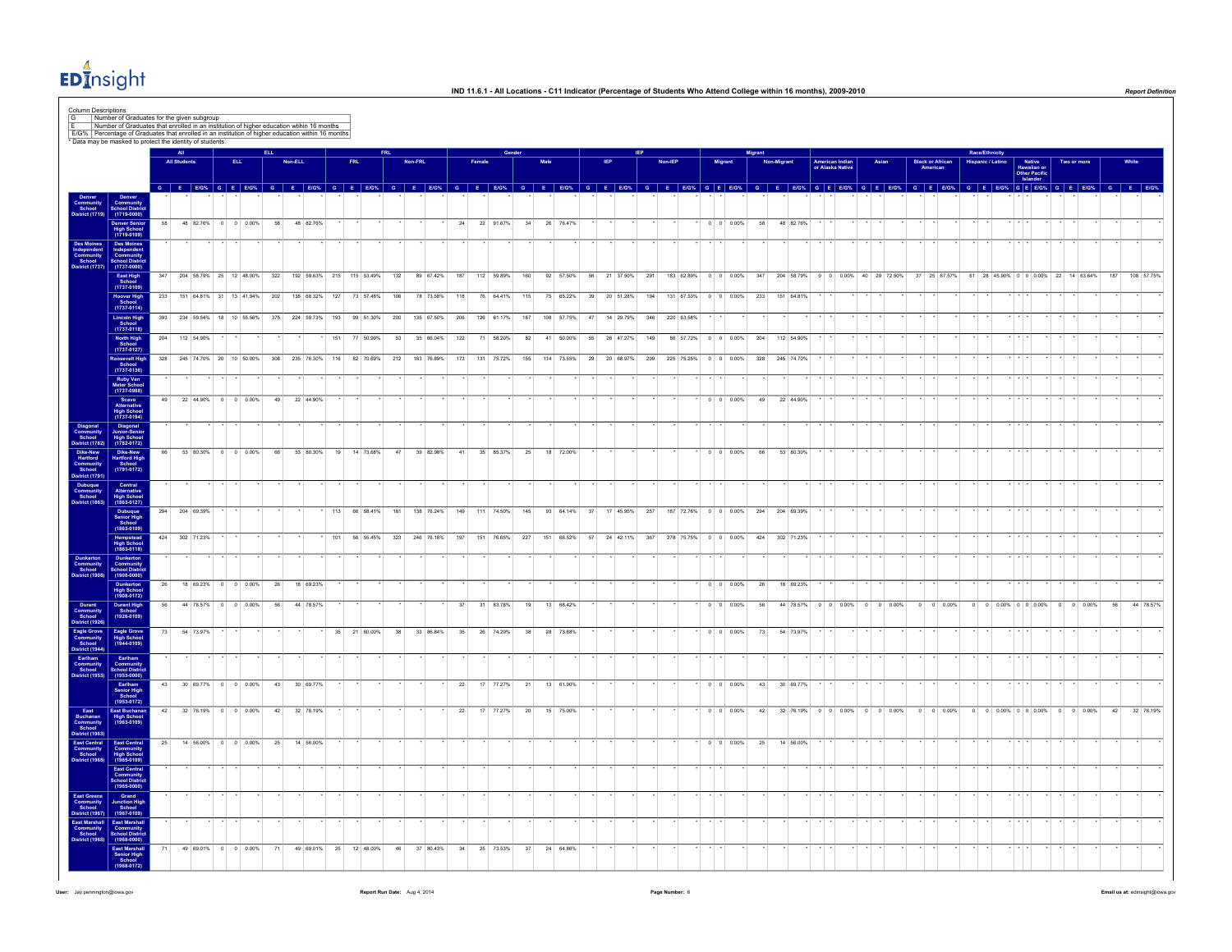

|  | <b>Report Definitio</b> |
|--|-------------------------|

|                                                                                                                                            |                                                                         |     | * Data may be masked to protect the identity of students. |                         |     |     |              |                    | E/G% Percentage of Graduates that enrolled in an institution of higher education within 16 months |                          |        |                           |                     |                    |           |     |                  |    |                                                                 |     |         |            |                                     |     |            |                                       |       |  |                              |                                            |                         |                                                                                                               |             |               |  |
|--------------------------------------------------------------------------------------------------------------------------------------------|-------------------------------------------------------------------------|-----|-----------------------------------------------------------|-------------------------|-----|-----|--------------|--------------------|---------------------------------------------------------------------------------------------------|--------------------------|--------|---------------------------|---------------------|--------------------|-----------|-----|------------------|----|-----------------------------------------------------------------|-----|---------|------------|-------------------------------------|-----|------------|---------------------------------------|-------|--|------------------------------|--------------------------------------------|-------------------------|---------------------------------------------------------------------------------------------------------------|-------------|---------------|--|
|                                                                                                                                            |                                                                         |     | <b>All Students</b>                                       |                         | ELL |     | Non-ELL      |                    |                                                                                                   | FRL                      |        | Non-FRL                   |                     |                    |           |     |                  |    |                                                                 |     | Non-IFP |            | Migrant                             |     |            | American Indian<br>or Alaska Native   | Asian |  | Black or African<br>American | Race/Ethnicity<br><b>Hispanic / Latino</b> |                         | Native<br>Hawaiian or<br>Other Pacific<br>Islander                                                            | Two or more |               |  |
|                                                                                                                                            |                                                                         |     | G E E/G% G E E/G%                                         |                         |     |     | G E E/G%     |                    | G E E/G%                                                                                          |                          |        | G E E/G% G E E/G%         |                     |                    |           |     |                  |    |                                                                 |     |         |            |                                     |     |            |                                       |       |  |                              |                                            |                         | G E EIG% G E EIG% G E EIG% G E EIG% G E EIG% G E EIG% G E EIG% G E EIG% G E EIG% G E EIG% G E EIG% G E EIG% G |             | $G$ $E$ $E/G$ |  |
|                                                                                                                                            |                                                                         |     |                                                           |                         |     |     |              |                    |                                                                                                   |                          |        |                           |                     |                    |           |     |                  |    |                                                                 |     |         |            |                                     |     |            |                                       |       |  |                              |                                            |                         |                                                                                                               |             |               |  |
|                                                                                                                                            | Community<br>School Distric<br>(1719-0000)                              |     |                                                           |                         |     |     |              |                    |                                                                                                   |                          |        |                           | 24                  |                    |           |     |                  |    |                                                                 |     |         |            |                                     |     |            |                                       |       |  |                              |                                            |                         |                                                                                                               |             |               |  |
|                                                                                                                                            | Denver Senio<br>High School<br>(1719-0109)                              | 58  |                                                           | 48 82.76% 0 0 0.00%     |     |     | 58 48 82.76% |                    |                                                                                                   |                          |        |                           |                     |                    | 22 91.67% | 34  | 26 76.47%        |    |                                                                 |     |         |            | $0 \t 0 \t 0.00%$                   | 58  | 48 82.76%  |                                       |       |  |                              |                                            |                         |                                                                                                               |             |               |  |
| <b>Des Moines<br/>Independent<br/>Community<br/>School<br/>District (1737)</b>                                                             | Des Moines<br>Independent<br>Community<br>School Distric<br>(1737-0000) |     |                                                           |                         |     |     |              |                    |                                                                                                   |                          |        |                           |                     |                    |           |     |                  |    |                                                                 |     |         |            |                                     |     |            |                                       |       |  |                              |                                            | $\cdot$ $\cdot$ $\cdot$ |                                                                                                               |             |               |  |
|                                                                                                                                            |                                                                         |     |                                                           |                         |     |     |              |                    |                                                                                                   |                          |        |                           |                     |                    |           |     |                  |    |                                                                 |     |         |            |                                     |     |            |                                       |       |  |                              |                                            |                         |                                                                                                               |             |               |  |
|                                                                                                                                            | East High<br>School<br>(1737-0109)                                      | 347 |                                                           |                         |     |     |              |                    | 204 58.79% 25 12 48.00% 322 192 59.63% 215 115 53.49%                                             |                          | 132    | 89 67.42%                 |                     | 187 112 59.89%     |           | 160 | 92 57.50%        |    | 56 21 37.50% 291                                                |     |         |            | 183 62.89% 0 0 0.00%                |     |            | 347 204 58.79% 0 0 0.00% 40 29 72.50% |       |  | 37 25 67.57%                 |                                            |                         | 61 28 45.90% 0 0 0.00% 22 14 63.64%                                                                           |             | 187           |  |
|                                                                                                                                            | Hoover High<br>School<br>(1737-0114)                                    | 233 |                                                           | 151 64.81% 31 13 41.94% |     | 202 |              | 138 68.32% 127     |                                                                                                   | 73 57.48%                | 106    | 78 73.58%                 | 118                 |                    | 76 64.41% | 115 | 75 65.22%        | 39 | 20 51.28%                                                       | 194 |         |            | 131 67.53% 0 0 0.00%                | 233 | 151 64.81% |                                       |       |  |                              |                                            |                         |                                                                                                               |             |               |  |
|                                                                                                                                            | Lincoln High<br>School<br>(1737-0118)                                   | 393 | 234 59.54% 18 10 55.56%                                   |                         |     | 375 |              | 224 59.73%         | 193                                                                                               | 99 51.30%                | 200    | 135 67.50%                | 206                 | 126 61.17%         |           | 187 | 108 57.75%       | 47 | 14 29.79%                                                       | 346 |         | 220 63.58% |                                     |     |            |                                       |       |  |                              |                                            |                         |                                                                                                               |             |               |  |
|                                                                                                                                            | North High<br>School<br>(1737-0127)                                     | 204 | 112 54.90%                                                |                         |     |     |              |                    | 151                                                                                               | 77 50.99%                | 53     | 35 66.04%                 | $122\,$             |                    | 71 58.20% | 82  | 41 50.00%        | 55 | 26 47.27%                                                       | 149 |         |            | 86 57.72% 0 0 0.00%                 | 204 | 112 54.90% |                                       |       |  |                              |                                            |                         |                                                                                                               |             |               |  |
|                                                                                                                                            |                                                                         |     | 328 245 74.70% 20 10 50.00%                               |                         |     |     |              | 308 235 76.30% 116 |                                                                                                   | 82 70.69% 212            |        | 163 76.89%                | 173                 | 131 75.72%         |           |     | 155 114 73.55%   | 29 | 20 68.97%                                                       | 299 |         |            | 225 75.25% 0 0 0.00%                | 328 | 245 74.70% |                                       |       |  |                              |                                            | $\cdot$ $\cdot$         |                                                                                                               |             |               |  |
|                                                                                                                                            | Roosevelt High<br>School<br>(1737-0136)                                 |     |                                                           |                         |     |     |              |                    |                                                                                                   |                          |        |                           |                     |                    |           |     |                  |    |                                                                 |     |         |            |                                     |     |            |                                       |       |  |                              |                                            | $\cdot$ $\cdot$         |                                                                                                               |             |               |  |
|                                                                                                                                            | Ruby Van<br>Meter School<br>(1737-0988)                                 |     |                                                           |                         |     |     |              |                    |                                                                                                   |                          |        |                           |                     |                    |           |     |                  |    |                                                                 |     |         |            |                                     |     |            |                                       |       |  |                              |                                            |                         |                                                                                                               |             |               |  |
|                                                                                                                                            | Scavo<br>Alternative<br>High School<br>(1737-0194)                      | 49  |                                                           | 22 44.90% 0 0 0.00%     |     | 49  |              | 22 44.90%          |                                                                                                   |                          |        |                           |                     |                    |           |     |                  |    |                                                                 |     |         |            | $0 \t 0 \t 0.00\%$                  | 49  | 22 44.90%  |                                       |       |  |                              |                                            |                         |                                                                                                               |             |               |  |
|                                                                                                                                            |                                                                         |     |                                                           |                         |     |     |              |                    |                                                                                                   |                          |        |                           |                     |                    |           |     |                  |    |                                                                 |     |         |            |                                     |     |            |                                       |       |  |                              |                                            |                         |                                                                                                               |             |               |  |
|                                                                                                                                            | Diagonal<br>Junior-Senior<br>High School<br>(1782-0172)                 |     |                                                           |                         |     |     |              |                    |                                                                                                   |                          |        |                           |                     |                    |           |     |                  |    |                                                                 |     |         |            |                                     |     |            |                                       |       |  |                              |                                            |                         |                                                                                                               |             |               |  |
|                                                                                                                                            | Dike-New<br>Hartford High<br>School<br>(1791-0172)                      | 66  |                                                           | 53 80.30% 0 0 0.00%     |     | 66  |              | 53 80.30%          | 19                                                                                                | 14 73.68%                | $47\,$ | 39 82.98%                 | 41                  |                    | 35 85.37% | 25  | 18 72.00%        |    |                                                                 |     |         |            | $0 \t 0 \t 0.00%$                   | 66  | 53 80.30%  |                                       |       |  |                              |                                            |                         |                                                                                                               |             |               |  |
|                                                                                                                                            |                                                                         |     |                                                           |                         |     |     |              |                    |                                                                                                   |                          |        |                           |                     |                    |           |     |                  |    |                                                                 |     |         |            |                                     |     |            |                                       |       |  |                              |                                            |                         |                                                                                                               |             |               |  |
| Dubuque<br>Community<br>School<br>District (1863                                                                                           | Central<br>Alternative<br>High School<br>(1863-0127)                    |     |                                                           |                         |     |     |              |                    |                                                                                                   |                          |        |                           |                     |                    |           |     |                  |    |                                                                 |     |         |            |                                     |     |            |                                       |       |  |                              |                                            |                         |                                                                                                               |             |               |  |
|                                                                                                                                            | Dubuque<br>Senior High<br>School<br>(1863-0109)                         |     | 294 204 69.39%                                            |                         |     |     |              |                    | 113                                                                                               | 66 58.41% 181            |        | 138 76.24% 149 111 74.50% |                     |                    |           |     | 145 93 64.14% 37 |    | 17 45.95% 257                                                   |     |         |            | 187 72.76% 0 0 0.00% 294 204 69.39% |     |            |                                       |       |  |                              |                                            |                         |                                                                                                               |             |               |  |
|                                                                                                                                            |                                                                         |     | 424 302 71.23%                                            |                         |     |     |              |                    | 101                                                                                               | 56 55.45% 323 246 76.16% |        |                           |                     | 197 151 76.65% 227 |           |     |                  |    | 151 66.52% 57 24 42.11% 367 278 75.75% 0 0 0.00% 424 302 71.23% |     |         |            |                                     |     |            |                                       |       |  |                              |                                            |                         |                                                                                                               |             |               |  |
|                                                                                                                                            | Hempstead<br>High School<br>(1863-0118)                                 |     |                                                           |                         |     |     |              |                    |                                                                                                   |                          |        |                           |                     |                    |           |     |                  |    |                                                                 |     |         |            |                                     |     |            |                                       |       |  |                              |                                            |                         |                                                                                                               |             |               |  |
| Dunkerton<br>Community<br>School<br>Vistrict (1908)                                                                                        | Dunkerton<br>Community<br>School Distric<br>(1908-0000)                 |     |                                                           |                         |     |     |              |                    |                                                                                                   |                          |        |                           |                     |                    |           |     |                  |    |                                                                 |     |         |            |                                     |     |            |                                       |       |  |                              |                                            |                         |                                                                                                               |             |               |  |
|                                                                                                                                            | Dunkerton<br>High School<br>(1908-0172)                                 | 26  |                                                           | 18 69.23% 0 0 0.00%     |     | 26  |              | 18 69.23%          |                                                                                                   |                          |        |                           |                     |                    |           |     |                  |    |                                                                 |     |         |            | $0 \quad 0 \quad 0.00\%$            | 26  | 18 69.23%  |                                       |       |  |                              |                                            |                         |                                                                                                               |             |               |  |
|                                                                                                                                            |                                                                         | 56  |                                                           | 44 78.57% 0 0 0.00%     |     | 56  |              | 44 78.57%          |                                                                                                   |                          |        |                           | 37                  |                    | 31 83.78% | 19  | 13 68.42%        |    |                                                                 |     |         |            | $0 \t 0 \t 0.00\%$                  | 56  |            | 44 78.57% 0 0 0.00% 0 0 0.00%         |       |  | $0 \quad 0 \quad 0.00\%$     |                                            |                         | $0$ 0 0.00% 0 0 0.00% 0 0 0.00%                                                                               |             | 56 44 78.57%  |  |
|                                                                                                                                            | Durant High<br>School<br>(1926-0109)                                    |     |                                                           |                         |     |     |              |                    |                                                                                                   |                          |        |                           |                     |                    |           |     |                  |    |                                                                 |     |         |            |                                     |     |            |                                       |       |  |                              |                                            |                         |                                                                                                               |             |               |  |
|                                                                                                                                            | Eagle Grove<br>High School<br>(1944-0109)                               | 73  | 54 73.97%                                                 |                         |     |     |              |                    | 35                                                                                                | 21 60.00%                | 38     | 33 86.84%                 | 35 <sup>1</sup>     | 26 74.29%          |           | 38  | 28 73.68%        |    |                                                                 |     |         |            | $0 \t 0 \t 0.00\%$                  | 73  | 54 73.97%  |                                       |       |  |                              |                                            |                         |                                                                                                               |             |               |  |
| Durant<br>Community<br>District (1926)<br>Eagle Grove<br>Community<br>District (1944)<br>Eartham<br>Community<br>School<br>District (1953) |                                                                         |     |                                                           |                         |     |     |              |                    |                                                                                                   |                          |        |                           |                     |                    |           |     |                  |    |                                                                 |     |         |            |                                     |     |            |                                       |       |  |                              |                                            |                         |                                                                                                               |             |               |  |
|                                                                                                                                            | Earlham<br>Community<br>School Distric<br>(1953-0000)                   |     |                                                           |                         |     |     |              |                    |                                                                                                   |                          |        |                           |                     |                    |           |     |                  |    |                                                                 |     |         |            |                                     |     |            |                                       |       |  |                              |                                            |                         |                                                                                                               |             |               |  |
|                                                                                                                                            | Earlham<br>Senior High<br>School<br>(1953-0172)                         | 43  |                                                           | 30 69.77% 0 0 0.00%     |     | 43  |              | 30 69.77%          |                                                                                                   |                          |        |                           | $\bf 22$            |                    | 17 77.27% | 21  | 13 61.90%        |    |                                                                 |     |         |            | $0 \t 0 \t 0.00\%$                  | 43  | 30 69.77%  |                                       |       |  |                              |                                            |                         |                                                                                                               |             |               |  |
|                                                                                                                                            | East Buchana<br>High School<br>(1963-0109)                              | 42  |                                                           | 32 76.19% 0 0 0.00%     |     | 42  |              | 32 76.19%          |                                                                                                   |                          |        |                           | $\overline{\bf 22}$ |                    | 17 77.27% | 20  | 15 75.00%        |    |                                                                 |     |         |            | $0 \t 0 \t 0.00%$                   | 42  |            | 32 76.19% 0 0 0.00% 0 0 0.00%         |       |  | $0 \t 0 \t 0.00\%$           |                                            |                         |                                                                                                               |             | 42            |  |
| East<br>Buchanan<br>Community<br>School<br>District (1963)                                                                                 |                                                                         |     |                                                           |                         |     |     |              |                    |                                                                                                   |                          |        |                           |                     |                    |           |     |                  |    |                                                                 |     |         |            |                                     |     |            |                                       |       |  |                              |                                            |                         |                                                                                                               |             |               |  |
| East Central<br>Community<br>School<br>District (1965)                                                                                     | East Central<br>Community<br>High School<br>(1965-0109)                 | 25  |                                                           | 14 56.00% 0 0 0.00%     |     | 25  |              | 14 56.00%          |                                                                                                   |                          |        |                           |                     |                    |           |     |                  |    |                                                                 |     |         |            | 0 0 0.00% 25 14 56.00%              |     |            |                                       |       |  |                              |                                            |                         |                                                                                                               |             |               |  |
|                                                                                                                                            |                                                                         |     |                                                           |                         |     |     |              |                    |                                                                                                   |                          |        |                           |                     |                    |           |     |                  |    |                                                                 |     |         |            |                                     |     |            |                                       |       |  |                              |                                            |                         |                                                                                                               |             |               |  |
|                                                                                                                                            | East Central<br>Community<br>School Distric<br>(1965-0000)              |     |                                                           |                         |     |     |              |                    |                                                                                                   |                          |        |                           |                     |                    |           |     |                  |    |                                                                 |     |         |            |                                     |     |            |                                       |       |  |                              |                                            |                         |                                                                                                               |             |               |  |
| East Greene<br>Community<br>School<br>istrict (1967                                                                                        | Grand<br>Junction High<br>School<br>(1967-0109)                         |     |                                                           |                         |     |     |              |                    |                                                                                                   |                          |        |                           |                     |                    |           |     |                  |    |                                                                 |     |         |            |                                     |     |            |                                       |       |  |                              |                                            |                         |                                                                                                               |             |               |  |
|                                                                                                                                            |                                                                         |     |                                                           |                         |     |     |              |                    |                                                                                                   |                          |        |                           |                     |                    |           |     |                  |    |                                                                 |     |         |            |                                     |     |            |                                       |       |  |                              |                                            |                         |                                                                                                               |             |               |  |
|                                                                                                                                            | East Marshal<br>Community<br>School Distric<br>(1968-0000)              |     |                                                           |                         |     |     |              |                    |                                                                                                   |                          |        |                           |                     |                    |           |     |                  |    |                                                                 |     |         |            |                                     |     |            |                                       |       |  |                              |                                            |                         |                                                                                                               |             |               |  |
|                                                                                                                                            | East Marshal<br>Senior High<br>School                                   | 71  |                                                           | 49 69.01% 0 0 0.00%     |     | 71  |              | 49 69.01%          |                                                                                                   | 25 12 48.00%             | 46     | 37 80.43%                 | 34                  |                    | 25 73.53% | 37  | 24 64.86%        |    |                                                                 |     |         |            |                                     |     |            |                                       |       |  |                              |                                            |                         |                                                                                                               |             |               |  |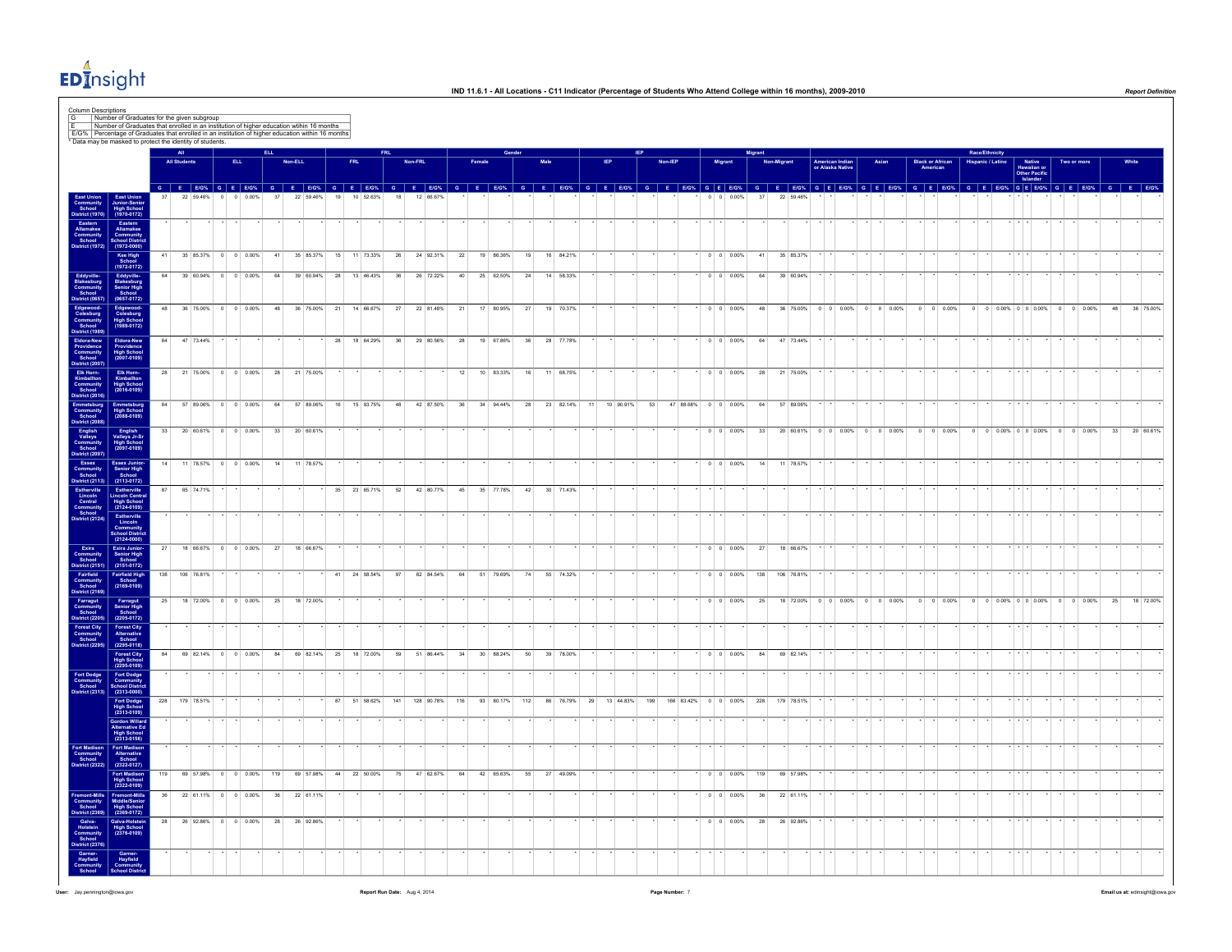

| <b>Column Descriptions</b>                                                                             | G Number of Graduates for the given subgroup<br>E Number of Graduates that enrolled in an institution of higher education wtihin 16 months<br>E/G% Percentage of Graduates that enrolled in an institution of higher education within 16 months<br>* Data may be masked to protect the identity of students. |     |                            |                         |            |                                                                                                                                                                                         |    |              |              |            |     |           |           |     |              |              |           |     |         |                |                          |     |              |            |                                     |                               |       |             |                                     |         |                                            |                                                   |                                |       |           |
|--------------------------------------------------------------------------------------------------------|--------------------------------------------------------------------------------------------------------------------------------------------------------------------------------------------------------------------------------------------------------------------------------------------------------------|-----|----------------------------|-------------------------|------------|-----------------------------------------------------------------------------------------------------------------------------------------------------------------------------------------|----|--------------|--------------|------------|-----|-----------|-----------|-----|--------------|--------------|-----------|-----|---------|----------------|--------------------------|-----|--------------|------------|-------------------------------------|-------------------------------|-------|-------------|-------------------------------------|---------|--------------------------------------------|---------------------------------------------------|--------------------------------|-------|-----------|
|                                                                                                        |                                                                                                                                                                                                                                                                                                              |     | All<br><b>All Students</b> | ELL                     | <b>ELL</b> | Non-ELL                                                                                                                                                                                 |    | <b>FRL</b>   | Non-FRL      |            |     |           |           |     |              |              |           |     | Non-IFP | <b>Migrant</b> |                          |     | Non-Migran   |            | American Indian<br>or Alaska Native |                               | Asiar |             | <b>Black or African</b><br>American |         | Race/Ethnicity<br><b>Hispanic / Latino</b> | Native<br>Hawaiian or<br>Other Pacifi<br>Islander | Two or more                    | White |           |
|                                                                                                        |                                                                                                                                                                                                                                                                                                              |     |                            |                         |            | a E BOX a E BOX a E BOX a E BOX a E BOX a E BOX a E BOX a E BOX a E BOX a E BOX a E BOX a E BOX a E BOX a E BOX a E BOX a E BOX a E BOX a E BOX a E BOX a E BOX a E BOX a E BOX a E BOX |    |              |              |            |     |           |           |     |              |              |           |     |         |                |                          |     |              |            |                                     |                               |       |             |                                     |         |                                            |                                                   |                                |       |           |
|                                                                                                        | unior-Sen<br>High Schoo<br>(1970-0172)                                                                                                                                                                                                                                                                       |     | 22 59.469                  |                         |            | 22 59.46%                                                                                                                                                                               |    | 10 52.63%    |              | 12 66.67%  |     |           |           |     |              |              |           |     |         |                | 0.00%                    | 37  |              | 22 59.46%  |                                     |                               |       |             |                                     |         |                                            |                                                   |                                |       |           |
| Eastern<br>Allamakee<br>Community<br>School                                                            | Eastern<br>Allamakee<br>Community<br>ichool Distric<br>(1972-0000)                                                                                                                                                                                                                                           |     |                            |                         |            |                                                                                                                                                                                         |    |              |              |            |     |           |           |     |              |              |           |     |         |                |                          |     |              |            |                                     |                               |       |             |                                     |         |                                            |                                                   |                                |       |           |
|                                                                                                        | Kee High<br>School<br>(1972-0172)                                                                                                                                                                                                                                                                            | 41  |                            | 35 85.37% 0 0 0.00%     | 41         | 35 85.37%                                                                                                                                                                               |    | 15 11 73.33% | $26\,$       | 24 92.31%  | 22  | 19 86.36% |           | 19  | 16 84.21%    |              |           |     |         |                | $0 \t 0 \t 0.00%$        | 41  |              | 35 85.37%  |                                     |                               |       |             |                                     |         |                                            |                                                   |                                |       |           |
| Eddyville-<br>Blakesburg<br>Community<br>School                                                        | Eddyville<br>Blakesburg<br>Senior High<br>School<br>(0657-0172)                                                                                                                                                                                                                                              | 64  |                            | 39 60.94% 0 0 0.00%     | 64         | 39 60.94% 28 13 46.43%                                                                                                                                                                  |    |              | 36 26 72.22% |            | 40  |           | 25 62.50% | 24  | 14 58.33%    |              |           |     |         |                | $0 \t 0 \t 0.00\%$       | 64  |              | 39 60.94%  |                                     |                               |       |             |                                     |         |                                            |                                                   |                                |       |           |
| Edgewood-<br>Colesburg<br>Community<br>School<br>Jistrict (1989                                        | Edgewood-<br>Colesburg<br>High School<br>(1989-0172)                                                                                                                                                                                                                                                         | 48  | 36 75.00%                  | $0 \t 0 \t 0.00\%$      | 48         | 36 75.00%                                                                                                                                                                               | 21 | 14 66.67%    | 27           | 22 81.48%  | 21  | 17 80.95% |           | 27  | 19 70.37%    |              |           |     |         |                | $0 \t 0 \t 0.00\%$       | 48  |              | 36 75.00%  |                                     | $0$ 0 0.00% 0 0 0.00%         |       | $\,$ 0 $\,$ | $0 - 0.00\%$                        | $\circ$ | $0$ 0.00% 0 0 0.00%                        |                                                   | $\bullet$<br>$0$ 0.00%         | 48    | 36 75.00% |
| Eldora-New<br>Providence<br>Community<br>School<br>Jistrict (2007                                      | Eldora-New<br>Providence<br>High Schoo<br>(2007-0109)                                                                                                                                                                                                                                                        | 64  | 47 73.44%                  |                         |            |                                                                                                                                                                                         | 28 | 18 64.29%    | 36           | 29 80.56%  | 28  | 19 67.86% |           | 36  | 28 77.78%    |              |           |     |         |                | $0 \t 0 \t 0.00\%$       | 64  |              | 47 73.44%  |                                     |                               |       |             |                                     |         |                                            |                                                   |                                |       |           |
|                                                                                                        |                                                                                                                                                                                                                                                                                                              | 28  |                            | 21 75.00% 0 0 0.00%     |            | 28 21 75.00%                                                                                                                                                                            |    |              |              |            | 12  |           | 10 83.33% | 16  | 11 68.75%    |              |           |     |         |                | $\cdot$ 0 0 0.00%        |     | 28 21 75.00% |            |                                     |                               |       |             |                                     |         |                                            |                                                   |                                |       |           |
| Elk Horn-<br>Kimballton<br>Community<br>School<br>District (2016                                       | Elk Horn-<br>Kimballton<br>High Schoo<br>(2016-0109)                                                                                                                                                                                                                                                         | 64  |                            | 57 89.06% 0 0 0.00%     | 64         | 57 89.06%                                                                                                                                                                               | 16 | 15 93.75%    | 48           | 42 87.50%  | 36  |           | 34 94.44% | 28  | 23 82.14% 11 |              | 10 90.91% | 53  |         |                | 47 88.68% 0 0 0.00%      | 64  |              | 57 89.06%  |                                     |                               |       |             |                                     |         |                                            |                                                   |                                |       |           |
| Emmetsburg<br>Community<br>School                                                                      | Emmetsburg<br>High School<br>(2088-0109)                                                                                                                                                                                                                                                                     | 33  |                            | 20 60.61% 0 0 0.00%     | 33         | 20 60.61%                                                                                                                                                                               |    |              |              |            |     |           |           |     |              |              |           |     |         |                | $0 \t 0 \t 0.00%$        | 33  |              |            |                                     | 20 60.61% 0 0 0.00% 0 0 0.00% |       |             | $0 \t 0 \t 0.00\%$                  |         | $0$ 0 0.00% 0 0 0.00% 0 0 0.00%            |                                                   |                                | 33    | 20 60.61% |
| English<br>Valleys<br>Community<br>School                                                              | English<br>Valleys Jr-Si<br>High School<br>(2097-0109)                                                                                                                                                                                                                                                       |     |                            |                         |            |                                                                                                                                                                                         |    |              |              |            |     |           |           |     |              |              |           |     |         |                |                          |     |              |            |                                     |                               |       |             |                                     |         |                                            |                                                   |                                |       |           |
| Essex<br>Community<br>School<br>Jistrict (2113)                                                        | Essex Junior<br>Senior High<br>School<br>(2113-0172)                                                                                                                                                                                                                                                         | 14  |                            | 11 78.57% 0 0 0.00%     | 14         | 11 78.57%                                                                                                                                                                               |    |              |              |            |     |           |           |     |              |              |           |     |         |                | $0 \t 0 \t 0.00\%$       | 14  |              | 11 78.57%  |                                     |                               |       |             |                                     |         |                                            |                                                   |                                |       |           |
| Estherville<br>Lincoln<br>Central<br>Community<br>School<br>District (2124)                            | Estherville<br>Lincoln Centr<br>High School<br>(2124-0109)                                                                                                                                                                                                                                                   | 87  | 65 74.71%                  |                         |            |                                                                                                                                                                                         |    | 35 23 65.71% | 52           | 42 80.77%  | 45  | 35 77.78% |           | 42  | 30 71.43%    |              |           |     |         |                |                          |     |              |            |                                     |                               |       |             |                                     |         |                                            |                                                   |                                |       |           |
|                                                                                                        | Estherville<br>Lincoln<br>Community<br>School Distric<br>(2124-0000)                                                                                                                                                                                                                                         |     |                            |                         |            |                                                                                                                                                                                         |    |              |              |            |     |           |           |     |              |              |           |     |         |                |                          |     |              |            |                                     |                               |       |             |                                     |         |                                            |                                                   |                                |       |           |
| Exira<br>Community<br>School<br>District (2151)<br>Fairfield<br>Community<br>School<br>District (2169) | Exira Junior-<br>Senior High<br>School<br>(2151-0172)                                                                                                                                                                                                                                                        | 27  |                            | 18 66.67% 0 0 0.00%     | 27         | 18 66.67%                                                                                                                                                                               |    |              |              |            |     |           |           |     |              |              |           |     |         |                | $0 \t 0 \t 0.00%$        | 27  |              | 18 66.67%  |                                     |                               |       |             |                                     |         |                                            |                                                   |                                |       |           |
|                                                                                                        | Fairfield High<br>School<br>(2169-0109)                                                                                                                                                                                                                                                                      | 138 | 106 76.81%                 |                         |            |                                                                                                                                                                                         |    | 41 24 58.54% | 97           | 82 84.54%  | 64  |           | 51 79.69% | 74  | 55 74.32%    |              |           |     |         |                | $0 \quad 0 \quad 0.00\%$ | 138 |              | 106 76.81% |                                     |                               |       |             |                                     |         |                                            |                                                   |                                |       |           |
| Farragut<br>Community<br>School<br>District (2205)                                                     | Farragut<br>Senior High<br>School<br>(2205-0172)                                                                                                                                                                                                                                                             | 25  |                            | 18 72.00% 0 0 0.00%     | $25\,$     | 18 72.00%                                                                                                                                                                               |    |              |              |            |     |           |           |     |              |              |           |     |         |                | $0 \t 0 \t 0.00\%$       | 25  |              |            |                                     | 18 72.00% 0 0 0.00% 0 0 0.00% |       | $\bullet$   | $0 - 0.00%$                         |         | $0$ 0 0.00% 0 0 0.00%                      |                                                   | $0 - 0.00\%$<br>$\overline{0}$ | 25    | 18 72.00% |
| Forest City<br>Community<br>School<br>District (2295)                                                  | Forest City<br>Alternative<br>School<br>(2295-0118)                                                                                                                                                                                                                                                          |     |                            |                         |            |                                                                                                                                                                                         |    |              |              |            |     |           |           |     |              |              |           |     |         |                |                          |     |              |            |                                     |                               |       |             |                                     |         |                                            |                                                   |                                |       |           |
|                                                                                                        | Forest City<br>High School<br>(2295-0109)                                                                                                                                                                                                                                                                    | 84  | 69 82.14%                  | $0 \t 0 \t 0.00\%$      | 84         | 69 82.14% 25 18 72.00%                                                                                                                                                                  |    |              | 59           | 51 86.44%  | 34  | 30 88.24% |           |     | 50 39 78.00% |              |           |     |         |                | $0 \t 0 \t 0.00\%$       | 84  |              | 69 82.14%  |                                     |                               |       |             |                                     |         |                                            |                                                   |                                |       |           |
| Fort Dodge<br>Community<br>School                                                                      | Fort Dodge<br>Community<br>School Distric<br>(2313-0000)                                                                                                                                                                                                                                                     | 228 | 179 78.51%                 |                         |            |                                                                                                                                                                                         | 87 | 51 58.62%    | 141          | 128 90.78% | 116 |           | 93 80.17% | 112 |              | 86 76.79% 29 | 13 44.83% | 199 |         |                | 166 83.42% 0 0 0.00%     | 228 | 179 78.51%   |            |                                     |                               |       |             |                                     |         |                                            |                                                   |                                |       |           |
|                                                                                                        | Fort Dodge<br>High School<br>(2313-0109)<br>Gordon Willare<br>Alternative Ed<br>High School<br>(2313-0156)                                                                                                                                                                                                   |     |                            |                         |            |                                                                                                                                                                                         |    |              |              |            |     |           |           |     |              |              |           |     |         |                |                          |     |              |            |                                     |                               |       |             |                                     |         |                                            |                                                   |                                |       |           |
| Fort Madiso<br>Community<br>School                                                                     | Fort Madison<br>Alternative<br>School<br>(2322-0127)                                                                                                                                                                                                                                                         |     |                            |                         |            |                                                                                                                                                                                         |    |              |              |            |     |           |           |     |              |              |           |     |         |                |                          |     |              |            |                                     |                               |       |             |                                     |         |                                            |                                                   |                                |       |           |
|                                                                                                        | Fort Madison<br>High School<br>(2322-0109)                                                                                                                                                                                                                                                                   | 119 |                            | 69 57.98% 0 0 0.00% 119 |            | 69 57.98% 44 22 50.00%                                                                                                                                                                  |    |              | 75 47 62.67% |            | 64  |           | 42 65.63% |     | 55 27 49.09% |              |           |     |         |                | $0 \quad 0 \quad 0.00\%$ | 119 |              | 69 57.98%  |                                     |                               |       |             |                                     |         |                                            |                                                   |                                |       |           |
| Community<br>School                                                                                    | Fremont-Mills<br>Middle/Senio<br>High School<br>(2369-0172)                                                                                                                                                                                                                                                  | 36  |                            | 22 61.11% 0 0 0.00%     | 36         | 22 61.11%                                                                                                                                                                               |    |              |              |            |     |           |           |     |              |              |           |     |         |                | $0 \t 0 \t 0.00\%$       | 36  |              | 22 61.11%  |                                     |                               |       |             |                                     |         |                                            |                                                   |                                |       |           |
| Galva-<br>Holstein<br>Community<br>School                                                              | Galva-Holstei<br>High School<br>(2376-0109)                                                                                                                                                                                                                                                                  | 28  |                            | 26 92.86% 0 0 0.00%     | 28         | 26 92.86%                                                                                                                                                                               |    |              |              |            |     |           |           |     |              |              |           |     |         |                | $0 \t 0 \t 0.00%$        | 28  |              | 26 92.86%  |                                     |                               |       |             |                                     |         |                                            |                                                   |                                |       |           |
|                                                                                                        | Garner-<br>Hayfield                                                                                                                                                                                                                                                                                          |     |                            |                         |            |                                                                                                                                                                                         |    |              |              |            |     |           |           |     |              |              |           |     |         |                |                          |     |              |            |                                     |                               |       |             |                                     |         |                                            | $\cdots$                                          |                                |       |           |
|                                                                                                        |                                                                                                                                                                                                                                                                                                              |     |                            |                         |            |                                                                                                                                                                                         |    |              |              |            |     |           |           |     |              |              |           |     |         |                |                          |     |              |            |                                     |                               |       |             |                                     |         |                                            |                                                   |                                |       |           |

**User:** Jay.pennington@iowa.gov **Report Run Date:** Aug 4, 2014 **Page Number:** 7 **Email us at:** edinsight@iowa.gov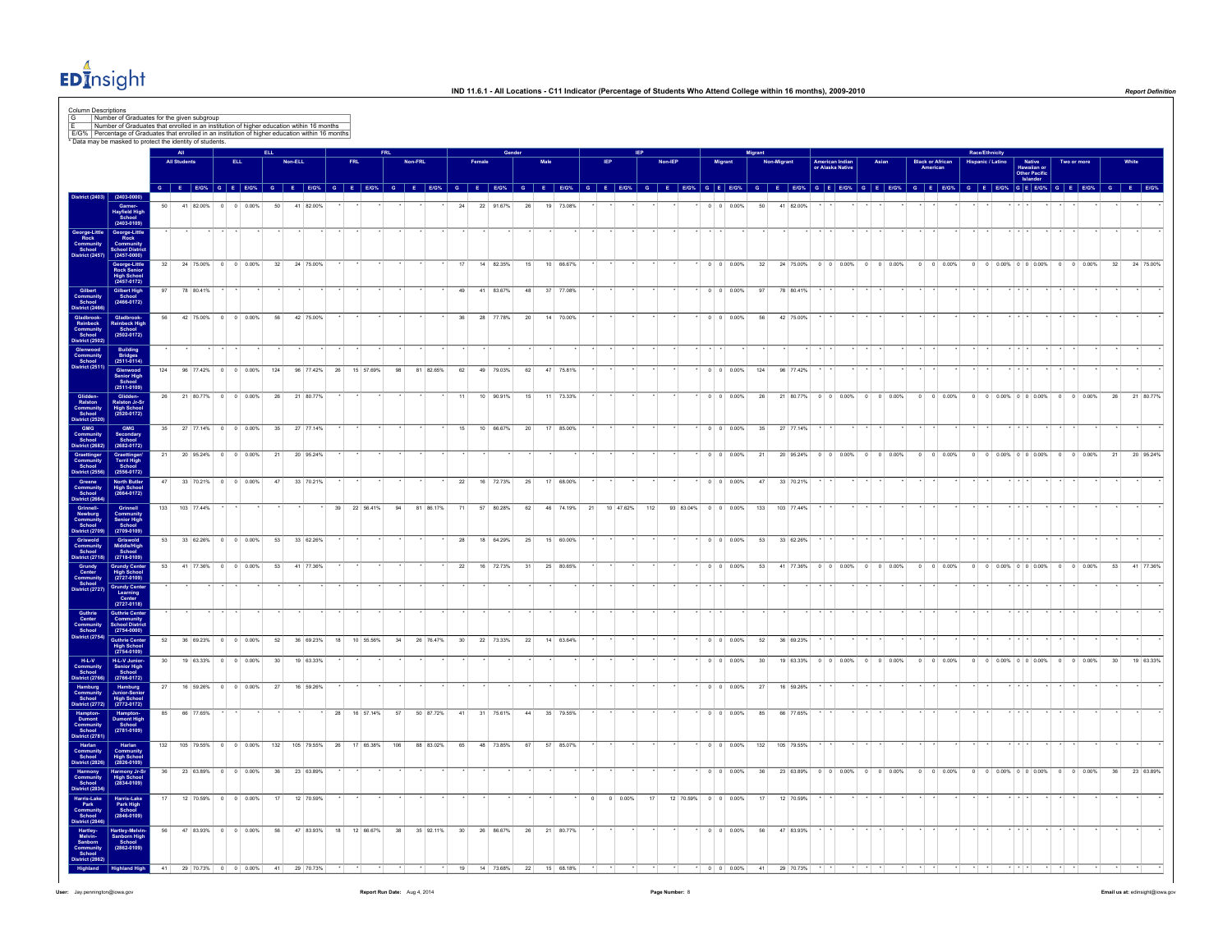

|  | <b>Report Definitio</b> |  |
|--|-------------------------|--|
|  |                         |  |

|                                                                                                                                                                                                                                                                    |                                                                     |                 | * Data may be masked to protect the identity of students |                     |            |              |                 |              |           |            |              |         |               |    |    |               |        |                 |          |                  |                                 |                     |                          |     |            |                                                                         |       |                         |                          |                             |                                 |                   |
|--------------------------------------------------------------------------------------------------------------------------------------------------------------------------------------------------------------------------------------------------------------------|---------------------------------------------------------------------|-----------------|----------------------------------------------------------|---------------------|------------|--------------|-----------------|--------------|-----------|------------|--------------|---------|---------------|----|----|---------------|--------|-----------------|----------|------------------|---------------------------------|---------------------|--------------------------|-----|------------|-------------------------------------------------------------------------|-------|-------------------------|--------------------------|-----------------------------|---------------------------------|-------------------|
|                                                                                                                                                                                                                                                                    |                                                                     |                 | <b>All Students</b>                                      |                     | <b>ELL</b> |              |                 | Non-ELL      |           |            | <b>FRL</b>   | Non-FRI |               |    |    |               |        |                 |          |                  |                                 |                     |                          |     |            | <b>American Indian</b><br>or Alaska Nativi                              | Asian | <b>Black or African</b> | <b>Hispanic / Latino</b> | <b>Native</b><br>Hawaiian o | Two or more                     |                   |
|                                                                                                                                                                                                                                                                    |                                                                     |                 |                                                          |                     |            |              |                 |              |           |            |              |         |               |    |    |               |        |                 |          |                  |                                 |                     |                          |     |            |                                                                         |       |                         |                          | Other Pacif<br>Islander     |                                 |                   |
|                                                                                                                                                                                                                                                                    | (2403-0000                                                          |                 | G E E/G% G E E/G% G E E/G%                               |                     |            |              |                 |              |           |            | $G$ $F$ $F$  |         | $G$ $F$ $F/G$ |    |    | $G$ $F$ $F/G$ |        | $G$ $F$ $F/G$ % |          | $G$ $F$ $F/G$    | $G$ $F$ $F/G$ % $G$ $F$ $F/G$ % |                     |                          |     |            | G E EIG% G E EIG% G E EIG% G E EIG% G E EIG% G E EIG% G E EIG% G E EIG% |       |                         |                          |                             |                                 | $E = \frac{1}{2}$ |
|                                                                                                                                                                                                                                                                    | Garner-<br>Hayfield High<br>School<br>(2403-0109)                   | 50              | 41 82.00% 0 0 0.00%                                      |                     |            |              | 50              |              | 41 82.00% |            |              |         |               | 24 |    | 22 91.67%     | 26     | 19 73.08%       |          |                  |                                 |                     | $0 \t 0 \t 0.00%$        | 50  | 41 82.00%  |                                                                         |       |                         |                          |                             |                                 |                   |
|                                                                                                                                                                                                                                                                    |                                                                     |                 |                                                          |                     |            |              |                 |              |           |            |              |         |               |    |    |               |        |                 |          |                  |                                 |                     |                          |     |            |                                                                         |       |                         |                          |                             |                                 |                   |
| George-Little<br>Rock<br>Community<br>School<br>District (2457                                                                                                                                                                                                     | George-Little<br>Rock<br>Community<br>School Distric<br>(2457-0000) |                 |                                                          |                     |            |              |                 |              |           |            |              |         |               |    |    |               |        |                 |          |                  |                                 |                     |                          |     |            |                                                                         |       |                         |                          |                             |                                 |                   |
|                                                                                                                                                                                                                                                                    |                                                                     |                 | 32 24 75.00% 0 0 0.00%                                   |                     |            |              | 32              |              | 24 75.00% |            |              |         |               | 17 |    | 14 82.35%     | 15     | 10 66.67%       |          |                  |                                 |                     | $0 \t 0 \t 0.00\%$       | 32  |            | 24 75.00% 0 0 0.00% 0 0 0.00%                                           |       | $0 \t 0 \t 0.00\%$      |                          |                             | $0$ 0 0.00% 0 0 0.00% 0 0 0.00% | 32<br>24 75.00%   |
|                                                                                                                                                                                                                                                                    | George-Little<br>Rock Senior<br>High School<br>(2457-0172)          |                 |                                                          |                     |            |              |                 |              |           |            |              |         |               |    |    |               |        |                 |          |                  |                                 |                     |                          |     |            |                                                                         |       |                         |                          |                             |                                 |                   |
| Gilbert<br>Communit<br>School<br>District (246                                                                                                                                                                                                                     | Gilbert High<br>School<br>(2466-0172)                               | 97              | 78 80.41%                                                |                     |            |              |                 |              |           |            |              |         |               |    | 41 | 83.67%        | 48     | 37 77.08%       |          |                  |                                 |                     | $0 \t 0 \t 0.00%$        | 97  | 78 80.41%  |                                                                         |       |                         |                          |                             |                                 |                   |
|                                                                                                                                                                                                                                                                    |                                                                     |                 | 42 75.00% 0 0 0.00%                                      |                     |            |              |                 |              | 42 75.00% |            |              |         |               |    |    | 28 77.78%     | 20     | 14 70.00%       |          |                  |                                 |                     | $0 \t 0 \t 0.00%$        |     | 42 75.00%  |                                                                         |       |                         |                          |                             |                                 |                   |
| Gladbrook<br>Reinbeck<br>Community<br>School<br>District (250                                                                                                                                                                                                      | Gladbrook-<br>Reinbeck High<br>School<br>(2502-0172)                |                 |                                                          |                     |            |              |                 |              |           |            |              |         |               |    |    |               |        |                 |          |                  |                                 |                     |                          |     |            |                                                                         |       |                         |                          |                             |                                 |                   |
|                                                                                                                                                                                                                                                                    |                                                                     |                 |                                                          |                     |            |              |                 |              |           |            |              |         |               |    |    |               |        |                 |          |                  |                                 |                     |                          |     |            |                                                                         |       |                         |                          |                             |                                 |                   |
| Glenwood<br>Community<br>School<br>District (2511)                                                                                                                                                                                                                 | Building<br>Bridges<br>(2511-0114)                                  |                 |                                                          |                     |            |              |                 |              |           |            |              |         |               |    |    |               |        |                 |          |                  |                                 |                     |                          |     |            |                                                                         |       |                         |                          |                             |                                 |                   |
|                                                                                                                                                                                                                                                                    | Glenwood<br>Senior High<br>School<br>(2511-0109)                    | 124             | 96 77.42%                                                | $\circ$             |            | $0 \ 0.00\%$ | 124             |              | 96 77.42% | 26         | 15 57.69%    |         | 81 82.65%     | 62 | 49 | 79.03%        | 62     | 47 75.81%       |          |                  |                                 |                     | $0 \t 0 \t 0.00%$        | 124 | 96 77.42%  |                                                                         |       |                         |                          |                             |                                 |                   |
|                                                                                                                                                                                                                                                                    |                                                                     | 26              | 21 80.77% 0 0 0.00%                                      |                     |            |              | 26              |              | 21 80.77% |            |              |         |               |    |    | 10 90.91%     | 15     | 11 73.33%       |          |                  |                                 |                     | $0 \quad 0 \quad 0.00\%$ | 26  |            | 21 80.77% 0 0 0.00% 0 0 0.00%                                           |       | $0 \t 0 \t 0.00\%$      |                          |                             | $0$ 0 0.00% 0 0 0.00% 0 0 0.00% | 26<br>21 80.77%   |
|                                                                                                                                                                                                                                                                    | Glidden-<br>Ralston Jr-Sr<br>High School<br>(2520-0172)             |                 |                                                          |                     |            |              |                 |              |           |            |              |         |               |    |    |               |        |                 |          |                  |                                 |                     |                          |     |            |                                                                         |       |                         |                          |                             |                                 |                   |
| Glidden-<br>Raiston<br>Community<br>District (2520)<br>District (2520)<br>Gommunity<br>School<br>Community<br>School<br>Community<br>District (2556)<br>Community<br>District (2556)<br>Community<br>Community<br>District (2556)<br>Community<br>District (2664)  |                                                                     | 35              | 27 77.14% 0 0 0.00%                                      |                     |            |              |                 | 35 27 77.14% |           |            |              |         |               | 15 |    | 10 66.67%     | 20     | 17 85.00%       |          |                  |                                 |                     | $0 \t 0 \t 0.00\%$       | 35  | 27 77.14%  |                                                                         |       |                         |                          |                             |                                 |                   |
|                                                                                                                                                                                                                                                                    | GMG<br>Secondary<br>School<br>(2682-0172)                           |                 |                                                          |                     |            |              |                 |              |           |            |              |         |               |    |    |               |        |                 |          |                  |                                 |                     |                          |     |            |                                                                         |       |                         |                          |                             |                                 |                   |
|                                                                                                                                                                                                                                                                    | Graettinger/<br>Terril High<br>School<br>(2556-0172)                | 21              | 20 95.24% 0 0 0.00%                                      |                     |            |              | 21              |              | 20 95.24% |            |              |         |               |    |    |               |        |                 |          |                  |                                 |                     | $0 \quad 0 \quad 0.00\%$ | 21  |            | 20 95.24% 0 0 0.00% 0 0 0.00%                                           |       | $0 \t 0 \t 0.00\%$      |                          |                             | $0$ 0 0.00% 0 0 0.00% 0 0 0.00% | 21                |
|                                                                                                                                                                                                                                                                    |                                                                     | 47              | 33 70.21% 0 0 0.00%                                      |                     |            |              | 47              |              | 33 70.21% |            |              |         |               | 22 |    | 16 72.73%     | 25     | 17 68.00%       |          |                  |                                 |                     | $0 \t 0 \t 0.00%$        | 47  | 33 70.21%  |                                                                         |       |                         |                          |                             |                                 |                   |
|                                                                                                                                                                                                                                                                    | North Butler<br>High School<br>(2664-0172)                          |                 |                                                          |                     |            |              |                 |              |           |            |              |         |               |    |    |               |        |                 |          |                  |                                 |                     |                          |     |            |                                                                         |       |                         |                          |                             |                                 |                   |
| Grinnell-<br>Newburg<br>Community<br>School<br>Istrict (2709)                                                                                                                                                                                                      | Grinnell<br>Community<br>Senior High<br>School<br>(2709-0109)       | 133             | 103 77.44%                                               |                     |            |              |                 |              |           | 39         | 22 56.41%    | 94      | 81 86.17%     |    |    | 57 80.28%     | 62     | 46 74.19%       | 21       | 10 47.62%        | 112                             | 93 83.04% 0 0 0.00% |                          | 133 | 103 77.44% |                                                                         |       |                         |                          |                             |                                 |                   |
|                                                                                                                                                                                                                                                                    |                                                                     |                 |                                                          |                     |            |              |                 |              |           |            |              |         |               |    |    |               |        |                 |          |                  |                                 |                     |                          |     |            |                                                                         |       |                         |                          |                             |                                 |                   |
| Griswold<br>Community<br>School<br>District (2718)                                                                                                                                                                                                                 | Griswold<br>Middle/High<br>School<br>(2718-0109)                    | 53              | 33 62.26% 0 0 0.00%                                      |                     |            |              | 53              |              | 33 62.26% |            |              |         |               | 28 |    | 18 64.29%     | $25\,$ | 15 60.00%       |          |                  |                                 |                     | $0 \t 0 \t 0.00\%$       | 53  | 33 62.26%  |                                                                         |       |                         |                          |                             |                                 |                   |
|                                                                                                                                                                                                                                                                    | Grundy Center<br>High School<br>(2727-0109)                         | 53              | 41 77.36% 0 0 0.00%                                      |                     |            |              | 53              |              | 41 77.36% |            |              |         |               | 22 | 16 | 72.73%        | 31     | 25 80.65%       |          |                  |                                 |                     | $0 \ 0 \ 0.00\%$         | 53  | 41 77.36%  | $0\qquad 0\qquad 0.00\% \qquad 0\qquad 0\qquad 0.00\%$                  |       | $0 \t 0 \t 0.00\%$      |                          | $0$ 0.00% 0 0 0.00%         | $0 \t 0 \t 0.00\%$              | 53                |
| Grundy<br>Center<br>Community<br>School<br>istrict (2727)                                                                                                                                                                                                          |                                                                     |                 |                                                          |                     |            |              |                 |              |           |            |              |         |               |    |    |               |        |                 |          |                  |                                 |                     |                          |     |            |                                                                         |       |                         |                          |                             |                                 |                   |
|                                                                                                                                                                                                                                                                    | Grundy Center<br>Learning<br>Center<br>(2727-0118)                  |                 |                                                          |                     |            |              |                 |              |           |            |              |         |               |    |    |               |        |                 |          |                  |                                 |                     |                          |     |            |                                                                         |       |                         |                          |                             |                                 |                   |
| Guthrie<br>Center<br>Community<br>School<br>District (2754)                                                                                                                                                                                                        | Guthrie Center<br>Community<br>School Distric<br>(2754-0000)        |                 |                                                          |                     |            |              |                 |              |           |            |              |         |               |    |    |               |        |                 |          |                  |                                 |                     |                          |     |            |                                                                         |       |                         |                          |                             |                                 |                   |
|                                                                                                                                                                                                                                                                    |                                                                     | 52              | 36 69.23%                                                | $\circ$             | 0 0.00%    |              | 52              |              | 36 69.23% | 18         | 10 55.56%    | 34      | 26 76.47%     | 30 |    | 22 73.33%     | $22\,$ | 14 63.64%       |          |                  |                                 |                     | $0 \t 0 \t 0.00%$        | 52  | 36 69.23%  |                                                                         |       |                         |                          |                             |                                 |                   |
|                                                                                                                                                                                                                                                                    | Guthrie Center<br>High School<br>(2754-0109)                        |                 |                                                          |                     |            |              |                 |              |           |            |              |         |               |    |    |               |        |                 |          |                  |                                 |                     |                          |     |            |                                                                         |       |                         |                          |                             |                                 |                   |
| H-L-V<br>Community<br>School<br>istrict (2766)                                                                                                                                                                                                                     | H-L-V Junior-<br>Senior High<br>School<br>(2766-0172)               | 30 <sup>7</sup> | 19 63.33% 0 0 0.00%                                      |                     |            |              | 30 <sub>o</sub> |              | 19 63.33% |            |              |         |               |    |    |               |        |                 |          |                  |                                 |                     | $0 \t 0 \t 0.00\%$       | 30  |            | 19 63.33% 0 0 0.00% 0 0 0.00%                                           |       | $0$ 0 0.00%             |                          | $0$ 0 0.00% 0 0 0.00%       | $0 \t 0 \t 0.00\%$              | 30                |
|                                                                                                                                                                                                                                                                    |                                                                     | 27              | 16 59.26% 0 0 0.00%                                      |                     |            |              | 27              |              | 16 59.26% |            |              |         |               |    |    |               |        |                 |          |                  |                                 |                     | $0 \t 0 \t 0.00\%$       | 27  | 16 59.26%  |                                                                         |       |                         |                          |                             |                                 |                   |
|                                                                                                                                                                                                                                                                    | Hamburg<br>Junior-Senior<br>High School<br>(2772-0172)              |                 |                                                          |                     |            |              |                 |              |           |            |              |         |               |    |    |               |        |                 |          |                  |                                 |                     |                          |     |            |                                                                         |       |                         |                          |                             |                                 |                   |
|                                                                                                                                                                                                                                                                    | Hampton-<br>Dumont High<br>School<br>(2781-0109)                    | 85              | 66 77.65%                                                |                     |            |              |                 |              |           | ${\bf 28}$ | 16 57.14%    | 57      | 50 87.72%     | 41 |    | 31 75.61%     | 44     | 35 79.55%       |          |                  |                                 |                     | $0$ 0 0.00%              | 85  | 66 77.65%  |                                                                         |       |                         |                          |                             |                                 |                   |
|                                                                                                                                                                                                                                                                    |                                                                     |                 |                                                          |                     |            |              |                 |              |           |            |              |         |               |    |    |               |        |                 |          |                  |                                 |                     |                          |     |            |                                                                         |       |                         |                          |                             |                                 |                   |
|                                                                                                                                                                                                                                                                    | Harlan<br>Community<br>High School<br>(2826-0109)                   | 132             | 105 79.55% 0 0 0.00% 132 105 79.55%                      |                     |            |              |                 |              |           |            | 26 17 65.38% | 106     | 88 83.02%     | 65 |    | 48 73.85%     | 67     | 57 85.07%       |          |                  |                                 |                     | $0 \quad 0 \quad 0.00\%$ | 132 | 105 79.55% |                                                                         |       |                         |                          |                             |                                 |                   |
|                                                                                                                                                                                                                                                                    |                                                                     |                 | 36 23 63.89% 0 0 0.00%                                   |                     |            |              |                 | 36 23 63.89% |           |            |              |         |               |    |    |               |        |                 |          |                  |                                 |                     | $0 \t 0 \t 0.00\%$       |     |            | 36 23 63.89% 0 0 0.00% 0 0 0.00%                                        |       | $0 \t 0 \t 0.00\%$      |                          |                             | $0$ 0 0.00% 0 0 0.00% 0 0 0.00% | 36<br>23 63.89%   |
|                                                                                                                                                                                                                                                                    | Harmony Jr-Si<br>High School<br>(2834-0109)                         |                 |                                                          |                     |            |              |                 |              |           |            |              |         |               |    |    |               |        |                 |          |                  |                                 |                     |                          |     |            |                                                                         |       |                         |                          |                             |                                 |                   |
| Hamburg<br>Community<br>Cechool Total Hampton<br>Dunmont Community<br>Community<br>Community<br>Harian Community<br>Harian School<br>Harian School<br>Harian Hampton<br>School<br>Harian Patk<br>Patk<br>Patk<br>Community<br>School<br>School<br>School<br>School | Harris-Lake<br>Park High<br>School<br>(2846-0109)                   | 17              | 12 70.59% 0 0 0.00%                                      |                     |            |              | 17              |              | 12 70.59% |            |              |         |               |    |    |               |        |                 | $\Omega$ | $0 \quad 0.00\%$ | 17                              | 12 70.59% 0 0 0.00% |                          | 17  | 12 70.59%  |                                                                         |       |                         |                          |                             |                                 |                   |
|                                                                                                                                                                                                                                                                    |                                                                     |                 |                                                          |                     |            |              |                 |              |           |            |              |         |               |    |    |               |        |                 |          |                  |                                 |                     |                          |     |            |                                                                         |       |                         |                          |                             |                                 |                   |
|                                                                                                                                                                                                                                                                    | Hartley-Melvir<br>Sanborn High<br>School<br>(2862-0109)             | 56              | 47 83.93% 0                                              |                     |            | 0 0.00%      | 56              |              | 47 83.93% | 18         | 12 66.67%    | 38      | 35 92.11%     | 30 |    | 26 86.67%     | 26     | 21 80.77%       |          |                  |                                 |                     | $0 \t 0 \t 0.00%$        | 56  | 47 83.93%  |                                                                         |       |                         |                          |                             |                                 |                   |
| Hartley-<br>Melvin-<br>Sanborn<br>Community<br>School<br>strict (2862)                                                                                                                                                                                             |                                                                     |                 |                                                          |                     |            |              |                 |              |           |            |              |         |               |    |    |               |        |                 |          |                  |                                 |                     |                          |     |            |                                                                         |       |                         |                          |                             |                                 |                   |
|                                                                                                                                                                                                                                                                    | <b>Highland High</b>                                                | 41              |                                                          | 29 70.73% 0 0 0.00% |            |              | 41              |              | 29 70.73% |            |              |         |               |    |    | 14 73.68%     | 22     | 15 68.18%       |          |                  |                                 |                     | $0 \quad 0 \quad 0.00\%$ | 41  | 29 70.73%  |                                                                         |       |                         |                          |                             |                                 |                   |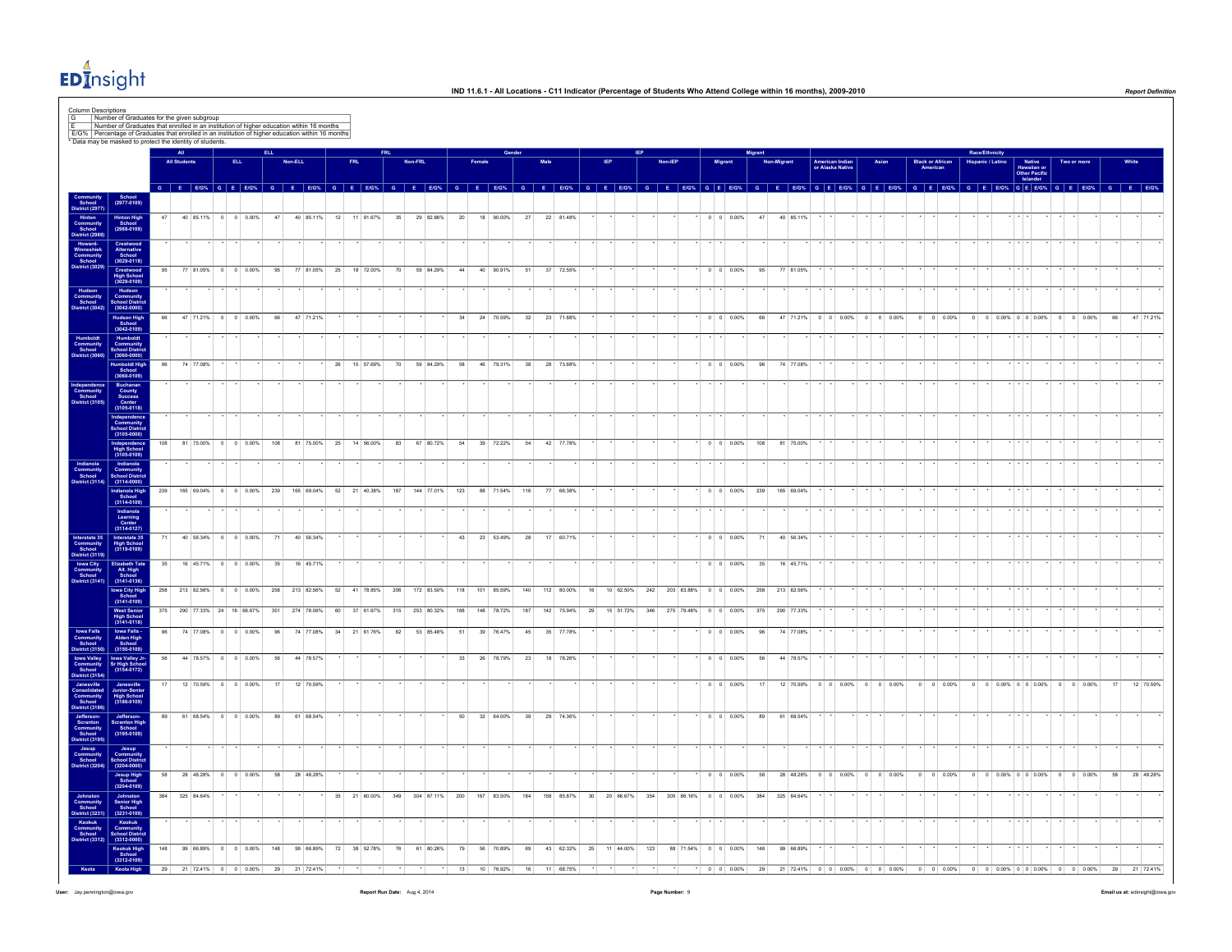

|  | <b>Report Definition</b> |  |
|--|--------------------------|--|

| Column Descriptions                                                                                                                                                                 | G Number of Graduates for the given subgroup<br>E Number of Graduates that enrolled in an institution of higher education within 16 months<br>E/G% Percentage of Graduates that enrolled in an institution of higher education within 16 months<br>* Data may be masked to protect the identity of students. |     |                                                                            |         |                    |     |                   |                        |    |              |              |     |                             |       |    |                                                              |     |      |                              |          |           |     |                                                            |                          |     |                    |                                  |                                              |       |                                     |                         |                    |                |                   |                         |                                                    |             |    |                                                                                                 |  |
|-------------------------------------------------------------------------------------------------------------------------------------------------------------------------------------|--------------------------------------------------------------------------------------------------------------------------------------------------------------------------------------------------------------------------------------------------------------------------------------------------------------|-----|----------------------------------------------------------------------------|---------|--------------------|-----|-------------------|------------------------|----|--------------|--------------|-----|-----------------------------|-------|----|--------------------------------------------------------------|-----|------|------------------------------|----------|-----------|-----|------------------------------------------------------------|--------------------------|-----|--------------------|----------------------------------|----------------------------------------------|-------|-------------------------------------|-------------------------|--------------------|----------------|-------------------|-------------------------|----------------------------------------------------|-------------|----|-------------------------------------------------------------------------------------------------|--|
|                                                                                                                                                                                     |                                                                                                                                                                                                                                                                                                              |     | <b>All Students</b>                                                        |         | FLL.               |     | Non-ELL           |                        |    | FRL.         |              |     | Non-FRL                     |       |    |                                                              |     | Male |                              |          |           |     | Non-IFP                                                    | <b>Migrant</b>           |     | <b>Non-Migrant</b> |                                  | <b>American Indian<br/> or Alaska Native</b> | Asian |                                     | <b>Black or African</b> |                    |                | Hispanic / Latino |                         | Native<br>Hawaiian or<br>Other Pacific<br>Islander | Two or more |    | White                                                                                           |  |
|                                                                                                                                                                                     | School<br>(2977-0109)                                                                                                                                                                                                                                                                                        |     | G E E/G% G E E/G%                                                          |         |                    |     | G E E/G% G E E/G% |                        |    |              |              |     |                             |       |    | G E E/G% G E E/G%                                            |     |      |                              |          |           |     | G E E/G% G E E/G% G E E/G% G E E/G%                        |                          |     |                    |                                  |                                              |       | G E E/G% G E E/G% G E E/G% G E E/G% |                         |                    |                |                   |                         | G E E/G% G E E/G% G E E/G%                         |             |    | $G$ $E$ $E/G$                                                                                   |  |
| Community<br>School<br>District (2977<br>Hinton<br>Community<br>School<br>District (2988<br>Howard-<br>Community<br>Community<br>Community<br>Community<br>Colool<br>District (3029 | Hinton High<br>School<br>(2988-0109)                                                                                                                                                                                                                                                                         | 47  | 40 85.11% 0 0 0.00%                                                        |         |                    | 47  |                   | 40 85.11% 12 11 91.67% |    |              |              | 35  | 29 82.86%                   | 20    |    | 18 90.00%                                                    | 27  |      | 22 81.48%                    |          |           |     |                                                            | $0 \t 0 \t 0.00\%$       | 47  |                    | 40 85.11%                        |                                              |       |                                     |                         |                    |                |                   |                         |                                                    |             |    |                                                                                                 |  |
|                                                                                                                                                                                     | Crestwood<br>Alternative<br>School<br>(3029-0118)                                                                                                                                                                                                                                                            |     |                                                                            |         |                    |     |                   |                        |    |              |              |     |                             |       |    |                                                              |     |      |                              |          |           |     |                                                            |                          |     |                    |                                  |                                              |       |                                     |                         |                    |                |                   |                         |                                                    |             |    |                                                                                                 |  |
|                                                                                                                                                                                     | Crestwood<br>High Schoo<br>(3029-0109)                                                                                                                                                                                                                                                                       | 95  | 77 81.05% 0 0 0.00%                                                        |         |                    | 95  |                   | 77 81.05% 25 18 72.00% |    |              |              | 70  | 59 84.29%                   |       | 44 | 40 90.91%                                                    | 51  |      | 37 72.55%                    |          |           |     |                                                            | $0 \t 0 \t 0.00\%$       |     | 95                 | 77 81.05%                        |                                              |       |                                     |                         |                    |                |                   |                         |                                                    |             |    |                                                                                                 |  |
| Hudson<br>Community<br>School<br>District (3042)                                                                                                                                    | Hudson<br>Community<br>School Distr<br>(3042-0000                                                                                                                                                                                                                                                            |     |                                                                            |         |                    |     |                   |                        |    |              |              |     |                             |       |    |                                                              |     |      |                              |          |           |     |                                                            |                          |     |                    |                                  |                                              |       |                                     |                         |                    |                |                   | $\cdot$ $\cdot$ $\cdot$ |                                                    |             |    |                                                                                                 |  |
|                                                                                                                                                                                     | Hudson High<br>School<br>(3042-0109)                                                                                                                                                                                                                                                                         | 66  | 47 71.21% 0 0 0.00%                                                        |         |                    | 66  |                   | 47 71.21%              |    |              |              |     |                             |       | 34 | 24 70.59%                                                    |     |      | 32 23 71.88%                 |          |           |     |                                                            | $0 \t 0 \t 0.00\%$       | 66  |                    |                                  | 47 71.21% 0 0 0.00% 0 0 0.00%                |       |                                     |                         | $0 \t 0 \t 0.00\%$ |                |                   |                         | $0 \t 0 \t 0.00\%$ 0 0 0 0.00% 0 0 0.00%           |             |    | 66 47 71.21%                                                                                    |  |
| Humboldt<br>Community<br>School<br>District (2000)                                                                                                                                  | Humboldt<br>Community<br>School Distr<br>(3060-0000                                                                                                                                                                                                                                                          | 96  | 74 77.08%                                                                  |         |                    |     |                   |                        |    | 26 15 57.69% |              | 70  | 59 84.29%                   |       | 58 | 46 79.31%                                                    |     |      | 38 28 73.68%                 |          |           |     |                                                            | $\cdot$ 0 0 0.00%        | 96  |                    | 74 77.08%                        |                                              |       |                                     |                         |                    |                |                   | $\cdot$ $\cdot$         |                                                    |             |    |                                                                                                 |  |
| Independence<br>Community<br>School<br>District (3105)                                                                                                                              |                                                                                                                                                                                                                                                                                                              |     |                                                                            |         |                    |     |                   |                        |    |              |              |     |                             |       |    |                                                              |     |      |                              |          |           |     |                                                            |                          |     |                    |                                  |                                              |       |                                     |                         |                    |                |                   |                         |                                                    |             |    |                                                                                                 |  |
|                                                                                                                                                                                     | Buchanan<br>County<br>Success<br>Center<br>(3105-0118)                                                                                                                                                                                                                                                       |     |                                                                            |         |                    |     |                   |                        |    |              |              |     |                             |       |    |                                                              |     |      |                              |          |           |     |                                                            |                          |     |                    |                                  |                                              |       |                                     |                         |                    |                |                   |                         |                                                    |             |    |                                                                                                 |  |
|                                                                                                                                                                                     | Independence<br>Community<br>School Distric<br>(3105-0000)                                                                                                                                                                                                                                                   | 108 | 81 75.00%                                                                  |         | $0 \t 0 \t 0.00\%$ | 108 |                   | 81 75.00%              | 25 |              | 14 56.00%    | 83  | 67 80.72%                   |       | 54 | 39 72.22%                                                    | 54  |      | 42 77.78%                    |          |           |     |                                                            | $0 \t 0 \t 0.00\%$       | 108 |                    | 81 75.00%                        |                                              |       |                                     |                         |                    |                |                   |                         |                                                    |             |    |                                                                                                 |  |
| Indianola<br>Community<br>School<br>District (3114)                                                                                                                                 | Independence<br>(3105-0109)<br>Indianola<br>Community<br>School Distric<br>(3114-0000)                                                                                                                                                                                                                       |     |                                                                            |         |                    |     |                   |                        |    |              |              |     |                             |       |    |                                                              |     |      |                              |          |           |     |                                                            |                          |     |                    |                                  |                                              |       |                                     |                         |                    |                |                   |                         |                                                    |             |    |                                                                                                 |  |
|                                                                                                                                                                                     |                                                                                                                                                                                                                                                                                                              | 239 | 165 69.04% 0 0 0.00%                                                       |         |                    | 239 |                   | 165 69.04%             | 52 |              | 21 40.38%    | 187 | 144 77.01%                  | $123$ |    | 88 71.54%                                                    | 116 |      | 77 66.38%                    |          |           |     |                                                            | $0 \t 0 \t 0.00\%$       | 239 |                    | 165 69.04%                       |                                              |       |                                     |                         |                    |                |                   |                         |                                                    |             |    |                                                                                                 |  |
|                                                                                                                                                                                     | (3114-0000)<br>Indianola High<br>School<br>Indianola<br>Learning<br>Center<br>C3114-0127)<br>Interstate 35<br>High School<br>(3119-0109)                                                                                                                                                                     |     |                                                                            |         |                    |     |                   |                        |    |              |              |     |                             |       |    |                                                              |     |      |                              |          |           |     |                                                            |                          |     |                    |                                  |                                              |       |                                     |                         |                    |                |                   |                         |                                                    |             |    |                                                                                                 |  |
| Interstate 35<br>Community<br>School<br>District (3119)<br>Iowa City<br>Community<br>School<br>District (3141)                                                                      |                                                                                                                                                                                                                                                                                                              | 71  | 40 56.34% 0 0 0.00%                                                        |         |                    | 71  |                   | 40 56.34%              |    |              |              |     |                             |       | 43 | 23 53.49%                                                    | 28  |      | 17 60.71%                    |          |           |     |                                                            | $0 \t 0 \t 0.00%$        | 71  |                    | 40 56.34%                        |                                              |       |                                     |                         |                    |                |                   |                         |                                                    |             |    |                                                                                                 |  |
|                                                                                                                                                                                     | Elizabeth Tate<br>Alt. High<br>School<br>(3141-0136)                                                                                                                                                                                                                                                         | 35  | 16 45.71% 0 0 0.00%                                                        |         |                    | 35  |                   | 16 45.71%              |    |              |              |     |                             |       |    |                                                              |     |      |                              |          |           |     |                                                            | $0 \t 0 \t 0.00\%$       | 35  |                    | 16 45.71%                        |                                              |       |                                     |                         |                    |                |                   |                         |                                                    |             |    |                                                                                                 |  |
|                                                                                                                                                                                     | lowa City High<br>School<br>(3141-0109)                                                                                                                                                                                                                                                                      |     | 258 213 82.56% 0 0 0.00% 258 213 82.56%<br>375 290 77.33% 24 16 66.67% 351 |         |                    |     |                   | 274 78.06%             |    |              |              |     | 60 37 61.67% 315 253 80.32% |       |    | 52 41 78.85% 206 172 83.50% 118 101 85.59%<br>188 148 78.72% | 187 |      | 140 112 80.00%<br>142 75.94% | 16<br>29 | 15 51.72% | 346 | 10 62.50% 242 203 83.88% 0 0 0.00%<br>275 79.48% 0 0 0.00% |                          |     |                    | 258 213 82.56%<br>375 290 77.33% |                                              |       |                                     |                         |                    |                |                   |                         |                                                    |             |    |                                                                                                 |  |
| Iowa Falls<br>Community<br>School<br>District (3150)                                                                                                                                | West Senior<br>High Schoo<br>(3141-0118)<br>Iowa Falls<br>Alden High<br>School<br>(3150-0109)                                                                                                                                                                                                                | 96  | 74 77.08% 0 0 0.00%                                                        |         |                    | 96  |                   | 74 77.08%              |    | 34 21 61.76% |              | 62  | 53 85.48%                   | 51    |    | 39 76.47%                                                    | 45  |      | 35 77.78%                    |          |           |     |                                                            | $0 \t 0 \t 0.00\%$       | 96  |                    | 74 77.08%                        |                                              |       |                                     |                         |                    |                |                   |                         |                                                    |             |    |                                                                                                 |  |
| Internet (1111)<br>Iowa Valley<br>Community<br>School<br>District (3154)                                                                                                            | Iowa Valley Jr.<br>Sr High Schoo<br>(3154-0172)                                                                                                                                                                                                                                                              | 56  | 44 78.57% 0 0 0.00%                                                        |         |                    | 56  |                   | 44 78.57%              |    |              |              |     |                             |       | 33 | 26 78.79%                                                    | 23  |      | 18 78.26%                    |          |           |     |                                                            | $0 \quad 0 \quad 0.00\%$ | 56  |                    | 44 78.57%                        |                                              |       |                                     |                         |                    |                |                   |                         |                                                    |             |    |                                                                                                 |  |
|                                                                                                                                                                                     | Janesville<br>Junior-Senic<br>High Schoo<br>(3186-0109)                                                                                                                                                                                                                                                      | 17  | 12 70.59% 0 0 0.00%                                                        |         |                    | 17  |                   | 12 70.59%              |    |              |              |     |                             |       |    |                                                              |     |      |                              |          |           |     |                                                            | $0 \t 0 \t 0.00\%$       | 17  |                    |                                  | 12 70.59% 0 0 0.00% 0 0 0.00%                |       |                                     |                         | $0 \t 0 \t 0.00\%$ |                |                   |                         | $0$ 0 0.00% 0 0 0.00% 0 0 0.00%                    |             | 17 | 12 70.59%                                                                                       |  |
| Janesville<br>Consolidated<br>Community<br>School<br>Jefferson<br>Scranton<br>Community<br>School<br>District (3195                                                                 |                                                                                                                                                                                                                                                                                                              | 89  | 61 68.54%                                                                  | $\circ$ | 0 0.00%            | 89  |                   | 61 68.54%              |    |              |              |     |                             |       | 50 | 32 64.00%                                                    | 39  |      | 29 74.36%                    |          |           |     |                                                            | $0 \t 0 \t 0.00%$        | 89  |                    | 61 68.54%                        |                                              |       |                                     |                         |                    |                |                   |                         |                                                    |             |    |                                                                                                 |  |
|                                                                                                                                                                                     | Jefferson-<br>Scranton High<br>School<br>(3195-0109)                                                                                                                                                                                                                                                         |     |                                                                            |         |                    |     |                   |                        |    |              |              |     |                             |       |    |                                                              |     |      |                              |          |           |     |                                                            |                          |     |                    |                                  |                                              |       |                                     |                         |                    |                |                   |                         |                                                    |             |    |                                                                                                 |  |
| Jesup<br>Community<br>School<br>District (3204)                                                                                                                                     | Jesup<br>Community<br>School Distr<br>(3204-0000                                                                                                                                                                                                                                                             | 58  | 28 48.28% 0 0 0.00%                                                        |         |                    | 58  |                   | 28 48.28%              |    |              |              |     |                             |       |    |                                                              |     |      |                              |          |           |     |                                                            | $0 \quad 0 \quad 0.00\%$ | 58  |                    |                                  | 28 48.28% 0 0 0.00% 0 0 0.00%                |       |                                     |                         | $0 \t 0 \t 0.00\%$ | $\overline{0}$ |                   |                         | $0 \t0.00\%$ 0 0 0.00% 0 0 0.00%                   |             | 58 | 28 48.28%                                                                                       |  |
| Johnston<br>Community<br>School<br>District (3231                                                                                                                                   | Jesup High<br>School<br>(3204-0109)                                                                                                                                                                                                                                                                          |     | 384 325 84.64%                                                             |         |                    |     |                   |                        |    |              | 35 21 60.00% |     |                             |       |    | 349 304 87.11% 200 167 83.50%                                | 184 |      | 158 85.87% 30 20 66.67%      |          |           | 354 | 305 86.16% 0 0 0.00%                                       |                          | 384 |                    | 325 84.64%                       |                                              |       |                                     |                         |                    |                |                   |                         |                                                    |             |    |                                                                                                 |  |
| Keokuk<br>Community<br>School<br>istrict (3312)                                                                                                                                     | Johnston<br>Senior High<br>School<br>(3231-0109)<br>Keokuk<br>Community<br>School Distri<br>(3312-0000)                                                                                                                                                                                                      |     |                                                                            |         |                    |     |                   |                        |    |              |              |     |                             |       |    |                                                              |     |      |                              |          |           |     |                                                            |                          |     |                    |                                  |                                              |       |                                     |                         |                    |                |                   |                         |                                                    |             |    |                                                                                                 |  |
|                                                                                                                                                                                     | Keokuk High<br>School<br>(3312-0109)                                                                                                                                                                                                                                                                         | 148 | 99 66.89% 0 0 0.00%                                                        |         |                    | 148 |                   | 99 66.89% 72 38 52.78% |    |              |              | 76  | 61 80.26%                   |       | 79 | 56 70.89%                                                    | 69  |      | 43 62.32% 25 11 44.00%       |          |           | 123 | 88 71.54% 0 0 0.00%                                        |                          | 148 |                    | 99 66.89%                        |                                              |       |                                     |                         |                    |                |                   |                         |                                                    |             |    |                                                                                                 |  |
| Keota                                                                                                                                                                               | Keota High                                                                                                                                                                                                                                                                                                   |     | 29 21 72.41% 0 0 0.00% 29 21 72.41%                                        |         |                    |     |                   |                        |    |              |              |     |                             |       | 13 | 10 76.92%                                                    |     |      | 16 11 68.75%                 |          |           |     |                                                            |                          |     |                    |                                  |                                              |       |                                     |                         |                    |                |                   |                         |                                                    |             |    | * 0 0 0.00% 29 21 72.41% 0 0 0.00% 0 0.00% 0 0.00% 0 0.00% 0 0.00% 0 0.00% 0 0.00% 29 21 72.41% |  |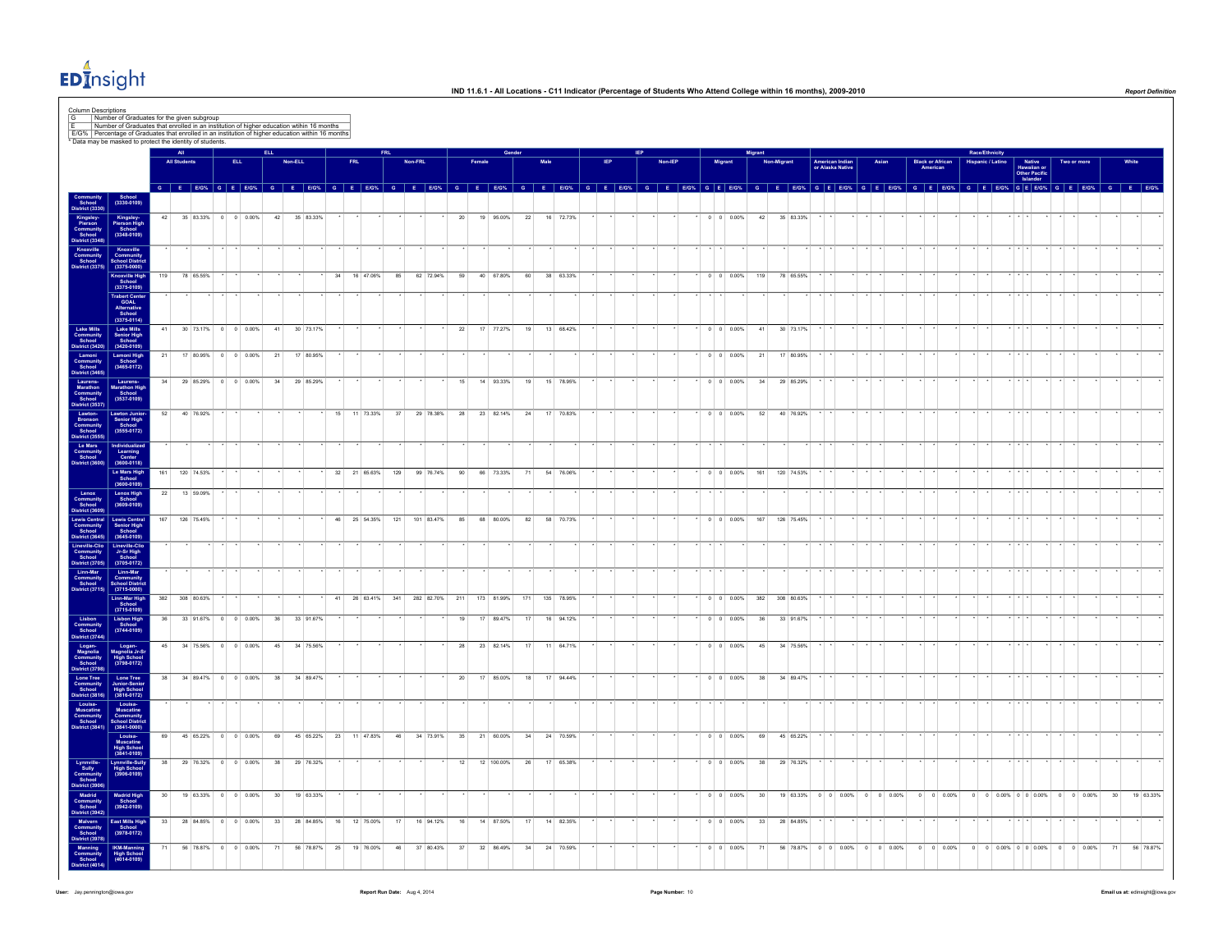

| <b>Report Definition</b> |  |  |
|--------------------------|--|--|
|                          |  |  |

|                                                                                                                                                                                                                                                    |                                                                                               |                 | * Data may be masked to protect the identity of students. |                     |      |                 |              | E/G% Percentage of Graduates that enrolled in an institution of higher education within 16 months |    |            |                                            |    |                    |           |                 |          |              |        |      |            |            |          |                   |  |                          |     |                    |              |                                     |                                            |                               |                                      |  |                                                                                            |                                                    |             |                                 |    |           |           |
|----------------------------------------------------------------------------------------------------------------------------------------------------------------------------------------------------------------------------------------------------|-----------------------------------------------------------------------------------------------|-----------------|-----------------------------------------------------------|---------------------|------|-----------------|--------------|---------------------------------------------------------------------------------------------------|----|------------|--------------------------------------------|----|--------------------|-----------|-----------------|----------|--------------|--------|------|------------|------------|----------|-------------------|--|--------------------------|-----|--------------------|--------------|-------------------------------------|--------------------------------------------|-------------------------------|--------------------------------------|--|--------------------------------------------------------------------------------------------|----------------------------------------------------|-------------|---------------------------------|----|-----------|-----------|
|                                                                                                                                                                                                                                                    |                                                                                               |                 | <b>All Students</b>                                       |                     | ELL. |                 | Non-ELL      |                                                                                                   |    | <b>FRL</b> |                                            |    | Non-FRL            |           |                 |          |              |        | Male |            | <b>IFP</b> |          | Non-IEP           |  | Migrant                  |     | <b>Non-Migrant</b> |              | American Indian<br>or Alaska Native |                                            | Asian                         | <b>Black or African<br/>American</b> |  | <b>Race/Ethnicity</b><br><b>Hispanic / Latino</b>                                          | Native<br>Hawaiian or<br>Other Pacific<br>Islander | Two or more |                                 |    | White     |           |
|                                                                                                                                                                                                                                                    |                                                                                               |                 | G E E/G% G E E/G%                                         |                     |      |                 | G E E/G%     |                                                                                                   |    |            | G E E/G%                                   |    | G E E/G%           |           |                 | G E E/G% |              |        |      | G E E/G%   |            | G E E/G% | G E E/G% G E E/G% |  |                          |     |                    |              |                                     |                                            | G E EIG% G E EIG% G E EIG%    | G E E/G%                             |  | G E E/G% G E E/G% G E E/G%                                                                 |                                                    |             |                                 |    |           |           |
| Community<br>School<br>Vistrict (333                                                                                                                                                                                                               | School<br>(3330-0109)                                                                         |                 |                                                           |                     |      |                 |              |                                                                                                   |    |            |                                            |    |                    |           |                 |          |              |        |      |            |            |          |                   |  |                          |     |                    |              |                                     |                                            |                               |                                      |  |                                                                                            |                                                    |             |                                 |    |           |           |
| Kingsley<br>Pierson<br>Communi<br>School<br>District (33                                                                                                                                                                                           | Kingsley<br>Pierson High<br>School<br>(3348-0109)                                             | 42              | 35 83.33% 0 0 0.00%                                       |                     |      |                 |              | 42 35 83.33%                                                                                      |    |            |                                            |    |                    |           | 20              |          | 19 95.00%    | 22     |      | 16 72.73%  |            |          |                   |  | $0 \t 0 \t 0.00%$        |     |                    | 42 35 83.33% |                                     |                                            |                               |                                      |  |                                                                                            |                                                    |             |                                 |    |           |           |
| Knoxville<br>Community<br>School<br>District (3375)                                                                                                                                                                                                | Knoxville<br>Community<br>School Distric<br>(3375-0000)                                       |                 |                                                           |                     |      |                 |              |                                                                                                   |    |            |                                            |    |                    |           |                 |          |              |        |      |            |            |          |                   |  |                          |     |                    |              |                                     |                                            |                               |                                      |  |                                                                                            |                                                    |             |                                 |    |           |           |
|                                                                                                                                                                                                                                                    | Knoxville High<br>School<br>(3375-0109)                                                       | 119             | 78 65.55%                                                 |                     |      |                 |              |                                                                                                   | 34 |            | 16 47.06%                                  |    | 62 72.94%          |           | 59              |          | 40 67.80%    | 60     |      | 38 63.33%  |            |          |                   |  | $0 \t 0 \t 0.00%$        | 119 |                    | 78 65.55%    |                                     |                                            |                               |                                      |  |                                                                                            |                                                    |             |                                 |    |           |           |
|                                                                                                                                                                                                                                                    | Trabert Cente<br>GOAL<br>Alternative<br>School<br>(3375-0114)                                 |                 |                                                           |                     |      |                 |              |                                                                                                   |    |            |                                            |    |                    |           |                 |          |              |        |      |            |            |          |                   |  |                          |     |                    |              |                                     |                                            |                               |                                      |  |                                                                                            |                                                    |             |                                 |    |           |           |
|                                                                                                                                                                                                                                                    |                                                                                               | 41              | 30 73.17% 0 0 0.00%                                       |                     |      | 41              |              | 30 73.17%                                                                                         |    |            |                                            |    |                    |           | 22              |          | 17 77.27%    | 19     |      | 13 68.42%  |            |          |                   |  | $0 \t 0 \t 0.00%$        | 41  |                    | 30 73.17%    |                                     |                                            |                               |                                      |  |                                                                                            |                                                    |             |                                 |    |           |           |
|                                                                                                                                                                                                                                                    | Lake Mills<br>Senior High<br>School<br>(3420-0109)                                            |                 | $21$ 17 80.95% 0 0 0.00%                                  |                     |      |                 | 21 17 80.95% |                                                                                                   |    |            |                                            |    |                    |           |                 |          |              |        |      |            |            |          |                   |  | $0 \t 0 \t 0.00%$        |     |                    | 21 17 80.95% |                                     |                                            |                               |                                      |  |                                                                                            |                                                    |             |                                 |    |           |           |
|                                                                                                                                                                                                                                                    | Lamoni High<br>School<br>(3465-0172)                                                          |                 |                                                           |                     |      |                 |              |                                                                                                   |    |            |                                            |    |                    |           |                 |          |              |        |      |            |            |          |                   |  |                          |     |                    |              |                                     |                                            |                               |                                      |  |                                                                                            |                                                    |             |                                 |    |           |           |
|                                                                                                                                                                                                                                                    | Laurens-<br>Marathon High<br>School<br>(3537-0109)                                            | 34              | 29 85.29% 0 0 0.00%                                       |                     |      | 34              |              | 29 85.29%                                                                                         |    |            |                                            |    |                    |           | 15              |          | 14 93.33%    | 19     |      | 15 78.95%  |            |          |                   |  | $0 \t 0 \t 0.00\%$       | 34  |                    | 29 85.29%    |                                     |                                            |                               |                                      |  |                                                                                            |                                                    |             |                                 |    |           |           |
| $[{\rm Lake~Millis}\label{eq:1} {\it Commanity\br/>School\br/>School\br/>Lamonality\br/>Lambda\br/>Community\br/>Cammunity\br/>Sortic (3465)\br/>Laurens-Mamunity\br/>Community\br/>Community\br/>Kret (3537)\br/>Lawton-Momunity\br/>Sects(3558)$ | Lawton Junior<br>Senior High<br>School<br>(3555-0172)                                         | 52              | 40 76.92%                                                 |                     |      |                 |              |                                                                                                   | 15 |            | 11 73.33%                                  | 37 | 29 78.38%          |           | ${\bf 28}$      |          | 23 82.14%    | $24\,$ |      | 17 70.83%  |            |          |                   |  |                          | 52  |                    | 40 76.92%    |                                     |                                            |                               |                                      |  |                                                                                            |                                                    |             |                                 |    |           |           |
| Le Mars<br>Community<br>School<br>District (3600)                                                                                                                                                                                                  | Individualized<br>Learning<br>Center<br>(3600-0118)                                           |                 |                                                           |                     |      |                 |              |                                                                                                   |    |            |                                            |    |                    |           |                 |          |              |        |      |            |            |          |                   |  |                          |     |                    |              |                                     |                                            |                               |                                      |  |                                                                                            |                                                    |             |                                 |    |           |           |
|                                                                                                                                                                                                                                                    | Le Mars High<br>School<br>(3600-0109)                                                         |                 | 161 120 74.53%                                            |                     |      |                 |              |                                                                                                   |    |            | 32 21 65.63% 129 99 76.74% 90 66 73.33% 71 |    |                    |           |                 |          |              |        |      | 54 76.06%  |            |          |                   |  | 0 0 0.00% 161 120 74.53% |     |                    |              |                                     |                                            |                               |                                      |  |                                                                                            |                                                    |             |                                 |    |           |           |
| Lenox<br>Community<br>School<br>District (3609)                                                                                                                                                                                                    | Lenox High<br>School<br>(3609-0109)                                                           |                 | 22 13 59.09%                                              |                     |      |                 |              |                                                                                                   |    |            |                                            |    |                    |           |                 |          |              |        |      |            |            |          |                   |  |                          |     |                    |              |                                     |                                            |                               |                                      |  |                                                                                            |                                                    |             |                                 |    |           |           |
|                                                                                                                                                                                                                                                    | District (3009)<br>Lewis Central<br>Community<br>School School<br>District (3645) (3645-0109) |                 | 167 126 75.45%                                            |                     |      |                 |              |                                                                                                   |    |            | 46 25 54.35% 121 101 83.47%                |    |                    |           | 85              |          | 68 80.00%    | 82     |      | 58 70.73%  |            |          |                   |  | 0 0 0.00% 167 126 75.45% |     |                    |              |                                     |                                            |                               |                                      |  |                                                                                            |                                                    |             |                                 |    |           |           |
| Lineville-Clio<br>Community<br>School<br>District (3705)                                                                                                                                                                                           | Lineville-Clic<br>Jr-Sr High<br>School<br>(3705-0172)                                         |                 |                                                           |                     |      |                 |              |                                                                                                   |    |            |                                            |    |                    |           |                 |          |              |        |      |            |            |          |                   |  |                          |     |                    |              |                                     |                                            |                               |                                      |  |                                                                                            |                                                    |             |                                 |    |           |           |
| Linn-Mar<br>Community<br>School<br>District (3715)                                                                                                                                                                                                 |                                                                                               |                 |                                                           |                     |      |                 |              |                                                                                                   |    |            |                                            |    |                    |           |                 |          |              |        |      |            |            |          |                   |  |                          |     |                    |              |                                     |                                            |                               |                                      |  |                                                                                            |                                                    |             |                                 |    |           |           |
|                                                                                                                                                                                                                                                    | Linn-Mar<br>Community<br>School Distric<br>(3715-0000)                                        |                 | 382 308 80.63%                                            |                     |      |                 |              |                                                                                                   |    |            | 26 63.41%                                  |    | 341 282 82.70% 211 |           |                 |          | 173 81.99%   | 171    |      | 135 78.95% |            |          |                   |  | $0 \t 0 \t 0.00%$        |     | 382 308 80.63%     |              |                                     |                                            |                               |                                      |  |                                                                                            |                                                    |             |                                 |    |           |           |
|                                                                                                                                                                                                                                                    | Linn-Mar High<br>School<br>(3715-0109)<br>Lisbon High<br>School<br>(3744-0109)                | 36              |                                                           | 33 91.67% 0 0 0.00% |      | 36              |              | 33 91.67%                                                                                         |    |            |                                            |    |                    |           | 19              |          | 17 89.47%    | 17     |      | 16 94.12%  |            |          |                   |  | $0 \t 0 \t 0.00\%$       | 36  |                    | 33 91.67%    |                                     |                                            |                               |                                      |  |                                                                                            |                                                    |             |                                 |    |           |           |
|                                                                                                                                                                                                                                                    |                                                                                               | 45              |                                                           | 34 75.56% 0 0 0.00% |      | 45              |              | 34 75.56%                                                                                         |    |            |                                            |    |                    |           | 28              |          | 23 82.14%    | 17     |      | 11 64.71%  |            |          |                   |  | $0 \t 0 \t 0.00\%$       | 45  |                    | 34 75.56%    |                                     |                                            |                               |                                      |  |                                                                                            |                                                    |             |                                 |    |           |           |
|                                                                                                                                                                                                                                                    | Logan-<br>Magnolia Jr-Sr<br>High School<br>(3798-0172)                                        |                 |                                                           |                     |      |                 |              |                                                                                                   |    |            |                                            |    |                    |           |                 |          |              |        |      |            |            |          |                   |  |                          |     |                    |              |                                     |                                            |                               |                                      |  |                                                                                            |                                                    |             |                                 |    |           |           |
| Lisbon<br>Community<br>Strict (3744)<br>District (3744)<br>Logan-<br>Magnolia<br>Community<br>School<br>Community<br>Community<br>Community<br>School<br>District (3816)<br>District (3816)                                                        | Lone Tree<br>Junior-Senior<br>High School<br>(3816-0172)                                      | 38              | 34 89.47% 0 0 0.00%                                       |                     |      | 38              |              | 34 89.47%                                                                                         |    |            |                                            |    |                    |           | 20 <sub>1</sub> |          | 17 85,00%    | 18     |      | 17 94.44%  |            |          |                   |  | $0 \quad 0 \quad 0.00\%$ |     |                    | 38 34 89.47% |                                     |                                            |                               |                                      |  |                                                                                            |                                                    |             |                                 |    |           |           |
| Louisa-<br>Muscatine<br>Community<br>School<br>District (3841)                                                                                                                                                                                     | Louisa-<br>Muscatine<br>Community<br>School Distric<br>(3841-0000)                            |                 |                                                           |                     |      |                 |              |                                                                                                   |    |            |                                            |    |                    |           |                 |          |              |        |      |            |            |          |                   |  |                          |     |                    |              |                                     |                                            |                               |                                      |  |                                                                                            |                                                    |             |                                 |    |           |           |
|                                                                                                                                                                                                                                                    |                                                                                               | 69              | 45 65.22% 0 0 0.00% 69 45 65.22% 23 11 47.83%             |                     |      |                 |              |                                                                                                   |    |            |                                            | 46 | 34 73.91%          |           |                 |          | 35 21 60.00% | 34     |      | 24 70.59%  |            |          |                   |  | $0 \t 0 \t 0.00\%$       |     |                    | 69 45 65.22% |                                     |                                            |                               |                                      |  |                                                                                            |                                                    |             |                                 |    |           |           |
|                                                                                                                                                                                                                                                    | Louisa-<br>Muscatine<br>High School<br>(3841-0109)                                            |                 | 38 29 76.32% 0 0 0.00% 38 29 76.32%                       |                     |      |                 |              |                                                                                                   |    |            |                                            |    |                    |           | 12              |          | 12 100.00%   | 26     |      | 17 65.38%  |            |          |                   |  | 0 0 0.00% 38 29 76.32%   |     |                    |              |                                     |                                            |                               |                                      |  |                                                                                            |                                                    |             |                                 |    |           |           |
| Lynnville<br>Sully<br>Community<br>School<br>School<br>Madrid<br>Community<br>School<br>Malvern<br>Malver<br>Community<br>School<br>Malvern<br>School<br>District (3978)<br>District (3978)<br>District (3978)                                     | Lynnville-Sully<br>High School<br>(3906-0109)                                                 |                 |                                                           |                     |      |                 |              |                                                                                                   |    |            |                                            |    |                    |           |                 |          |              |        |      |            |            |          |                   |  |                          |     |                    |              |                                     |                                            |                               |                                      |  |                                                                                            |                                                    |             |                                 |    |           |           |
|                                                                                                                                                                                                                                                    | Madrid High<br>School<br>(3942-0109)                                                          | 30 <sup>°</sup> |                                                           | 19 63.33% 0 0 0.00% |      | 30 <sub>o</sub> |              | 19 63.33%                                                                                         |    |            |                                            |    |                    |           |                 |          |              |        |      |            |            |          |                   |  | $0 \t 0 \t 0.00\%$       | 30  |                    |              |                                     |                                            | 19 63.33% 0 0 0.00% 0 0 0.00% | $0 \t 0 \t 0.00\%$                   |  | $0 \qquad 0 \qquad 0.00\% \qquad 0 \qquad 0 \qquad 0.00\% \qquad 0 \qquad 0 \qquad 0.00\%$ |                                                    |             |                                 | 30 | 19 63.33% |           |
|                                                                                                                                                                                                                                                    | East Mills High<br>School<br>(3978-0172)                                                      | 33              | 28 84.85% 0 0 0.00%                                       |                     |      | 33              |              |                                                                                                   |    |            | 28 84.85% 16 12 75.00%                     | 17 |                    | 16 94.12% | 16              |          | 14 87.50%    | 17     |      | 14 82.35%  |            |          |                   |  | $0 \t 0 \t 0.00\%$       |     |                    | 33 28 84.85% |                                     |                                            |                               |                                      |  |                                                                                            |                                                    |             |                                 |    |           |           |
|                                                                                                                                                                                                                                                    | IKM-Manning<br>High School<br>(4014-0109)                                                     | 71              |                                                           | 56 78.87% 0 0 0.00% |      | 71              |              | 56 78.87% 25 19 76.00%                                                                            |    |            |                                            | 46 | 37 80.43%          |           | 37              |          | 32 86.49%    | 34     |      | 24 70.59%  |            |          |                   |  | $0 \t 0 \t 0.00\%$       |     |                    |              |                                     | 71 56 78.87% 0 0 0.00% 0 0 0.00% 0 0 0.00% |                               |                                      |  |                                                                                            |                                                    |             | $0$ 0 0.00% 0 0 0.00% 0 0 0.00% |    | 71        | 56 78.87% |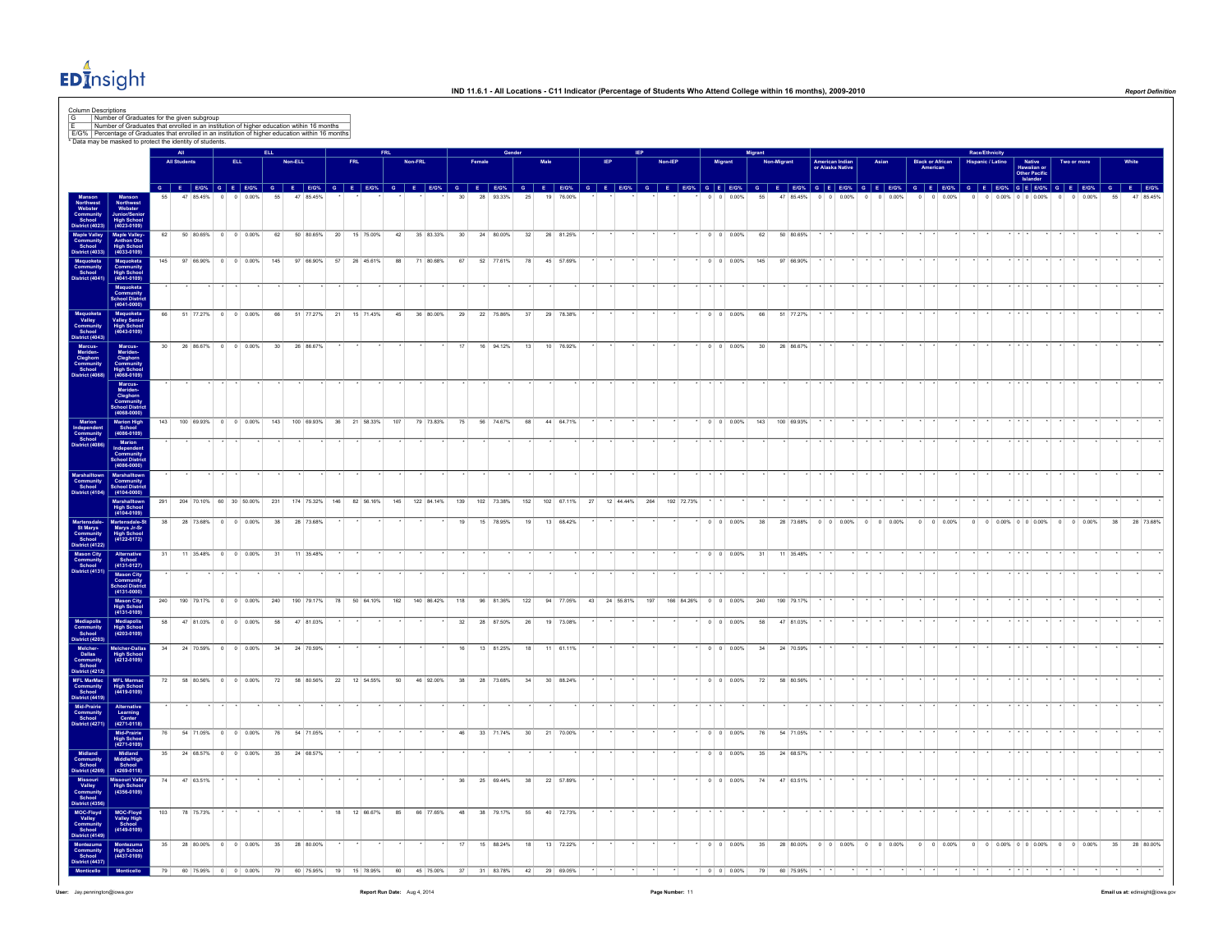

| Column Descriptions                                                                                                                                                                                      | G Number of Graduates for the given subgroup<br>E Number of Graduates that enrolled in an institution<br>Number of Graduates that enrolled in an institution of higher education wtihin 16 months<br>E/G% Percentage of Graduates that enrolled in an institution of higher education within 16 months<br>* Data may be masked to protect the identity of students. |            |                             |                    |                 |                                                                                                                                                                                                                                |    |              |       |              |            |        |                                                  |            |              |    |           |               |     |            |                          |                 |              |            |                  |            |                               |                            |  |                                                    |                                 |    |           |           |
|----------------------------------------------------------------------------------------------------------------------------------------------------------------------------------------------------------|---------------------------------------------------------------------------------------------------------------------------------------------------------------------------------------------------------------------------------------------------------------------------------------------------------------------------------------------------------------------|------------|-----------------------------|--------------------|-----------------|--------------------------------------------------------------------------------------------------------------------------------------------------------------------------------------------------------------------------------|----|--------------|-------|--------------|------------|--------|--------------------------------------------------|------------|--------------|----|-----------|---------------|-----|------------|--------------------------|-----------------|--------------|------------|------------------|------------|-------------------------------|----------------------------|--|----------------------------------------------------|---------------------------------|----|-----------|-----------|
|                                                                                                                                                                                                          |                                                                                                                                                                                                                                                                                                                                                                     | All Studer |                             | ELL                |                 | Non-ELL                                                                                                                                                                                                                        |    | <b>FRL</b>   |       |              |            |        |                                                  |            |              |    |           |               |     |            |                          |                 |              |            | or Alaska Nativi | ican India |                               | <b>Black or Africar</b>    |  | Native<br>Hawaiian or<br>Other Pacific<br>Islander | <b>Two or more</b>              |    |           |           |
|                                                                                                                                                                                                          |                                                                                                                                                                                                                                                                                                                                                                     |            |                             |                    |                 | G E EIGN G E EIGN G E EIGN G E EIGN G E EIGN G E EIGN G E EIGN G E EIGN G E EIGN G E EIGN G E EIGN G E EIGN G E EIGN G E EIGN G E EIGN G E EIGN G E EIGN G E EIGN G E EIGN G E EIGN G E EIGN G E EIGN G E EIGN G E EIGN G E EI |    |              |       |              |            |        |                                                  |            |              |    |           |               |     |            |                          |                 |              |            |                  |            |                               |                            |  |                                                    |                                 |    | G E E/G%  |           |
| Manson<br>Northwest<br>Webster<br>Community<br>School                                                                                                                                                    | Northwest<br>Webster<br>Junior/Senio<br>High School<br>(4023-0109)                                                                                                                                                                                                                                                                                                  |            |                             | 0.00%              |                 | 47 85.45%                                                                                                                                                                                                                      |    |              |       |              |            |        | 93.33%                                           |            |              |    |           |               |     |            | 0.00%                    |                 | 47           |            |                  |            |                               | 0.00%                      |  |                                                    |                                 |    |           |           |
|                                                                                                                                                                                                          | Maple Valley<br>Anthon Oto<br>High School<br>(4033-0109)                                                                                                                                                                                                                                                                                                            | 62         | 50 80.65% 0 0 0.00%         |                    | 62              | 50 80.65% 20 15 75.00%                                                                                                                                                                                                         |    |              |       | 42 35 83.33% |            | 30     | 24 80.00%                                        |            | 32 26 81.25% |    |           |               |     |            | $0 \t 0 \t 0.00%$        | 62              |              | 50 80.65%  |                  |            |                               |                            |  |                                                    |                                 |    |           |           |
| Maple Valley<br>Community<br>School<br>District (4033)<br>Maquoketa<br>Community<br>School<br>District (4041)                                                                                            | Maquoketa<br>Community<br>High School<br>(4041-0109)                                                                                                                                                                                                                                                                                                                | 145        |                             |                    |                 | 97 66.90% 0 0 0.00% 145 97 66.90% 57 26 45.61% 88 71 80.68% 67 52 77.61%                                                                                                                                                       |    |              |       |              |            |        |                                                  |            | 78 45 57.69% |    |           |               |     |            | $0 \quad 0 \quad 0.00\%$ | 145             |              | 97 66.90%  |                  |            |                               |                            |  |                                                    |                                 |    |           |           |
|                                                                                                                                                                                                          | Maquoketa<br>Community<br>School Distric<br>(4041-0000)                                                                                                                                                                                                                                                                                                             |            |                             |                    |                 |                                                                                                                                                                                                                                |    |              |       |              |            |        |                                                  |            |              |    |           |               |     |            |                          |                 |              |            |                  |            |                               |                            |  |                                                    |                                 |    |           |           |
|                                                                                                                                                                                                          | Maquoketa<br>Valley Senior<br>High School<br>(4043-0109)                                                                                                                                                                                                                                                                                                            | 66         | 51 77.27% 0 0 0.00%         |                    | 66              |                                                                                                                                                                                                                                |    |              |       |              |            |        | 51 77.27% 21 15 71.43% 45 36 80.00% 29 22 75.86% | 37         | 29 78.38%    |    |           |               |     |            | $0 \t 0 \t 0.00\%$       | 66              |              | 51 77.27%  |                  |            |                               |                            |  |                                                    |                                 |    |           |           |
| Maquoketa<br>Valley<br>Community<br>School<br>District (4043)<br>Marcus-<br>Meriden-<br>Cleghorn<br>Community<br>School<br>District (4068)                                                               |                                                                                                                                                                                                                                                                                                                                                                     | 30         | 26 86.67% 0 0 0.00%         |                    | 30 <sub>1</sub> | 26 86.67%                                                                                                                                                                                                                      |    |              |       |              |            | 17     | 16 94.12%                                        | 13         | 10 76.92%    |    |           |               |     |            | $0 \t 0 \t 0.00\%$       | 30 <sup>°</sup> |              | 26 86.67%  |                  |            |                               |                            |  |                                                    |                                 |    |           |           |
|                                                                                                                                                                                                          | Marcus-<br>Meriden-<br>Cleghorn<br>Community<br>High School<br>(4068-0109)                                                                                                                                                                                                                                                                                          |            |                             |                    |                 |                                                                                                                                                                                                                                |    |              |       |              |            |        |                                                  |            |              |    |           |               |     |            |                          |                 |              |            |                  |            |                               |                            |  |                                                    |                                 |    |           |           |
|                                                                                                                                                                                                          | Marcus-<br>Meriden-<br>Cleghorn<br>Community<br>School Distric<br>(4068-0000)                                                                                                                                                                                                                                                                                       |            |                             |                    |                 |                                                                                                                                                                                                                                |    |              |       |              |            |        |                                                  |            |              |    |           |               |     |            |                          |                 |              |            |                  |            |                               |                            |  |                                                    |                                 |    |           |           |
| Marion<br>Independent<br>Community<br>School<br>District (4086)                                                                                                                                          |                                                                                                                                                                                                                                                                                                                                                                     | 143        | 100 69.93% 0 0 0.00%        |                    | 143             | 100 69.93%                                                                                                                                                                                                                     |    | 36 21 58.33% | $107$ |              | 79 73.83%  | 75     | 56 74.67%                                        | 68         | 44 64.71%    |    |           |               |     |            | $0 \t 0 \t 0.00\%$       | 143             |              | 100 69.93% |                  |            |                               |                            |  |                                                    |                                 |    |           |           |
|                                                                                                                                                                                                          | Marion High<br>School<br>(4086-0109)<br>Marion<br>Independent<br>Community<br>School Distric<br>(4086-0000)                                                                                                                                                                                                                                                         |            |                             |                    |                 |                                                                                                                                                                                                                                |    |              |       |              |            |        |                                                  |            |              |    |           |               |     |            |                          |                 |              |            |                  |            |                               |                            |  |                                                    |                                 |    |           |           |
| Marshalltown<br>Community<br>School<br>District (4104)                                                                                                                                                   | Marshalltown<br>Community<br>School Distric<br>(4104-0000)                                                                                                                                                                                                                                                                                                          |            |                             |                    |                 |                                                                                                                                                                                                                                |    |              |       |              |            |        |                                                  |            |              |    |           |               |     |            |                          |                 |              |            |                  |            |                               |                            |  |                                                    |                                 |    |           |           |
|                                                                                                                                                                                                          | Marshalltown<br>High School<br>(4104-0109)                                                                                                                                                                                                                                                                                                                          |            | 291 204 70.10% 60 30 50.00% |                    | 231             | 174 75.32%                                                                                                                                                                                                                     |    | 82 56.16%    | 145   |              | 122 84.14% | 139    | 102 73.38%                                       | 152        | 102 67.11%   | 27 |           | 12 44.44% 264 |     | 192 72.73% |                          |                 |              |            |                  |            |                               |                            |  |                                                    |                                 |    |           |           |
| Martensdale<br>St Marys<br>Community<br>School<br>District (4122)<br>Mason City<br>Community<br>School<br>District (4131)                                                                                | Martensdale-S<br>Marys Jr-Sr<br>High School<br>(4122-0172)                                                                                                                                                                                                                                                                                                          | 38         | 28 73.68% 0 0 0.00%         |                    | 38              | 28 73.68%                                                                                                                                                                                                                      |    |              |       |              |            | 19     | 15 78.95%                                        | 19         | 13 68.42%    |    |           |               |     |            | $0 \t 0 \t 0.00\%$       | 38              |              |            |                  |            | 28 73.68% 0 0 0.00% 0 0 0.00% | $0 \t 0 \t 0.00\%$         |  | $0$ 0 0.00% 0 0 0.00%                              | $0 - 0.00%$                     | 38 | 28 73.68% |           |
|                                                                                                                                                                                                          | Alternative<br>School<br>(4131-0127)                                                                                                                                                                                                                                                                                                                                | 31         | 11 35.48% 0 0 0.00%         |                    | 31              | 11 35.48%                                                                                                                                                                                                                      |    |              |       |              |            |        |                                                  |            |              |    |           |               |     |            | $0 \t 0 \t 0.00\%$       | 31              |              | 11 35.48%  |                  |            |                               |                            |  |                                                    |                                 |    |           |           |
|                                                                                                                                                                                                          | Mason City<br>Community<br>School Distric<br>(4131-0000)                                                                                                                                                                                                                                                                                                            |            |                             |                    |                 |                                                                                                                                                                                                                                |    |              |       |              |            |        |                                                  |            |              |    |           |               |     |            |                          |                 |              |            |                  |            |                               |                            |  |                                                    |                                 |    |           |           |
|                                                                                                                                                                                                          | Mason City<br>High School<br>(4131-0109)                                                                                                                                                                                                                                                                                                                            | 240        | 190 79.17% 0 0 0.00%        |                    | 240             | 190 79.17%                                                                                                                                                                                                                     | 78 | 50 64.10%    | 162   |              | 140 86.42% | 118    | 96 81.36%                                        | 122        | 94 77.05%    | 43 | 24 55.81% |               | 197 | 166 84.26% | $0 \t 0 \t 0.00%$        | 240             |              | 190 79.17% |                  |            |                               |                            |  |                                                    |                                 |    |           |           |
|                                                                                                                                                                                                          | Mediapolis<br>High School<br>(4203-0109)                                                                                                                                                                                                                                                                                                                            | 58         | 47 81.03% 0 0 0.00%         |                    | 58              | 47 81.03%                                                                                                                                                                                                                      |    |              |       |              |            | $32\,$ | 28 87.50%                                        | ${\bf 26}$ | 19 73.08%    |    |           |               |     |            | $0 \t 0 \t 0.00\%$       | 58              |              | 47 81.03%  |                  |            |                               |                            |  |                                                    |                                 |    |           |           |
| Mediapolis<br>Community<br>Strict (4203)<br>Melcher-<br>Dallas<br>Community<br>School<br>District (4212)<br>Community<br>Community<br>Community<br>District (4419)<br>District (4419)<br>District (4419) | Melcher-Dallar<br>High School<br>(4212-0109)                                                                                                                                                                                                                                                                                                                        | 34         | 24 70.59% 0 0 0.00%         |                    | 34              | 24 70.59%                                                                                                                                                                                                                      |    |              |       |              |            |        | 13 81.25%                                        | 18         | 11 61.11%    |    |           |               |     |            | $0 \t 0 \t 0.00\%$       | 34              |              | 24 70.59%  |                  |            |                               |                            |  |                                                    |                                 |    |           |           |
|                                                                                                                                                                                                          | MFL Marmac<br>High School<br>(4419-0109)                                                                                                                                                                                                                                                                                                                            | 72         | 58 80.56% 0 0 0.00%         |                    | 72              | 58 80.56% 22 12 54.55%                                                                                                                                                                                                         |    |              | 50    |              | 46 92.00%  | 38     | 28 73.68%                                        |            | 34 30 88.24% |    |           |               |     |            | $0 \quad 0 \quad 0.00\%$ |                 | 72 58 80.56% |            |                  |            |                               |                            |  |                                                    |                                 |    |           |           |
| Mid-Prairie<br>Community<br>School<br>District (4271)                                                                                                                                                    | Alternative<br>Learning<br>Center<br>(4271-0118)                                                                                                                                                                                                                                                                                                                    |            |                             |                    |                 |                                                                                                                                                                                                                                |    |              |       |              |            |        |                                                  |            |              |    |           |               |     |            |                          |                 |              |            |                  |            |                               |                            |  |                                                    |                                 |    |           |           |
|                                                                                                                                                                                                          | Mid-Prairie<br>High School<br>(4271-0109)                                                                                                                                                                                                                                                                                                                           | 76         | 54 71.05% 0 0 0.00%         |                    | 76              | 54 71.05%                                                                                                                                                                                                                      |    |              |       |              |            | 46     | 33 71.74%                                        | 30         | 21 70.00%    |    |           |               |     |            | $0 \t 0 \t 0.00%$        | 76              |              | 54 71.05%  |                  |            |                               |                            |  |                                                    |                                 |    |           |           |
| Midland<br>Community<br>School<br>District (4269)                                                                                                                                                        | Midland<br>Middle/High<br>School<br>(4269-0118)                                                                                                                                                                                                                                                                                                                     | 35         | 24 68.57% 0 0 0.00%         |                    | 35              | 24 68.57%                                                                                                                                                                                                                      |    |              |       |              |            |        |                                                  |            |              |    |           |               |     |            | $0 \quad 0 \quad 0.00\%$ | 35              |              | 24 68.57%  |                  |            |                               |                            |  |                                                    |                                 |    |           |           |
|                                                                                                                                                                                                          | Missouri Valle<br>High School<br>(4356-0109)                                                                                                                                                                                                                                                                                                                        | 74         | 47 63.51%                   |                    |                 |                                                                                                                                                                                                                                |    |              |       |              |            | 36     | 25 69.44%                                        | 38         | 22 57.89%    |    |           |               |     |            | $0 \t 0 \t 0.00\%$       | 74              |              | 47 63.51%  |                  |            |                               |                            |  |                                                    |                                 |    |           |           |
| Missouri<br>Valley<br>Community<br>School<br>District (4366<br>MOC-Floyd<br>Valley<br>Community<br>School<br>District (4149                                                                              | MOC-Floyd<br>Valley High<br>School<br>(4149-0109)                                                                                                                                                                                                                                                                                                                   | $103\,$    | 78 75.73%                   |                    |                 |                                                                                                                                                                                                                                | 18 | 12 66.67%    | 85    |              | 66 77.65%  | 48     | 38 79.17%                                        | 55         | 40 72.73%    |    |           |               |     |            |                          |                 |              |            |                  |            |                               |                            |  |                                                    |                                 |    |           |           |
| Montezuma<br>Community<br>School<br>Vistrict (4437                                                                                                                                                       | Montezuma<br>High School<br>(4437-0109)                                                                                                                                                                                                                                                                                                                             | 35         | 28 80.00%                   | $0 \t 0 \t 0.00\%$ | 35              | 28 80.00%                                                                                                                                                                                                                      |    |              |       |              |            | 17     | 15 88.24%                                        | 18         | 13 72.22%    |    |           |               |     |            | $0 \t 0 \t 0.00\%$       | 35              |              |            |                  |            | 28 80.00% 0 0 0.00% 0 0 0.00% | $0 \qquad 0 \qquad 0.00\%$ |  |                                                    | $0$ 0 0.00% 0 0 0.00% 0 0 0.00% | 35 |           | 28 80.00% |
|                                                                                                                                                                                                          |                                                                                                                                                                                                                                                                                                                                                                     | 79         | 60 75.95% 0 0 0.00%         |                    | 79              | 60 75.95%                                                                                                                                                                                                                      |    | 19 15 78.95% | 60    |              | 45 75.00%  | 37     | 31 83.78%                                        | 42         | 29 69.05%    |    |           |               |     |            | $0 \t 0 \t 0.00%$        | 79              |              | 60 75.95%  |                  |            |                               |                            |  |                                                    |                                 |    |           |           |

**User:** Jay.pennington@iowa.gov **Report Run Date:** Aug 4, 2014 **Page Number:** 11 **Email us at:** edinsight@iowa.gov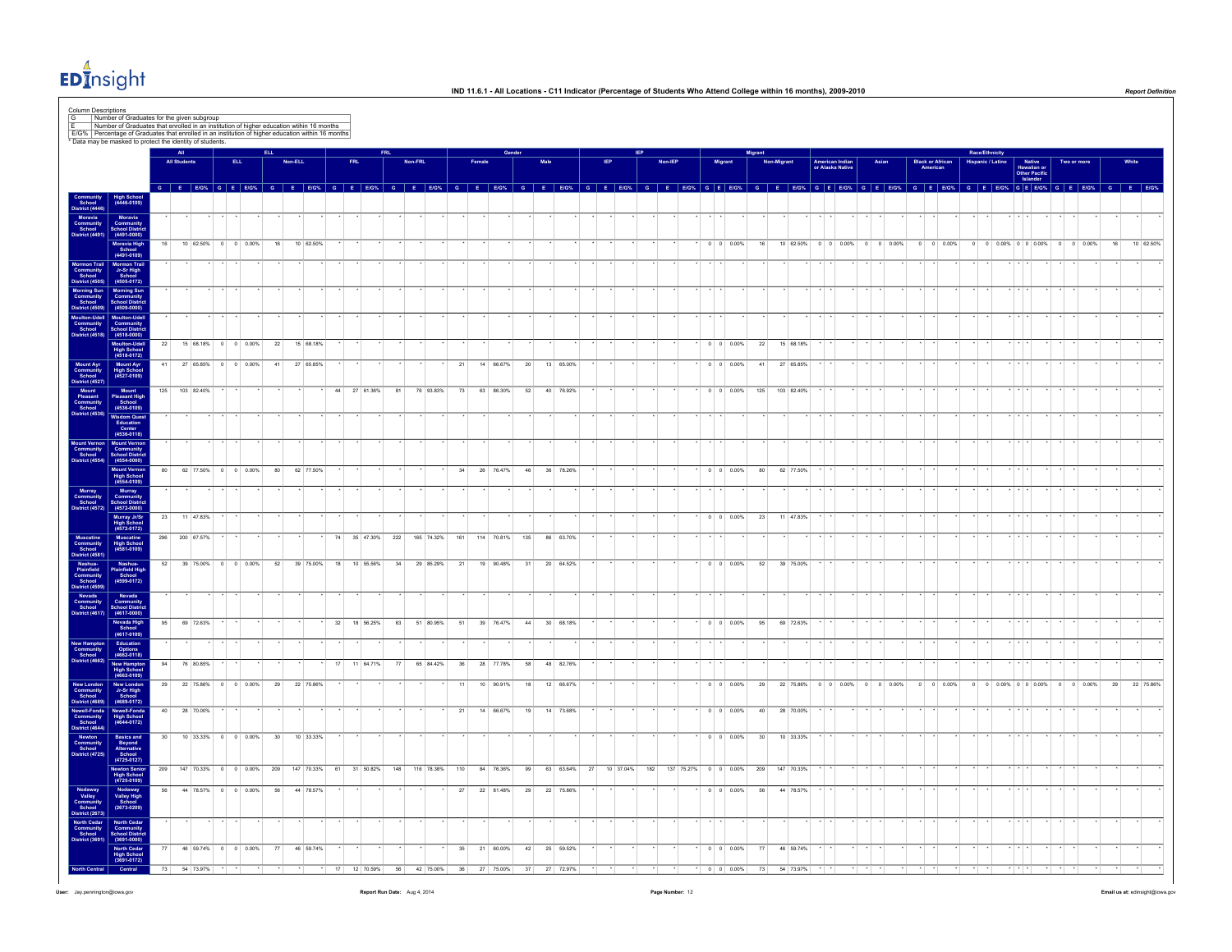

|                                                                                                                                                                   |                                                                                   |                 | * Data may be masked to protect the identity of students.<br>AII |                     |     |      |                   |            |                 |              |               |     |                                     |     |            |     |      |           |    |                   |                   |            |                          |      |              |                                     |  |                              |                    | PecalEthnic                                                                |                                                 |             |          |
|-------------------------------------------------------------------------------------------------------------------------------------------------------------------|-----------------------------------------------------------------------------------|-----------------|------------------------------------------------------------------|---------------------|-----|------|-------------------|------------|-----------------|--------------|---------------|-----|-------------------------------------|-----|------------|-----|------|-----------|----|-------------------|-------------------|------------|--------------------------|------|--------------|-------------------------------------|--|------------------------------|--------------------|----------------------------------------------------------------------------|-------------------------------------------------|-------------|----------|
|                                                                                                                                                                   |                                                                                   |                 | <b>All Students</b>                                              |                     | ELL | ELL. | Non-ELL           |            |                 | FRL          |               |     | Non-FRL                             |     |            |     | Male |           |    |                   | Non-IEP           |            |                          |      |              | American Indian<br>or Alaska Native |  | Black or African<br>American |                    | <b>Hispanic / Lating</b>                                                   | Native<br>Hawaiian<br>Other Pacific<br>Islander | Two or more | White    |
|                                                                                                                                                                   |                                                                                   |                 | G E E/G% G E E/G%                                                |                     |     |      | G E E/G% G E E/G% |            |                 |              |               |     | G E E/G% G E E/G%                   |     |            |     |      |           |    | G E E/G% G E E/G% | G E E/G% G E E/G% |            |                          |      |              | G E E/G% G E E/G% G E E/G%          |  |                              |                    | G E E/G% G E E/G% G E E/G% G E E/G%                                        |                                                 |             | G E E/G% |
| Communit<br>School<br>istrict (444                                                                                                                                | High School<br>(4446-0109)                                                        |                 |                                                                  |                     |     |      |                   |            |                 |              |               |     |                                     |     |            |     |      |           |    |                   |                   |            |                          |      |              |                                     |  |                              |                    |                                                                            |                                                 |             |          |
| Moravia<br>Moravia<br>Community<br>School<br>District (449                                                                                                        | Moravia<br>Community<br>School Distric<br>(4491-0000)                             |                 |                                                                  |                     |     |      |                   |            |                 |              |               |     |                                     |     |            |     |      |           |    |                   |                   |            |                          |      |              |                                     |  |                              |                    |                                                                            |                                                 |             |          |
|                                                                                                                                                                   |                                                                                   | 16              |                                                                  | 10 62.50% 0 0 0.00% |     |      | 16                | 10 62.50%  |                 |              |               |     |                                     |     |            |     |      |           |    |                   |                   |            | $0 \quad 0 \quad 0.00\%$ | 16   |              | 10 62.50% 0 0 0.00% 0 0 0.00%       |  |                              | $0 \t 0 \t 0.00\%$ | $0$ 0 0.00% 0 0 0.00% 0 0 0.00%                                            |                                                 |             | 16       |
|                                                                                                                                                                   | Moravia High<br>School<br>(4491-0109)                                             |                 |                                                                  |                     |     |      |                   |            |                 |              |               |     |                                     |     |            |     |      |           |    |                   |                   |            |                          |      |              |                                     |  |                              |                    |                                                                            |                                                 |             |          |
| Mormon Trail<br>Community<br>School<br>District (4505)                                                                                                            | Mormon Trail<br>Jr-Sr High<br>School<br>(4505-0172)                               |                 |                                                                  |                     |     |      |                   |            |                 |              |               |     |                                     |     |            |     |      |           |    |                   |                   |            |                          |      |              |                                     |  |                              |                    |                                                                            |                                                 |             |          |
| Morning Sun<br>Community<br>School<br>District (4509)                                                                                                             | Morning Sun<br>Community<br>School Distric<br>(4509-0000)                         |                 |                                                                  |                     |     |      |                   |            |                 |              |               |     |                                     |     |            |     |      |           |    |                   |                   |            |                          |      |              |                                     |  |                              |                    |                                                                            |                                                 |             |          |
|                                                                                                                                                                   | <b>Moulton-Ude</b>                                                                |                 |                                                                  |                     |     |      |                   |            |                 |              |               |     |                                     |     |            |     |      |           |    |                   |                   |            |                          |      |              |                                     |  |                              |                    |                                                                            |                                                 |             |          |
| Moulton-Udell<br>Community<br>School<br>District (4518)                                                                                                           | Community<br>Community<br>School Distric                                          |                 |                                                                  |                     |     |      |                   |            |                 |              |               |     |                                     |     |            |     |      |           |    |                   |                   |            |                          |      |              |                                     |  |                              |                    |                                                                            |                                                 |             |          |
|                                                                                                                                                                   | Moulton-Udell<br>High School<br>(4518-0172)                                       | 22              | 15 68.18% 0 0 0.00%                                              |                     |     |      | 22                | 15 68.18%  |                 |              |               |     |                                     |     |            |     |      |           |    |                   |                   |            | $0 \quad 0 \quad 0.00\%$ | 22   | 15 68.18%    |                                     |  |                              |                    |                                                                            |                                                 |             |          |
| Mount Ayr<br>Community<br>School<br>District (4527)                                                                                                               | Mount Ayr<br>High School<br>(4527-0109)                                           | 41              | 27 65.85% 0 0 0.00%                                              |                     |     |      | 41                | 27 65.85%  |                 |              |               |     |                                     | 21  | 14 66.67%  | 20  |      | 13 65.00% |    |                   |                   |            | $0 \quad 0 \quad 0.00\%$ | 41   | 27 65.85%    |                                     |  |                              |                    |                                                                            |                                                 |             |          |
|                                                                                                                                                                   | Mount<br>Pleasant High<br>School<br>(4536-0109)                                   | 125             | 103 82.40%                                                       |                     |     |      |                   |            |                 | 44 27 61.36% |               | 81  | 76 93.83%                           | 73  | 63 86.30%  | 52  |      | 40 76.92% |    |                   |                   |            | $0 \t 0 \t 0.00%$        | 125  | 103 82.40%   |                                     |  |                              |                    |                                                                            |                                                 |             |          |
| Mount<br>Pleasant<br>Community<br>School<br>Istrict (4536)                                                                                                        |                                                                                   |                 |                                                                  |                     |     |      |                   |            |                 |              |               |     |                                     |     |            |     |      |           |    |                   |                   |            |                          |      |              |                                     |  |                              |                    |                                                                            |                                                 |             |          |
|                                                                                                                                                                   | Wisdom Quest<br>Education<br>Center<br>(4536-0118)                                |                 |                                                                  |                     |     |      |                   |            |                 |              |               |     |                                     |     |            |     |      |           |    |                   |                   |            |                          |      |              |                                     |  |                              |                    |                                                                            |                                                 |             |          |
|                                                                                                                                                                   | Mount Vernon<br>Community<br>School School Distric<br>District (4554) (4554-0000) |                 |                                                                  |                     |     |      |                   |            |                 |              |               |     |                                     |     |            |     |      |           |    |                   |                   |            |                          |      |              |                                     |  |                              |                    |                                                                            |                                                 |             |          |
|                                                                                                                                                                   |                                                                                   | 80              | 62 77.50% 0 0 0.00%                                              |                     |     |      | 80                | 62 77.50%  |                 |              |               |     |                                     | 34  | 26 76.47%  | 46  |      | 36 78.26% |    |                   |                   |            | $0 \t 0 \t 0.00\%$       | 80   | 62 77.50%    |                                     |  |                              |                    |                                                                            |                                                 |             |          |
|                                                                                                                                                                   | Mount Verno<br>High School<br>(4554-0109)                                         |                 |                                                                  |                     |     |      |                   |            |                 |              |               |     |                                     |     |            |     |      |           |    |                   |                   |            |                          |      |              |                                     |  |                              |                    |                                                                            |                                                 |             |          |
| Murray<br>Community<br>School<br>District (4572                                                                                                                   | Murray<br>Community<br>School Distric<br>(4572-0000)                              |                 |                                                                  |                     |     |      |                   |            |                 |              |               |     |                                     |     |            |     |      |           |    |                   |                   |            |                          |      |              |                                     |  |                              |                    |                                                                            |                                                 |             |          |
|                                                                                                                                                                   | Murray Jr/Sr<br>High School<br>(4572-0172)                                        | 23              | 11 47.83%                                                        |                     |     |      |                   |            |                 |              |               |     |                                     |     |            |     |      |           |    |                   |                   |            | $0 \quad 0 \quad 0.00\%$ | 23   | 11 47.83%    |                                     |  |                              |                    |                                                                            |                                                 |             |          |
|                                                                                                                                                                   | Muscatine<br>High School<br>(4581-0109)                                           | 296             | 200 67.57%                                                       |                     |     |      |                   |            | 74              |              | 35 47.30% 222 |     | 165 74.32%                          | 161 | 114 70.81% | 135 |      | 86 63,70% |    |                   |                   |            |                          |      |              |                                     |  |                              |                    |                                                                            |                                                 |             |          |
|                                                                                                                                                                   |                                                                                   | 52              | 39 75.00% 0 0 0.00%                                              |                     |     |      | 52                |            |                 |              |               |     | 39 75.00% 18 10 55.56% 34 29 85.29% | 21  | 19 90.48%  | 31  |      | 20 64.52% |    |                   |                   |            | $0 \quad 0 \quad 0.00\%$ |      | 52 39 75.00% |                                     |  |                              |                    |                                                                            |                                                 |             |          |
|                                                                                                                                                                   | Nashua<br>Plainfield High<br>School<br>(4599-0172)                                |                 |                                                                  |                     |     |      |                   |            |                 |              |               |     |                                     |     |            |     |      |           |    |                   |                   |            |                          |      |              |                                     |  |                              |                    |                                                                            |                                                 |             |          |
| Muscatine<br>Community<br>District (4581)<br>District (4581)<br>Nashua-<br>Plainfield<br>Community<br>School<br>Mevada<br>Community<br>School<br>District (4617)  | Nevada<br>Community<br>School Distric<br>(4617-0000)                              |                 |                                                                  |                     |     |      |                   |            |                 |              |               |     |                                     |     |            |     |      |           |    |                   |                   |            |                          |      |              |                                     |  |                              |                    |                                                                            |                                                 |             |          |
|                                                                                                                                                                   |                                                                                   | 95              | 69 72.63%                                                        |                     |     |      |                   |            | 32              | 18 56.25%    |               | 63  | 51 80.95%                           | 51  | 39 76.47%  | 44  |      | 30 68.18% |    |                   |                   |            | $0 \quad 0 \quad 0.00\%$ | 95   | 69 72.63%    |                                     |  |                              |                    |                                                                            |                                                 |             |          |
|                                                                                                                                                                   | Nevada High<br>School<br>(4617-0109)                                              |                 |                                                                  |                     |     |      |                   |            |                 |              |               |     |                                     |     |            |     |      |           |    |                   |                   |            |                          |      |              |                                     |  |                              |                    |                                                                            |                                                 |             |          |
| <b>New Hampton<br/>Community<br/>School<br/>District (4662)</b>                                                                                                   | Education<br>Options<br>(4662-0118)                                               |                 |                                                                  |                     |     |      |                   |            |                 |              |               |     |                                     |     |            |     |      |           |    |                   |                   |            |                          |      |              |                                     |  |                              |                    |                                                                            |                                                 |             |          |
|                                                                                                                                                                   | New Hampton<br>High School<br>(4662-0109)                                         | 94              | 76 80.85%                                                        |                     |     |      |                   |            | 17 <sup>1</sup> | 11 64.71%    |               | 77  | 65 84.42%                           | 36  | 28 77.78%  | 58  |      | 48 82.76% |    |                   |                   |            |                          |      |              |                                     |  |                              |                    |                                                                            |                                                 |             |          |
|                                                                                                                                                                   | New London<br>Jr-Sr High<br>School<br>(4689-0172)                                 | $\overline{29}$ |                                                                  | 22 75.86% 0 0 0.00% |     |      | 29                | 22 75.86%  |                 |              |               |     |                                     |     | 10 90.91%  | 18  |      | 12 66.67% |    |                   |                   |            | $0 \t0 \t0.00%$          | 29   |              | 22 75.86% 0 0 0.00% 0 0 0.00%       |  |                              | $0 \t 0 \t 0.00\%$ | $0 \quad 0 \quad 0.00\%$ $0 \quad 0 \quad 0.00\%$ $0 \quad 0 \quad 0.00\%$ |                                                 |             | 29       |
|                                                                                                                                                                   | Newell-Fonds<br>High School<br>(4644-0172)                                        | 40              | 28 70.00%                                                        |                     |     |      |                   |            |                 |              |               |     |                                     | 21  | 14 66.67%  | 19  |      | 14 73.68% |    |                   |                   |            | $0 \quad 0 \quad 0.00\%$ | 40   | 28 70.00%    |                                     |  |                              |                    |                                                                            |                                                 |             |          |
|                                                                                                                                                                   |                                                                                   | 30              |                                                                  | 10 33.33% 0 0 0.00% |     |      | 30                | 10 33.33%  |                 |              |               |     |                                     |     |            |     |      |           |    |                   |                   |            | $0 \quad 0 \quad 0.00\%$ | 30   | 10 33.33%    |                                     |  |                              |                    |                                                                            |                                                 |             |          |
| New London<br>Community<br>District (4689)<br>District (4689)<br>Newell-Fonda<br>Community<br>District (4644)<br>Newton<br>Community<br>School<br>District (4725) | Basics and<br>Beyond<br>Alternative<br>School<br>(4725-0127)                      |                 |                                                                  |                     |     |      |                   |            |                 |              |               |     |                                     |     |            |     |      |           |    |                   |                   |            |                          |      |              |                                     |  |                              |                    |                                                                            |                                                 |             |          |
|                                                                                                                                                                   | Newton Senio<br>High School<br>(4725-0109)                                        | 209             | 147 70.33% 0 0 0.00% 209                                         |                     |     |      |                   | 147 70.33% | 61              | 31 50.82%    |               | 148 | 116 78.38%                          | 110 | 84 76.36%  | 99  |      | 63 63.64% | 27 | 10 37 04%         | 182               | 137 75.27% | $0 \t 0 \t 0.00\%$       | 209  | 147 70.33%   |                                     |  |                              |                    |                                                                            |                                                 |             |          |
|                                                                                                                                                                   |                                                                                   | 56              |                                                                  | 44 78.57% 0 0 0.00% |     |      | 56                | 44 78.57%  |                 |              |               |     |                                     | 27  | 22 81.48%  | 29  |      | 22 75.86% |    |                   |                   |            | $0 \t 0 \t 0.00\%$       | 56   | 44 78.57%    |                                     |  |                              |                    |                                                                            |                                                 |             |          |
| Nodaway<br>Valley<br>Community<br>School<br>District (2673)<br>North Cedar<br>Community<br>School<br>District (3691)                                              | Nodaway<br>Valley High<br>School<br>(2673-0209)                                   |                 |                                                                  |                     |     |      |                   |            |                 |              |               |     |                                     |     |            |     |      |           |    |                   |                   |            |                          |      |              |                                     |  |                              |                    |                                                                            |                                                 |             |          |
|                                                                                                                                                                   |                                                                                   |                 |                                                                  |                     |     |      |                   |            |                 |              |               |     |                                     |     |            |     |      |           |    |                   |                   |            |                          |      |              |                                     |  |                              |                    |                                                                            |                                                 |             |          |
|                                                                                                                                                                   | North Cedar<br>Community<br>School Distric<br>(3691-0000)                         |                 |                                                                  |                     |     |      |                   |            |                 |              |               |     |                                     |     |            |     |      |           |    |                   |                   |            |                          |      |              |                                     |  |                              |                    |                                                                            |                                                 |             |          |
|                                                                                                                                                                   | North Cedar<br>High School<br>(3691-0172)                                         | 77              |                                                                  | 46 59.74% 0 0 0.00% |     |      | 77                | 46 59.74%  |                 |              |               |     |                                     | 35  | 21 60.00%  | 42  |      | 25 59.52% |    |                   |                   |            | $0 \t 0 \t 0.00\%$       | $77$ | 46 59.74%    |                                     |  |                              |                    |                                                                            |                                                 |             |          |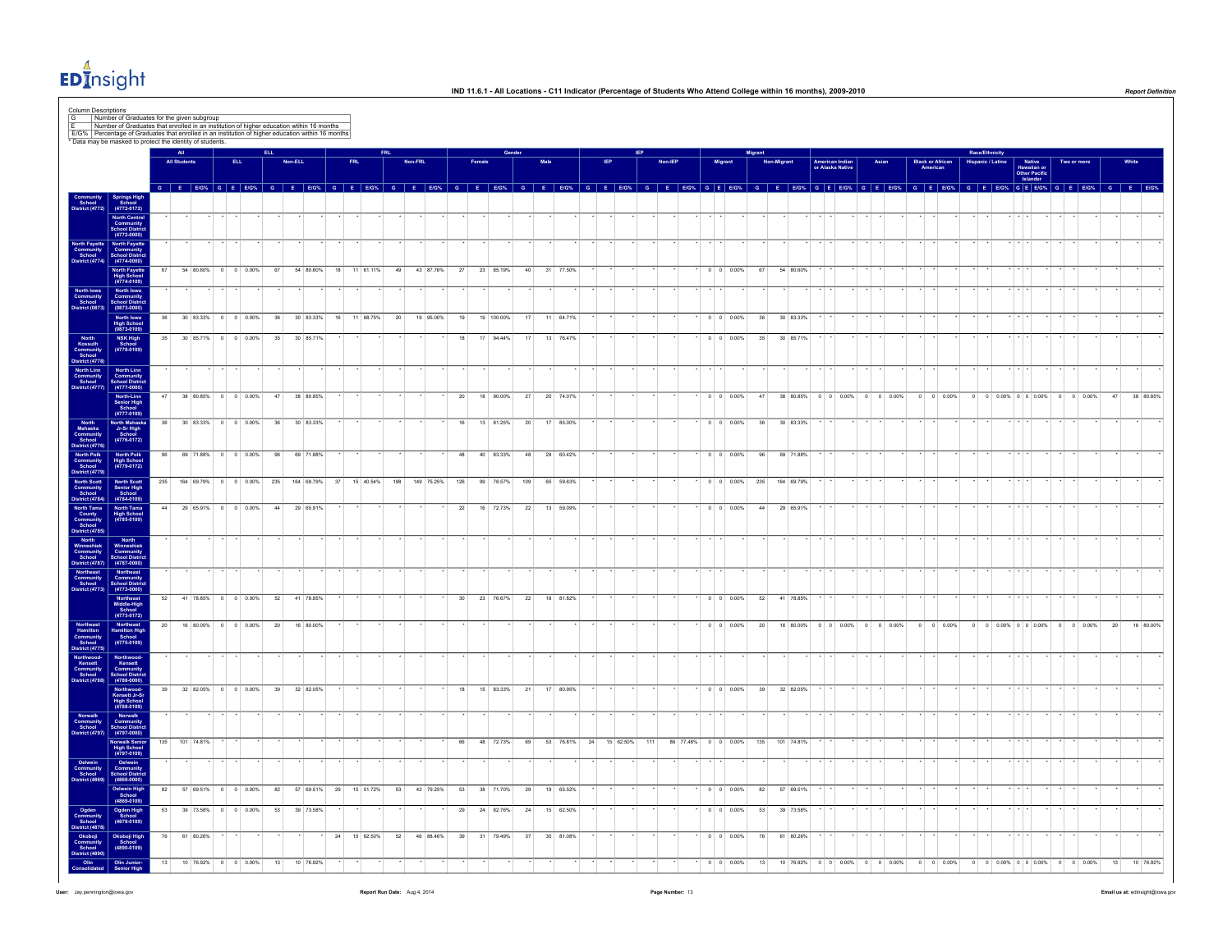

| <b>Report Definition</b> |  |  |
|--------------------------|--|--|
|                          |  |  |

| Column Descriptions<br>G                                                                                                                                                                                                                                                                                                                                                                                                                                                                                               | Number of Graduates for the given subgroup<br>Number of Graduates that enrolled in an institution of higher education within 16 months<br>E/G% Percentage of Graduates that enrolled in an institution of higher education within 16 months<br>* Data may be masked to protect the identity of students. |     |                            |                |              |     |            |     |           |     |         |                   |                 |            |            |    |           |    |                   |     |                   |                     |                          |     |            |                                     |  |                               |                         |  |                         |                                                                |                    |    |                |  |
|------------------------------------------------------------------------------------------------------------------------------------------------------------------------------------------------------------------------------------------------------------------------------------------------------------------------------------------------------------------------------------------------------------------------------------------------------------------------------------------------------------------------|----------------------------------------------------------------------------------------------------------------------------------------------------------------------------------------------------------------------------------------------------------------------------------------------------------|-----|----------------------------|----------------|--------------|-----|------------|-----|-----------|-----|---------|-------------------|-----------------|------------|------------|----|-----------|----|-------------------|-----|-------------------|---------------------|--------------------------|-----|------------|-------------------------------------|--|-------------------------------|-------------------------|--|-------------------------|----------------------------------------------------------------|--------------------|----|----------------|--|
|                                                                                                                                                                                                                                                                                                                                                                                                                                                                                                                        |                                                                                                                                                                                                                                                                                                          |     | <b>All Students</b>        |                | <b>ELL</b>   |     | Non-ELL    | FRL |           |     | Non-FRL |                   |                 |            |            |    |           |    |                   |     | Non-IFF           |                     |                          |     |            | American Indian<br>or Alaska Native |  |                               | <b>Black or African</b> |  |                         | Native<br>Hawaiian or<br>Other Pacific<br>Islander             |                    |    |                |  |
| Community<br>School<br>Netrict (4772                                                                                                                                                                                                                                                                                                                                                                                                                                                                                   | Springs High<br>School<br>(4772-0172)                                                                                                                                                                                                                                                                    |     | G E E/G% G E E/G% G E E/G% |                |              |     |            |     | G E E/G%  |     |         | G E E/G% G E E/G% |                 |            |            |    |           |    | G E E/G% G E E/G% |     | G E E/G% G E E/G% |                     |                          |     |            |                                     |  |                               |                         |  |                         | G E EIGY G E EIGY G E EIGY G E EIGY G E EIGY G E EIGY G E EIGY |                    |    | $E = 1$ $E/G'$ |  |
|                                                                                                                                                                                                                                                                                                                                                                                                                                                                                                                        | North Central<br>Community<br>School District<br>(4772-0000)                                                                                                                                                                                                                                             |     |                            |                |              |     |            |     |           |     |         |                   |                 |            |            |    |           |    |                   |     |                   |                     | $\cdot$ $\cdot$          |     |            |                                     |  |                               |                         |  | $\cdot$ $\cdot$ $\cdot$ |                                                                |                    |    |                |  |
| <b>North Fayette<br/>Community<br/>School<br/>District (4774)</b>                                                                                                                                                                                                                                                                                                                                                                                                                                                      | North Fayette<br>Community<br>School Distric<br>(4774-0000)                                                                                                                                                                                                                                              |     |                            |                |              |     |            |     |           |     |         |                   |                 |            |            |    |           |    |                   |     |                   |                     |                          |     |            |                                     |  |                               |                         |  |                         |                                                                |                    |    |                |  |
|                                                                                                                                                                                                                                                                                                                                                                                                                                                                                                                        | North Fayette<br>High School<br>(4774-0109)                                                                                                                                                                                                                                                              | 67  | 54 80.60% 0 0 0.00%        |                |              | 67  | 54 80.60%  | 18  | 11 61.11% | 49  |         | 43 87.76%         | 27              | 23 85.19%  |            | 40 | 31 77.50% |    |                   |     |                   |                     | $0 \t 0 \t 0.00%$        | 67  | 54 80.60%  |                                     |  |                               |                         |  |                         |                                                                |                    |    |                |  |
| North Iowa<br>Community<br>School<br>District (0873)                                                                                                                                                                                                                                                                                                                                                                                                                                                                   | North Iowa<br>Community<br>School Distric<br>(0873-0000)                                                                                                                                                                                                                                                 | 36  | 30 83.33% 0                |                | $0 \ 0.00%$  | 36  | 30 83.33%  | 16  | 11 68.75% | 20  |         | 19 95.00%         | 19              | 19 100.00% | 17         |    | 11 64.71% |    |                   |     |                   |                     | $0 \t 0 \t 0.00%$        | 36  | 30 83.33%  |                                     |  |                               |                         |  |                         |                                                                |                    |    |                |  |
|                                                                                                                                                                                                                                                                                                                                                                                                                                                                                                                        | North Iowa<br>High School<br>(0873-0109)<br>NSK High<br>School<br>(4778-0109)                                                                                                                                                                                                                            | 35  | 30 85.71% 0 0 0.00%        |                |              | 35  | 30 85.71%  |     |           |     |         |                   | 18              | 17 94.44%  |            | 17 | 13 76.47% |    |                   |     |                   |                     | $0 \t 0 \t 0.00\%$       | 35  | 30 85.71%  |                                     |  |                               |                         |  |                         |                                                                |                    |    |                |  |
| North<br>Kossuth<br>Community<br>School<br>District (4778)<br>North Linn<br>Community<br>School<br>District (4777)                                                                                                                                                                                                                                                                                                                                                                                                     |                                                                                                                                                                                                                                                                                                          |     |                            |                |              |     |            |     |           |     |         |                   |                 |            |            |    |           |    |                   |     |                   |                     |                          |     |            |                                     |  |                               |                         |  |                         |                                                                |                    |    |                |  |
|                                                                                                                                                                                                                                                                                                                                                                                                                                                                                                                        | North Linn<br>Community<br>School Distric<br>(4777-0000)                                                                                                                                                                                                                                                 | 47  | 38 80.85% 0 0 0.00%        |                |              | 47  | 38 80.85%  |     |           |     |         |                   | 20              | 18 90.00%  | 27         |    | 20 74.07% |    |                   |     |                   |                     | $0 \quad 0 \quad 0.00\%$ | 47  |            |                                     |  | 38 80.85% 0 0 0.00% 0 0 0.00% | $0 \t 0 \t 0.00\%$      |  |                         | $0$ 0 0.00% 0 0 0.00% 0 0 0.00%                                |                    | 47 | 38 80.85%      |  |
|                                                                                                                                                                                                                                                                                                                                                                                                                                                                                                                        | North-Linn<br>Senior High<br>School<br>(4777-0109)                                                                                                                                                                                                                                                       | 36  | 30 83.33% 0 0 0.00%        |                |              | 36  | 30 83.33%  |     |           |     |         |                   | 16              | 13 81.25%  | 20         |    | 17 85.00% |    |                   |     |                   |                     | $0 \t 0 \t 0.00\%$       | 36  | 30 83.33%  |                                     |  |                               |                         |  |                         |                                                                |                    |    |                |  |
| $\begin{array}{c} \text{North} \\ \text{Month} \\ \text{Schandra} \\ \text{Osmnunih} \\ \text{Dstritc} \\ \text{J4. North Boltz} \\ \text{Commutity} \\ \text{Schona} \\ \text{Dstritc} \\ \text{Schona} \\ \text{Bchoid} \\ \text{Dstritc} \\ \text{Schona} \\ \text{Bchoid} \\ \text{Bchoid} \\ \text{Bchoid} \\ \text{Bchoid} \\ \text{Stroth} \\ \text{Commutity} \\ \text{Schona} \\ \text{Bchoid} \\ \text{Stroth} \\ \text{Commutity} \\ \text{Stroth} \\ \text{Commutity} \\ \text{Storth} \\ \text{Commutity$ | North Mahaska<br>Jr-Sr High<br>School<br>(4776-0172)                                                                                                                                                                                                                                                     |     |                            |                |              |     |            |     |           |     |         |                   |                 |            |            |    |           |    |                   |     |                   |                     |                          |     |            |                                     |  |                               |                         |  |                         |                                                                |                    |    |                |  |
|                                                                                                                                                                                                                                                                                                                                                                                                                                                                                                                        | North Polk<br>High School<br>(4779-0172)                                                                                                                                                                                                                                                                 | 96  | 69 71.88% 0 0 0.00%        |                |              | 96  | 69 71.88%  |     |           |     |         |                   | 48              | 40 83.33%  |            | 48 | 29 60.42% |    |                   |     |                   |                     | $0 \t 0 \t 0.00%$        | 96  | 69 71.88%  |                                     |  |                               |                         |  |                         |                                                                |                    |    |                |  |
|                                                                                                                                                                                                                                                                                                                                                                                                                                                                                                                        | North Scott<br>Senior High<br>School<br>(4784-0109)                                                                                                                                                                                                                                                      | 235 | 164 69.79% 0 0 0.00%       |                |              | 235 | 164 69.79% | 37  | 15 40.54% | 198 |         | 149 75.25%        | 126             | 99 78.57%  | 109        |    | 65 59.63% |    |                   |     |                   |                     | $0 \t 0 \t 0.00\%$       | 235 | 164 69.79% |                                     |  |                               |                         |  |                         |                                                                |                    |    |                |  |
|                                                                                                                                                                                                                                                                                                                                                                                                                                                                                                                        | North Tama<br>High School<br>(4785-0109)                                                                                                                                                                                                                                                                 | 44  | 29 65.91%                  | $\circ$        | $0 - 0.00%$  | 44  | 29 65.91%  |     |           |     |         |                   | 22              | 16 72.73%  | ${\bf 22}$ |    | 13 59.09% |    |                   |     |                   |                     | $0 \t 0 \t 0.00%$        | 44  | 29 65.91%  |                                     |  |                               |                         |  |                         |                                                                |                    |    |                |  |
|                                                                                                                                                                                                                                                                                                                                                                                                                                                                                                                        | North<br>Winneshiek<br>Community<br>School Distric<br>(4787-0000)                                                                                                                                                                                                                                        |     |                            |                |              |     |            |     |           |     |         |                   |                 |            |            |    |           |    |                   |     |                   |                     |                          |     |            |                                     |  |                               |                         |  |                         |                                                                |                    |    |                |  |
| Northeast<br>Community<br>School<br>District (4773)                                                                                                                                                                                                                                                                                                                                                                                                                                                                    | Northeast<br>Community<br>School Distric<br>(4773-0000)                                                                                                                                                                                                                                                  |     |                            |                |              |     |            |     |           |     |         |                   |                 |            |            |    |           |    |                   |     |                   |                     |                          |     |            |                                     |  |                               |                         |  |                         |                                                                |                    |    |                |  |
|                                                                                                                                                                                                                                                                                                                                                                                                                                                                                                                        | Northeast<br>Middle-High<br>School<br>(4773-0172)                                                                                                                                                                                                                                                        | 52  | 41 78.85% 0 0 0.00%        |                |              | 52  | 41 78.85%  |     |           |     |         |                   | 30 <sup>1</sup> | 23 76.67%  |            | 22 | 18 81.82% |    |                   |     |                   |                     | $0 \quad 0 \quad 0.00\%$ | 52  | 41 78.85%  |                                     |  |                               |                         |  |                         |                                                                |                    |    |                |  |
| Northeast<br>Hamilton<br>Community<br>School<br>District (477                                                                                                                                                                                                                                                                                                                                                                                                                                                          | Northeast<br>Hamilton High<br>School<br>(4775-0109)                                                                                                                                                                                                                                                      | 20  | 16 80.00% 0 0 0.00%        |                |              | 20  | 16 80.00%  |     |           |     |         |                   |                 |            |            |    |           |    |                   |     |                   |                     | $0 \t 0 \t 0.00%$        | 20  |            |                                     |  | 16 80.00% 0 0 0.00% 0 0 0.00% | $0 \t 0 \t 0.00\%$      |  |                         | $0$ 0 0.00% 0 0 0.00% 0 0 0.00%                                |                    | 20 | 16 80.00%      |  |
|                                                                                                                                                                                                                                                                                                                                                                                                                                                                                                                        |                                                                                                                                                                                                                                                                                                          |     |                            |                |              |     |            |     |           |     |         |                   |                 |            |            |    |           |    |                   |     |                   |                     |                          |     |            |                                     |  |                               |                         |  |                         |                                                                |                    |    |                |  |
| Northwood-<br>Kensett<br>Community<br>School<br>District (4788                                                                                                                                                                                                                                                                                                                                                                                                                                                         | Northwood<br>Kensett<br>Community<br>School Distric<br>(4788-0000)                                                                                                                                                                                                                                       | 39  | 32 82.05% 0 0 0.00%        |                |              | 39  | 32 82.05%  |     |           |     |         |                   | 18              | 15 83.33%  | 21         |    | 17 80.95% |    |                   |     |                   |                     | $0 \quad 0 \quad 0.00\%$ | 39  | 32 82.05%  |                                     |  |                               |                         |  |                         |                                                                |                    |    |                |  |
|                                                                                                                                                                                                                                                                                                                                                                                                                                                                                                                        | Northwood-<br>Kensett Jr-Sr<br>High School<br>(4788-0109)                                                                                                                                                                                                                                                |     |                            |                |              |     |            |     |           |     |         |                   |                 |            |            |    |           |    |                   |     |                   |                     |                          |     |            |                                     |  |                               |                         |  |                         |                                                                |                    |    |                |  |
| Norwalk<br>Community<br>School<br>District (4797)                                                                                                                                                                                                                                                                                                                                                                                                                                                                      | Norwalk<br>Community<br>School Distric<br>(4797-0000)                                                                                                                                                                                                                                                    | 135 | 101 74.81%                 |                |              |     |            |     |           |     |         |                   | 66              | 48 72.73%  | 69         |    | 53 76.81% | 24 | 15 62.50%         | 111 |                   | 86 77.48% 0 0 0.00% |                          | 135 | 101 74.81% |                                     |  |                               |                         |  |                         |                                                                |                    |    |                |  |
|                                                                                                                                                                                                                                                                                                                                                                                                                                                                                                                        | Norwalk Senic<br>High School<br>(4797-0109)                                                                                                                                                                                                                                                              |     |                            |                |              |     |            |     |           |     |         |                   |                 |            |            |    |           |    |                   |     |                   |                     |                          |     |            |                                     |  |                               |                         |  |                         |                                                                |                    |    |                |  |
| Oelwein<br>Community<br>School<br>District (4869                                                                                                                                                                                                                                                                                                                                                                                                                                                                       | Oelwein<br>Community<br>School Distric<br>(4869-0000)<br>Oelwein High<br>School<br>(4869-0109)                                                                                                                                                                                                           | 82  | 57 69.51%                  | $\overline{0}$ | $0 \ 0.00\%$ | 82  | 57 69.51%  | 29  | 15 51.72% | 53  |         | 42 79.25%         | 53              | 38 71.70%  | 29         |    | 19 65.52% |    |                   |     |                   |                     | $0 \t 0 \t 0.00\%$       | 82  | 57 69.51%  |                                     |  |                               |                         |  |                         |                                                                |                    |    |                |  |
|                                                                                                                                                                                                                                                                                                                                                                                                                                                                                                                        | Ogden High<br>School<br>(4878-0109)                                                                                                                                                                                                                                                                      | 53  | 39 73.58% 0 0 0.00%        |                |              | 53  | 39 73.58%  |     |           |     |         |                   | 29              | 24 82.76%  | 24         |    | 15 62.50% |    |                   |     |                   |                     | $0 \t 0 \t 0.00%$        | 53  | 39 73.58%  |                                     |  |                               |                         |  |                         |                                                                |                    |    |                |  |
| Ogden<br>Community<br>School<br>District (4878<br>Okoboji<br>Community<br>School<br>District (4890                                                                                                                                                                                                                                                                                                                                                                                                                     | Okoboji High<br>School<br>(4890-0109)                                                                                                                                                                                                                                                                    | 76  | 61 80.26%                  |                |              |     |            | 24  | 15 62.50% | 52  |         | 46 88.46%         | 39              | 31 79.49%  | 37         |    | 30 81.08% |    |                   |     |                   |                     | $0 \t 0 \t 0.00\%$       | 76  | 61 80.26%  |                                     |  |                               |                         |  |                         |                                                                |                    |    |                |  |
| Olin                                                                                                                                                                                                                                                                                                                                                                                                                                                                                                                   | Olin Junior-<br>Senior High                                                                                                                                                                                                                                                                              | 13  | 10 76.92% 0 0 0.00%        |                |              | 13  | 10 76.92%  |     |           |     |         |                   |                 |            |            |    |           |    |                   |     |                   |                     | $0 \t 0 \t 0.00\%$       | 13  |            |                                     |  | 10 76.92% 0 0 0.00% 0 0 0.00% | $0 \t 0 \t 0.00\%$      |  |                         | $0$ 0 0.00% 0 0 0.00%                                          | $0 \t 0 \t 0.00\%$ | 13 | 10 76.92%      |  |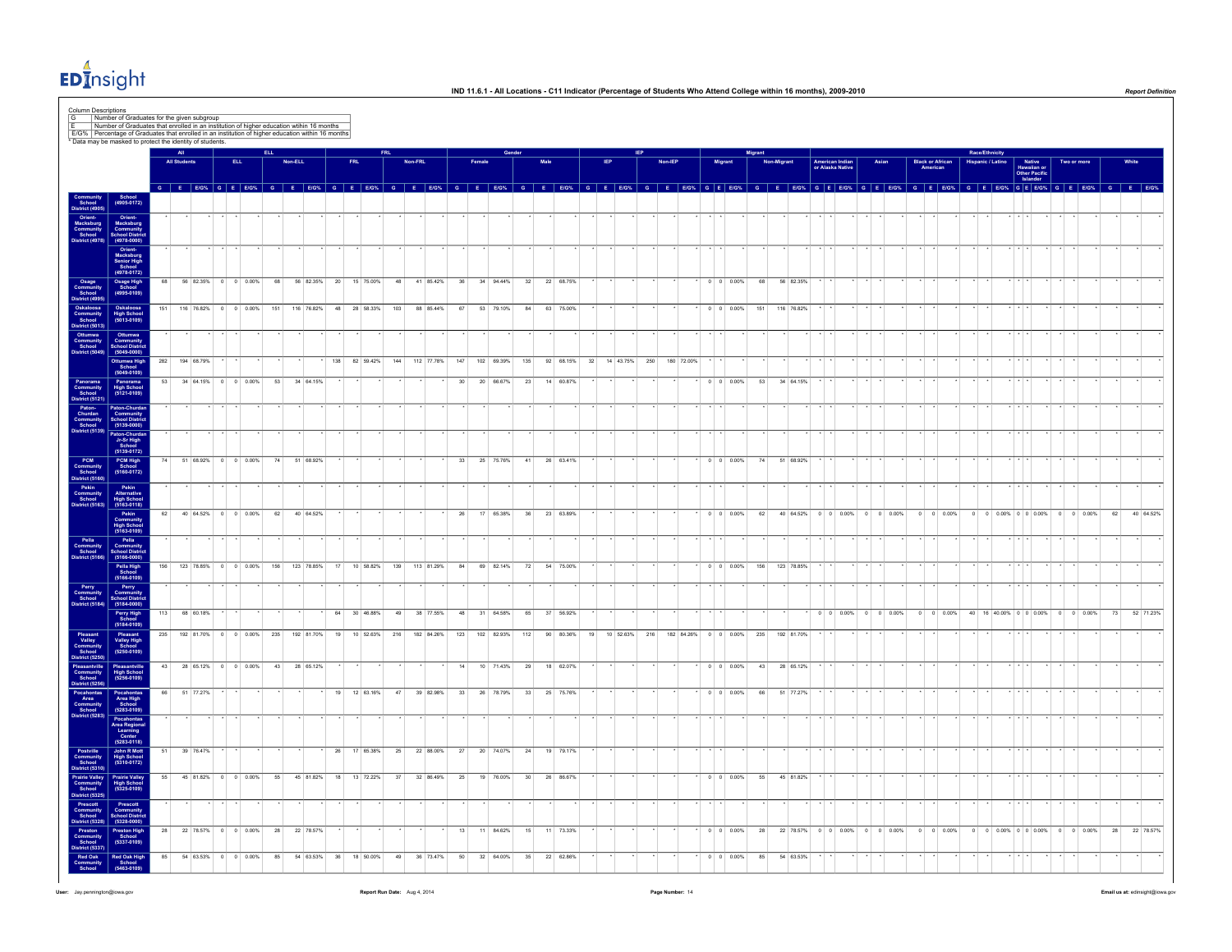

|                                                                                                                                                                                                                                                                                                                                                                                                                                                                                                         | * Data may be masked to protect the identity of students.                                       |             |                                                                                                                        |                      |      |                   |            |         |            |                        |            |              |     |            |                 |    |            |        |           |    |           |     |            |                    |                          |     |                    |            |                                     |       |                         |                    |                                            |                                                                |                    |               |       |
|---------------------------------------------------------------------------------------------------------------------------------------------------------------------------------------------------------------------------------------------------------------------------------------------------------------------------------------------------------------------------------------------------------------------------------------------------------------------------------------------------------|-------------------------------------------------------------------------------------------------|-------------|------------------------------------------------------------------------------------------------------------------------|----------------------|------|-------------------|------------|---------|------------|------------------------|------------|--------------|-----|------------|-----------------|----|------------|--------|-----------|----|-----------|-----|------------|--------------------|--------------------------|-----|--------------------|------------|-------------------------------------|-------|-------------------------|--------------------|--------------------------------------------|----------------------------------------------------------------|--------------------|---------------|-------|
|                                                                                                                                                                                                                                                                                                                                                                                                                                                                                                         |                                                                                                 |             | All<br><b>All Students</b>                                                                                             |                      | ELL. |                   | ELL.       | Non-ELL |            |                        | <b>FRL</b> |              |     | Non-FRL    |                 |    |            |        |           |    |           |     | Non-IEP    | <b>Migrant</b>     |                          |     | <b>Non-Migrant</b> |            | American Indian<br>or Alaska Native | Asian | <b>Black or African</b> |                    | Race/Ethnicity<br><b>Hispanic / Latino</b> | Native<br>Other Paci                                           | Two or more        |               | White |
|                                                                                                                                                                                                                                                                                                                                                                                                                                                                                                         |                                                                                                 |             | G E E 190% G E E 190% G E E 190% G E E 190% G E E 190% G E E 190% G E E 190% G E E E 190% G E E E 190% G E E E EG 160% |                      |      |                   |            |         |            |                        |            |              |     |            |                 |    |            |        |           |    |           |     |            |                    |                          |     |                    |            |                                     |       |                         |                    |                                            | G E E/G% G E E/G% G E E/G% G E E/G% G E E/G% G E E/G% G E E/G% |                    | $G$ $E$ $E/G$ |       |
| Community<br>School<br>District (490                                                                                                                                                                                                                                                                                                                                                                                                                                                                    | School<br>(4905-0172)                                                                           |             |                                                                                                                        |                      |      |                   |            |         |            |                        |            |              |     |            |                 |    |            |        |           |    |           |     |            |                    |                          |     |                    |            |                                     |       |                         |                    |                                            |                                                                |                    |               |       |
| Orient-<br>Macksburg<br>Community<br>School<br>District (4978)                                                                                                                                                                                                                                                                                                                                                                                                                                          | Orient-<br>Macksburg<br>Community<br>School Distric<br>(4978-0000)                              |             |                                                                                                                        |                      |      |                   |            |         |            |                        |            |              |     |            |                 |    |            |        |           |    |           |     |            |                    |                          |     |                    |            |                                     |       |                         |                    |                                            |                                                                |                    |               |       |
|                                                                                                                                                                                                                                                                                                                                                                                                                                                                                                         | Orient-<br>Macksburg<br>Senior High<br>School<br>(4978-0172)                                    |             |                                                                                                                        |                      |      |                   |            |         |            |                        |            |              |     |            |                 |    |            |        |           |    |           |     |            |                    |                          |     |                    |            |                                     |       |                         |                    |                                            |                                                                |                    |               |       |
|                                                                                                                                                                                                                                                                                                                                                                                                                                                                                                         | Osage High<br>School<br>(4995-0109)                                                             | 68          |                                                                                                                        | 56 82.35% 0 0 0.00%  |      |                   | 68         |         |            | 56 82.35% 20 15 75.00% |            |              | 48  | 41 85.42%  | 36              |    | 34 94.44%  | 32     | 22 68.75% |    |           |     |            |                    | $0 \quad 0 \quad 0.00\%$ | 68  |                    | 56 82.35%  |                                     |       |                         |                    |                                            |                                                                |                    |               |       |
| Osage<br>Community<br>School<br>Static (4995)<br>Oskaloosa<br>Community<br>District (5013)<br>Ottumwa<br>Community<br>School<br>District (5049)                                                                                                                                                                                                                                                                                                                                                         | Oskaloosa<br>High School<br>(5013-0109)                                                         | 151         |                                                                                                                        | 116 76.82% 0 0 0.00% |      |                   | 151        |         | 116 76.82% |                        |            | 48 28 58.33% | 103 | 88 85.44%  | 67              |    | 53 79.10%  | 84     | 63 75.00% |    |           |     |            |                    | $0 \t 0 \t 0.00\%$       | 151 |                    | 116 76.82% |                                     |       |                         |                    |                                            |                                                                |                    |               |       |
|                                                                                                                                                                                                                                                                                                                                                                                                                                                                                                         | Ottumwa<br>Community<br>School Distric<br>(5049-0000)                                           |             |                                                                                                                        |                      |      |                   |            |         |            |                        |            |              |     |            |                 |    |            |        |           |    |           |     |            |                    |                          |     |                    |            |                                     |       |                         |                    |                                            |                                                                |                    |               |       |
|                                                                                                                                                                                                                                                                                                                                                                                                                                                                                                         |                                                                                                 | ${\bf 282}$ | 194 68.79%                                                                                                             |                      |      |                   |            |         |            | 138                    |            | 82 59.42%    | 144 | 112 77.78% | 147             |    | 102 69.39% | 135    | 92 68.15% | 32 | 14 43.75% | 250 | 180 72.00% |                    |                          |     |                    |            |                                     |       |                         |                    |                                            |                                                                |                    |               |       |
|                                                                                                                                                                                                                                                                                                                                                                                                                                                                                                         | Ottumwa High<br>School<br>(5049-0109)<br>Panorama<br>High School<br>(5121-0109)                 | 53          |                                                                                                                        | 34 64.15% 0 0 0.00%  |      |                   | 53         |         | 34 64.15%  |                        |            |              |     |            | 30 <sup>°</sup> |    | 20 66.67%  | 23     | 14 60.87% |    |           |     |            | $0 \t 0 \t 0.00\%$ |                          | 53  |                    | 34 64 15%  |                                     |       |                         |                    |                                            |                                                                |                    |               |       |
| Panorama<br>Community<br>School<br>District (5121)<br>Paton-<br>Churdan<br>Community<br>School<br>District (5139)                                                                                                                                                                                                                                                                                                                                                                                       | Paton-Churdar<br>Community<br>School Distric<br>(5139-0000)                                     |             |                                                                                                                        |                      |      |                   |            |         |            |                        |            |              |     |            |                 |    |            |        |           |    |           |     |            |                    |                          |     |                    |            |                                     |       |                         |                    |                                            |                                                                |                    |               |       |
|                                                                                                                                                                                                                                                                                                                                                                                                                                                                                                         |                                                                                                 |             |                                                                                                                        |                      |      |                   |            |         |            |                        |            |              |     |            |                 |    |            |        |           |    |           |     |            |                    |                          |     |                    |            |                                     |       |                         |                    |                                            |                                                                |                    |               |       |
|                                                                                                                                                                                                                                                                                                                                                                                                                                                                                                         | Paton-Churdar<br>Jr-Sr High<br>School<br>(5139-0172)                                            | 74          |                                                                                                                        | 51 68.92% 0 0 0.00%  |      |                   | 74         |         | 51 68.92%  |                        |            |              |     |            | 33              |    | 25 75.76%  | 41     | 26 63.41% |    |           |     |            |                    | $0 \t 0 \t 0.00\%$       | 74  |                    | 51 68.92%  |                                     |       |                         |                    |                                            |                                                                |                    |               |       |
| PCM<br>Community<br>School<br>District (5160)<br>Pekin<br>Community<br>School<br>District (5163)                                                                                                                                                                                                                                                                                                                                                                                                        | PCM High<br>School<br>(5160-0172)                                                               |             |                                                                                                                        |                      |      |                   |            |         |            |                        |            |              |     |            |                 |    |            |        |           |    |           |     |            |                    |                          |     |                    |            |                                     |       |                         |                    |                                            |                                                                |                    |               |       |
|                                                                                                                                                                                                                                                                                                                                                                                                                                                                                                         | Pekin<br>Alternative<br>High School<br>(5163-0118)                                              | 62          |                                                                                                                        | 40 64.52% 0 0 0.00%  |      |                   | 62         |         | 40 64.52%  |                        |            |              |     |            | 26              | 17 | 65.38%     | 36     | 23 63.89% |    |           |     |            |                    | $0 \t 0 \t 0.00\%$       | 62  |                    |            | 40 64.52% 0 0 0.00% 0 0 0.00%       |       |                         | $0$ 0 0.00%        |                                            | $0 \qquad 0 \qquad 0.00\% \qquad 0 \qquad 0 \qquad 0.00\%$     | $0 \t 0 \t 0.00\%$ | 62            |       |
|                                                                                                                                                                                                                                                                                                                                                                                                                                                                                                         | Pekin<br>Community<br>High School<br>(5163-0109)                                                |             |                                                                                                                        |                      |      |                   |            |         |            |                        |            |              |     |            |                 |    |            |        |           |    |           |     |            |                    |                          |     |                    |            |                                     |       |                         |                    |                                            |                                                                |                    |               |       |
| Pella<br>Community<br>School<br>District (5166)                                                                                                                                                                                                                                                                                                                                                                                                                                                         | Pella<br>Community<br>School Distric<br>(5166-0000)                                             |             |                                                                                                                        |                      |      |                   |            |         |            |                        |            |              |     |            |                 |    |            |        |           |    |           |     |            |                    |                          |     |                    |            |                                     |       |                         |                    |                                            |                                                                |                    |               |       |
|                                                                                                                                                                                                                                                                                                                                                                                                                                                                                                         | Pella High<br>School<br>(5166-0109)                                                             | 156         | 123 78.85%                                                                                                             |                      |      | $0 \t 0 \t 0.00%$ | 156        |         | 123 78.85% | 17                     |            | 10 58.82%    | 139 | 113 81.29% | 84              |    | 69 82.14%  | 72     | 54 75.00% |    |           |     |            |                    | $0 \t 0 \t 0.00%$        | 156 |                    | 123 78.85% |                                     |       |                         |                    |                                            |                                                                |                    |               |       |
|                                                                                                                                                                                                                                                                                                                                                                                                                                                                                                         | Perry<br>Community Community<br>School School Distric<br>District (5184) (5184-0000)            | $113$       | 68 60.18%                                                                                                              |                      |      |                   |            |         |            | 64                     |            | 30 46.88%    | 49  | 38 77.55%  | 48              |    | 31 64.58%  | 65     | 37 56.92% |    |           |     |            |                    |                          |     |                    |            | $0 \t 0 \t 0.00\%$ 0 0 0.00%        |       |                         | $0 \t 0 \t 0.00\%$ |                                            | 40 16 40.00% 0 0 0.00% 0 0 0.00%                               |                    | 73            |       |
|                                                                                                                                                                                                                                                                                                                                                                                                                                                                                                         | Perry High<br>School<br>(5184-0109)                                                             | 235         |                                                                                                                        | 192 81.70% 0 0 0.00% |      |                   | 235        |         | 192 81.70% | 19                     |            | 10 52.63%    | 216 | 182 84.26% | 123             |    | 102 82.93% | 112    | 90 80.36% | 19 | 10 52.63% | 216 | 182 84.26% |                    | $0 \t 0 \t 0.00\%$       | 235 |                    | 192 81.70% |                                     |       |                         |                    |                                            |                                                                |                    |               |       |
|                                                                                                                                                                                                                                                                                                                                                                                                                                                                                                         | Pleasant<br>Valley High<br>School<br>(5250-0109)                                                |             |                                                                                                                        |                      |      |                   |            |         |            |                        |            |              |     |            |                 |    |            |        |           |    |           |     |            |                    |                          |     |                    |            |                                     |       |                         |                    |                                            |                                                                |                    |               |       |
|                                                                                                                                                                                                                                                                                                                                                                                                                                                                                                         | Pleasantville<br>High School<br>(5256-0109)                                                     | 43          |                                                                                                                        | 28 65.12% 0 0 0.00%  |      |                   | 43         |         | 28 65.12%  |                        |            |              |     |            | 14              |    | 10 71.43%  | 29     | 18 62.07% |    |           |     |            |                    | $0 \quad 0 \quad 0.00\%$ | 43  |                    | 28 65.12%  |                                     |       |                         |                    |                                            |                                                                |                    |               |       |
| $[10] \begin{tabular}{l c} \multicolumn{1}{l}{\textbf{Plessant}} \\ \multicolumn{1}{l}{\textbf{Plessant}} \\ \multicolumn{1}{l}{\textbf{Vallley}} \\ \multicolumn{1}{l}{\textbf{Commutity}} \\ \multicolumn{1}{l}{\textbf{School}} \\ \multicolumn{1}{l}{\textbf{Distric}} \\ \multicolumn{1}{l}{\textbf{School}} \\ \multicolumn{1}{l}{\textbf{Distric}} \\ \multicolumn{1}{l}{\textbf{School}} \\ \multicolumn{1}{l}{\textbf{Distric}} \\ \multicolumn{1}{l}{\textbf{School}} \\ \multicolumn{1}{l}{$ | Pocahontas<br>Area High<br>School<br>(5283-0109)                                                | 66          | 51 77.27%                                                                                                              |                      |      |                   |            |         |            | 19                     |            | 12 63.16%    | 47  | 39 82.98%  | 33              |    | 26 78.79%  | 33     | 25 75.76% |    |           |     |            |                    | $0 \quad 0 \quad 0.00\%$ | 66  |                    | 51 77.27%  |                                     |       |                         |                    |                                            |                                                                |                    |               |       |
|                                                                                                                                                                                                                                                                                                                                                                                                                                                                                                         | Pocahontas<br>Area Regional<br>Learning<br>Center<br>(5283-0118)                                |             |                                                                                                                        |                      |      |                   |            |         |            |                        |            |              |     |            |                 |    |            |        |           |    |           |     |            |                    |                          |     |                    |            |                                     |       |                         |                    |                                            |                                                                |                    |               |       |
|                                                                                                                                                                                                                                                                                                                                                                                                                                                                                                         | John R Mott<br>High School<br>(5310-0172)                                                       | 51          | 39 76.47%                                                                                                              |                      |      |                   |            |         |            | 26                     |            | 17 65.38%    | 25  | 22 88.00%  | 27              |    | 20 74.07%  | 24     | 19 79.17% |    |           |     |            |                    |                          |     |                    |            |                                     |       |                         |                    |                                            |                                                                |                    |               |       |
| Postville<br>Community<br>School<br>District (5310)<br>Prairie Valley<br>Community<br>School<br>District (5325)<br>T                                                                                                                                                                                                                                                                                                                                                                                    | Prairie Valley<br>High School<br>(5325-0109)                                                    | 55          |                                                                                                                        | 45 81.82% 0 0 0.00%  |      |                   | 55         |         | 45 81.82%  | 18                     |            | 13 72.22%    | 37  | 32 86.49%  | 25              |    | 19 76.00%  | 30     | 26 86.67% |    |           |     |            | $0 \t 0 \t 0.00\%$ |                          | 55  |                    | 45 81.82%  |                                     |       |                         |                    |                                            |                                                                |                    |               |       |
|                                                                                                                                                                                                                                                                                                                                                                                                                                                                                                         |                                                                                                 |             |                                                                                                                        |                      |      |                   |            |         |            |                        |            |              |     |            |                 |    |            |        |           |    |           |     |            |                    |                          |     |                    |            |                                     |       |                         |                    |                                            |                                                                |                    |               |       |
| Prescott<br>Community<br>School<br>istrict (5328)<br>Preston<br>Community<br>School                                                                                                                                                                                                                                                                                                                                                                                                                     | Prescott<br>Community<br>School Distric<br>(5328-0000)<br>Preston High<br>School<br>(5337-0109) | 28          |                                                                                                                        | 22 78.57% 0 0 0.00%  |      |                   | ${\bf 28}$ |         | 22 78.57%  |                        |            |              |     |            |                 |    | 84.62%     | $15\,$ | 11 73.33% |    |           |     |            |                    | $0$ 0 0.00%              | 28  |                    |            | 22 78.57% 0 0 0.00% 0 0 0.00%       |       |                         | $0$ 0 0.00%        |                                            | $0$ 0 0.00% 0 0 0.00%                                          | $0 \t 0 \t 0.00\%$ | 28            |       |
|                                                                                                                                                                                                                                                                                                                                                                                                                                                                                                         |                                                                                                 |             |                                                                                                                        |                      |      |                   |            |         |            |                        |            |              |     |            |                 |    |            |        |           |    |           |     |            |                    |                          |     |                    |            |                                     |       |                         |                    |                                            |                                                                |                    |               |       |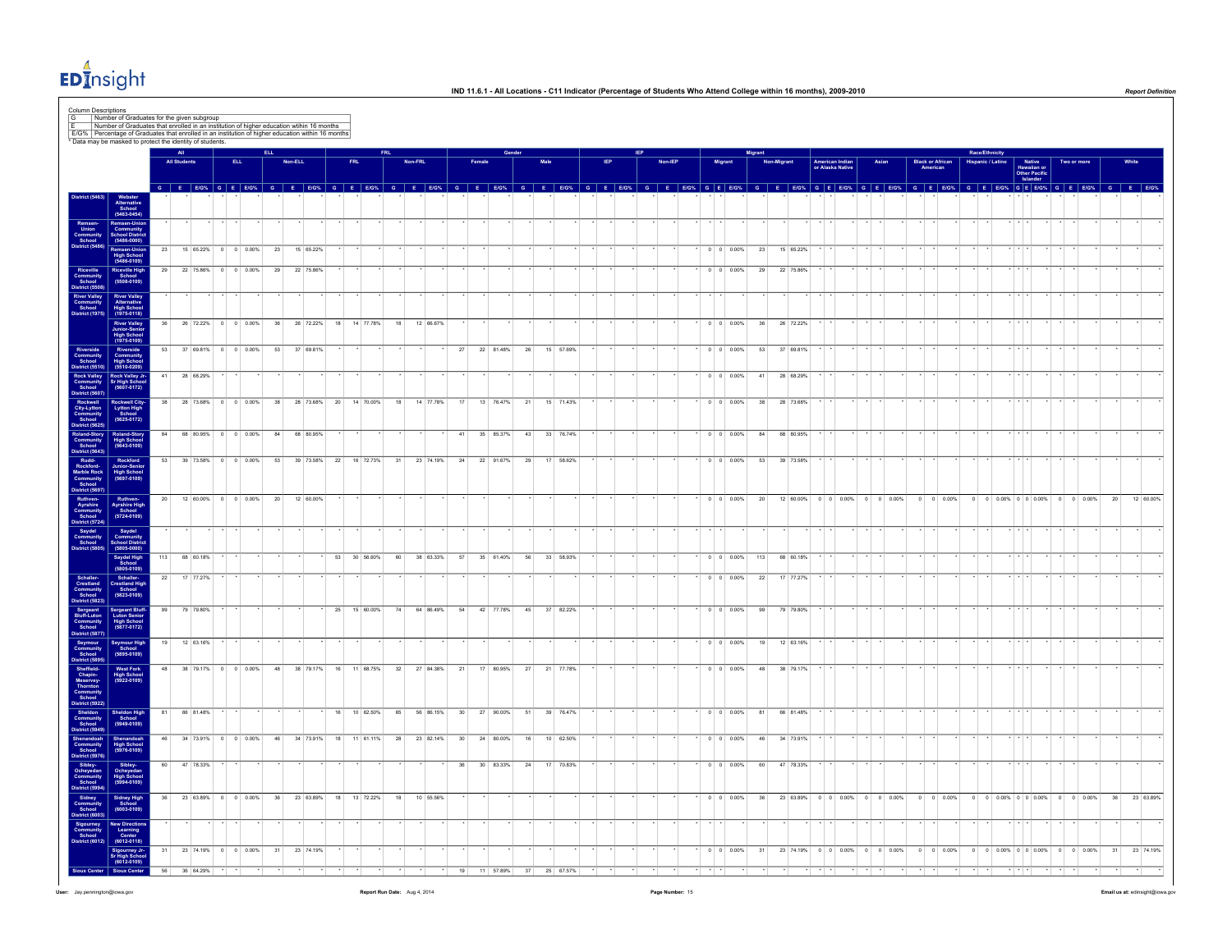

|  | <b>Report Definitio</b> |
|--|-------------------------|

| Column Descriptions<br>$\boxed{G}$                                                                                                                                                                                                                                                                                                                                                                                                                                                                                   | Number of Graduates for the given subgroup<br>Number of Graduates that enrolled in an institution of higher education wtihin 16 months<br>E/G% Percentage of Graduates that enrolled in an institution of higher education within 16 months<br>* Data may be masked to protect the identity of students. |           |                                                                                                                                                                                                                               |                |                    |    |           |            |           |                                                  |           |    |           |    |           |  |  |  |                                                      |           |                        |                                     |                       |       |         |                                            |                          |                                             |         |                    |    |               |           |
|----------------------------------------------------------------------------------------------------------------------------------------------------------------------------------------------------------------------------------------------------------------------------------------------------------------------------------------------------------------------------------------------------------------------------------------------------------------------------------------------------------------------|----------------------------------------------------------------------------------------------------------------------------------------------------------------------------------------------------------------------------------------------------------------------------------------------------------|-----------|-------------------------------------------------------------------------------------------------------------------------------------------------------------------------------------------------------------------------------|----------------|--------------------|----|-----------|------------|-----------|--------------------------------------------------|-----------|----|-----------|----|-----------|--|--|--|------------------------------------------------------|-----------|------------------------|-------------------------------------|-----------------------|-------|---------|--------------------------------------------|--------------------------|---------------------------------------------|---------|--------------------|----|---------------|-----------|
|                                                                                                                                                                                                                                                                                                                                                                                                                                                                                                                      |                                                                                                                                                                                                                                                                                                          |           | <b>All Students</b>                                                                                                                                                                                                           |                | ELL                |    | Non-ELL   | <b>FRL</b> |           |                                                  | Non-FRI   |    |           |    |           |  |  |  |                                                      |           |                        | American Indian<br>or Alaska Native |                       | Asiar |         | <b>Black or African</b><br><b>American</b> | <b>Hispanic / Latino</b> | <b>Native</b><br>Hawaiian o<br>Other Pacifi |         | Two or more        |    |               |           |
|                                                                                                                                                                                                                                                                                                                                                                                                                                                                                                                      | Alternative<br>School<br>(5463-0454)                                                                                                                                                                                                                                                                     |           | G E EION, G E EION, G E EION, G E EION, G E EION, G E EION, G E EION, G E EION, G E EION, G E EION, G E EION, G E EION, G E EION, G E EION, G E EION, G E EION, G E EION, G E EION, G E EION, G E EION, G E EION, G E EION, G |                |                    |    |           |            |           |                                                  |           |    |           |    |           |  |  |  |                                                      |           |                        |                                     |                       |       |         |                                            |                          |                                             |         |                    |    | $G$ $E$ $E/G$ |           |
| Remsen-<br>Union<br>Communit<br>School                                                                                                                                                                                                                                                                                                                                                                                                                                                                               | Remsen-Unio<br>Community<br>School Distric<br>(5486-0000)                                                                                                                                                                                                                                                |           |                                                                                                                                                                                                                               |                |                    |    |           |            |           |                                                  |           |    |           |    |           |  |  |  |                                                      |           |                        |                                     |                       |       |         |                                            |                          |                                             |         |                    |    |               |           |
|                                                                                                                                                                                                                                                                                                                                                                                                                                                                                                                      | Remsen-Unio<br>High School<br>(5486-0109)                                                                                                                                                                                                                                                                | 23        | 15 65.22% 0 0 0.00%                                                                                                                                                                                                           |                |                    | 23 | 15 65.22% |            |           |                                                  |           |    |           |    |           |  |  |  | $0 \t 0 \t 0.00\%$                                   | 23        | 15 65.22%              |                                     |                       |       |         |                                            |                          |                                             |         |                    |    |               |           |
| Riceville<br>Community<br>School                                                                                                                                                                                                                                                                                                                                                                                                                                                                                     | Riceville High<br>School<br>(5508-0109)                                                                                                                                                                                                                                                                  | 29        | 22 75.86% 0 0 0.00%                                                                                                                                                                                                           |                |                    | 29 | 22 75.86% |            |           |                                                  |           |    |           |    |           |  |  |  | $0 \t 0 \t 0.00%$                                    | 29        | 22 75.86%              |                                     |                       |       |         |                                            |                          |                                             |         |                    |    |               |           |
| River Valley<br>Community<br>School<br>District (1975)                                                                                                                                                                                                                                                                                                                                                                                                                                                               | River Valley<br>Alternative<br>High School<br>(1975-0118)                                                                                                                                                                                                                                                |           |                                                                                                                                                                                                                               |                |                    |    |           |            |           |                                                  |           |    |           |    |           |  |  |  |                                                      |           |                        |                                     |                       |       |         |                                            |                          |                                             |         |                    |    |               |           |
|                                                                                                                                                                                                                                                                                                                                                                                                                                                                                                                      | <b>River Valley</b><br>Junior-Senio<br>High School<br>(1975-0109)                                                                                                                                                                                                                                        | 36        | 26 72.22% 0 0 0.00%                                                                                                                                                                                                           |                |                    | 36 | 26 72.22% | 18         | 14 77.78% | 18                                               | 12 66.67% |    |           |    |           |  |  |  | $0 \quad 0 \quad 0.00\%$                             | 36        | 26 72.22%              |                                     |                       |       |         |                                            |                          |                                             |         |                    |    |               |           |
| Riverside<br>Community<br>School<br>District (5510                                                                                                                                                                                                                                                                                                                                                                                                                                                                   | Riverside<br>Community<br>High School<br>(5510-0209)                                                                                                                                                                                                                                                     | 53        | 37 69.81% 0 0 0.00%                                                                                                                                                                                                           |                |                    | 53 | 37 69.81% |            |           |                                                  |           | 27 | 22 81.48% | 26 | 15 57.69% |  |  |  | $0 \t 0 \t 0.00\%$                                   | 53        | 37 69.81%              |                                     |                       |       |         |                                            |                          |                                             |         |                    |    |               |           |
| Rock Valley<br>Community<br>School                                                                                                                                                                                                                                                                                                                                                                                                                                                                                   | Rock Valley Jr<br>Sr High Schoo<br>(5607-0172)                                                                                                                                                                                                                                                           | 41        | 28 68.29%                                                                                                                                                                                                                     |                |                    |    |           |            |           |                                                  |           |    |           |    |           |  |  |  | $0 \t 0 \t 0.00\%$                                   | 41        | 28 68.29%              |                                     |                       |       |         |                                            |                          |                                             |         |                    |    |               |           |
| Rockwell<br>City-Lytton<br>Community<br>School<br>District (5625                                                                                                                                                                                                                                                                                                                                                                                                                                                     | Rockwell City<br>Lytton High<br>School<br>5625-0172                                                                                                                                                                                                                                                      | 38        | 28 73.68% 0 0 0.00%                                                                                                                                                                                                           |                |                    | 38 | 28 73.68% | 20         | 14 70.00% | 18                                               | 14 77.78% | 17 | 13 76.47% | 21 | 15 71.43% |  |  |  | $0 \t 0 \t 0.00%$                                    | 38        | 28 73.68%              |                                     |                       |       |         |                                            |                          |                                             |         |                    |    |               |           |
|                                                                                                                                                                                                                                                                                                                                                                                                                                                                                                                      | Roland-Story<br>High School<br>(5643-0109)                                                                                                                                                                                                                                                               | 84        | 68 80.95% 0 0 0.00%                                                                                                                                                                                                           |                |                    | 84 | 68 80.95% |            |           |                                                  |           | 41 | 35 85.37% | 43 | 33 76.74% |  |  |  | $0 \t 0 \t 0.00%$                                    | 84        | 68 80.95%              |                                     |                       |       |         |                                            |                          |                                             |         |                    |    |               |           |
|                                                                                                                                                                                                                                                                                                                                                                                                                                                                                                                      | Rockford<br>Junior-Senior<br>High School<br>(5697-0109)                                                                                                                                                                                                                                                  | 53        | 39 73.58% 0 0 0.00%                                                                                                                                                                                                           |                |                    | 53 |           |            |           | 39 73.58% 22 16 72.73% 31 23 74.19% 24 22 91.67% |           |    |           | 29 | 17 58.62% |  |  |  | $0 \quad 0 \quad 0.00\%$                             | 53        | 39 73.58%              |                                     |                       |       |         |                                            |                          |                                             |         |                    |    |               |           |
|                                                                                                                                                                                                                                                                                                                                                                                                                                                                                                                      |                                                                                                                                                                                                                                                                                                          | $20\,$    | 12 60.00%                                                                                                                                                                                                                     | $\overline{0}$ | 0 0.00%            | 20 | 12 60.00% |            |           |                                                  |           |    |           |    |           |  |  |  | $0 \t 0 \t 0.00%$                                    | 20        | 12 60.00%              |                                     | $0$ 0 0.00% 0 0 0.00% |       | $\circ$ | 0 0.00%                                    | $\bullet$                | $0$ 0.00% 0 0 0.00%                         | $\circ$ | 0 0.00%            | 20 |               | 12 60.00% |
| District (5625)<br>Roland-Story<br>Community<br>Community<br>District (5643)<br>Rudd-Rockford-<br>Rockford-<br>Community<br>District (5697)<br>Ruthwen-Ayrshire<br>Community<br>Community<br>Community<br>Community<br>Community<br>District (5724                                                                                                                                                                                                                                                                   | Ruthven-<br>Ayrshire High<br>School<br>(5724-0109)                                                                                                                                                                                                                                                       |           |                                                                                                                                                                                                                               |                |                    |    |           |            |           |                                                  |           |    |           |    |           |  |  |  |                                                      |           |                        |                                     |                       |       |         |                                            |                          |                                             |         |                    |    |               |           |
| Saydel<br>Community<br>School<br>District (5805)                                                                                                                                                                                                                                                                                                                                                                                                                                                                     | Saydel<br>Community<br>School Distri<br>(5805-0000)                                                                                                                                                                                                                                                      |           |                                                                                                                                                                                                                               |                |                    |    |           |            | 30 56,60% |                                                  | 38 63.33% | 57 | 35 61.40% |    |           |  |  |  |                                                      |           |                        |                                     |                       |       |         |                                            |                          |                                             |         |                    |    |               |           |
|                                                                                                                                                                                                                                                                                                                                                                                                                                                                                                                      | Saydel High<br>School<br>(5805-0109)                                                                                                                                                                                                                                                                     | 113<br>22 | 68 60.18%<br>17 77.27%                                                                                                                                                                                                        |                |                    |    |           | 53         |           | 60                                               |           |    |           | 56 | 33 58.93% |  |  |  | $0 \quad 0 \quad 0.00\%$<br>$0 \quad 0 \quad 0.00\%$ | 113<br>22 | 68 60.18%<br>17 77.27% |                                     |                       |       |         |                                            |                          |                                             |         |                    |    |               |           |
| Schaller-<br>Crestland<br>Community<br>School<br>District (582                                                                                                                                                                                                                                                                                                                                                                                                                                                       | Schaller-<br>Crestland High<br>School<br>(5823-0109)                                                                                                                                                                                                                                                     | 99        | 79 79.80%                                                                                                                                                                                                                     |                |                    |    |           | 25         | 15 60,00% | 74                                               | 64 86.49% | 54 | 42 77.78% | 45 | 37 82.22% |  |  |  | $0 \quad 0 \quad 0.00\%$                             | 99        | 79 79.80%              |                                     |                       |       |         |                                            |                          |                                             |         |                    |    |               |           |
| $\begin{array}{c} \texttt{Sergent} \\ \texttt{Butf-tuton} \\ \texttt{Commutity} \\ \texttt{Obromatic} \\ \texttt{Distric} \\ \texttt{Seymour} \\ \texttt{Seymour} \\ \texttt{School} \\ \texttt{Sstric} \\ \texttt{Commutity} \\ \texttt{School} \\ \texttt{Conrununity} \\ \texttt{Chogin} \\ \texttt{Chommutity} \\ \texttt{School} \\ \texttt{Commutity} \\ \texttt{School} \\ \texttt{Commutity} \\ \texttt{Stel} \\ \texttt{Commutity} \\ \texttt{Stel} \\ \texttt{O} \\ \texttt{Sstric} \\ \texttt{Sstool} \\$ | Sergeant Bluft<br>Luton Senior<br>High School<br>(5877-0172)                                                                                                                                                                                                                                             |           |                                                                                                                                                                                                                               |                |                    |    |           |            |           |                                                  |           |    |           |    |           |  |  |  |                                                      |           |                        |                                     |                       |       |         |                                            |                          |                                             |         |                    |    |               |           |
|                                                                                                                                                                                                                                                                                                                                                                                                                                                                                                                      | Seymour High<br>School<br>(5895-0109)                                                                                                                                                                                                                                                                    | 19        | 12 63.16%                                                                                                                                                                                                                     |                |                    |    |           |            |           |                                                  |           |    |           |    |           |  |  |  | $0 \quad 0 \quad 0.00\%$                             | 19        | 12 63.16%              |                                     |                       |       |         |                                            |                          |                                             |         |                    |    |               |           |
|                                                                                                                                                                                                                                                                                                                                                                                                                                                                                                                      | West Fork<br>High School<br>(5922-0109)                                                                                                                                                                                                                                                                  | 48        | 38 79.17% 0 0 0.00%                                                                                                                                                                                                           |                |                    | 48 | 38 79.17% | 16         | 11 68.75% | 32                                               | 27 84.38% | 21 | 17 80.95% | 27 | 21 77.78% |  |  |  | $0 \t 0 \t 0.00\%$                                   | 48        | 38 79.17%              |                                     |                       |       |         |                                            |                          |                                             |         |                    |    |               |           |
|                                                                                                                                                                                                                                                                                                                                                                                                                                                                                                                      |                                                                                                                                                                                                                                                                                                          | 81        | 66 81.48%                                                                                                                                                                                                                     |                |                    |    |           | 16         | 10 62.50% | 65                                               | 56 86.15% | 30 | 27 90.00% | 51 | 39 76.47% |  |  |  | $0 \quad 0 \quad 0.00\%$                             | 81        | 66 81.48%              |                                     |                       |       |         |                                            |                          |                                             |         |                    |    |               |           |
|                                                                                                                                                                                                                                                                                                                                                                                                                                                                                                                      | Sheldon High<br>School<br>(5949-0109)                                                                                                                                                                                                                                                                    | 46        | 34 73.91% 0 0 0.00%                                                                                                                                                                                                           |                |                    | 46 | 34 73.91% | 18         | 11 61.11% | 28                                               | 23 82.14% | 30 | 24 80.00% | 16 | 10 62.50% |  |  |  | $0 \quad 0 \quad 0.00\%$                             | 46        | 34 73.91%              |                                     |                       |       |         |                                            |                          |                                             |         |                    |    |               |           |
|                                                                                                                                                                                                                                                                                                                                                                                                                                                                                                                      | Shenandoah<br>High School<br>(5976-0109)                                                                                                                                                                                                                                                                 | 60        | 47 78.33%                                                                                                                                                                                                                     |                |                    |    |           |            |           |                                                  |           | 36 | 30 83.33% | 24 | 17 70.83% |  |  |  | $0 \quad 0 \quad 0.00\%$                             | 60        | 47 78.33%              |                                     |                       |       |         |                                            |                          |                                             |         |                    |    |               |           |
| District (949)<br>Shenandoah<br>Community<br>School<br>School<br>School<br>Community<br>School<br>District (5994)<br>Community<br>Community<br>Constrict (5094)<br>District (6003)<br>District (6003)                                                                                                                                                                                                                                                                                                                | Sibley-<br>Ocheyedan<br>High School<br>(5994-0109)                                                                                                                                                                                                                                                       |           |                                                                                                                                                                                                                               |                |                    |    |           |            |           |                                                  |           |    |           |    |           |  |  |  |                                                      |           |                        |                                     |                       |       |         |                                            |                          |                                             |         |                    |    |               |           |
|                                                                                                                                                                                                                                                                                                                                                                                                                                                                                                                      | Sidney High<br>School<br>(6003-0109)                                                                                                                                                                                                                                                                     | 36        | 23 63.89%                                                                                                                                                                                                                     |                | $0 \t 0 \t 0.00\%$ | 36 | 23 63.89% | 18         | 13 72.22% | 18                                               | 10 55.56% |    |           |    |           |  |  |  | $0 \ 0 \ 0.00\%$                                     | 36        | 23 63.89%              |                                     | $0$ 0 0.00% 0 0 0.00% |       |         | $0 \t 0 \t 0.00\%$                         | $\circ$                  | $0$ 0.00% 0 0 0.00%                         |         | $0 \t 0 \t 0.00\%$ | 36 |               | 23 63.89% |
| Sigourney<br>Community<br>School<br>District (6012                                                                                                                                                                                                                                                                                                                                                                                                                                                                   | <b>New Direction<br/>Learning<br/>Center<br/>(6012-0118)</b>                                                                                                                                                                                                                                             |           |                                                                                                                                                                                                                               |                |                    |    |           |            |           |                                                  |           |    |           |    |           |  |  |  |                                                      |           |                        |                                     |                       |       |         |                                            |                          |                                             |         |                    |    |               |           |
| <b>Sioux Center</b>                                                                                                                                                                                                                                                                                                                                                                                                                                                                                                  | Sigourney Jr-<br>Sr High School<br>(6012-0109)<br>Sioux Cen                                                                                                                                                                                                                                              | 31        | 23 74.19%<br>36 64.299                                                                                                                                                                                                        | $\circ$        | $0 - 0.00%$        | 31 | 23 74.19% |            |           |                                                  |           |    |           |    | 25 67.579 |  |  |  | $0 \t 0 \t 0.00%$                                    | 31        | 23 74.19%              | 0.00%                               | $\,$ 0 $\,$           | 0.00% |         | 0 0.00%                                    | $\circ$                  | 0.00% 0 0 0.00%                             |         | 0.00%              | 31 |               | 23 74.19% |
|                                                                                                                                                                                                                                                                                                                                                                                                                                                                                                                      |                                                                                                                                                                                                                                                                                                          |           |                                                                                                                                                                                                                               |                |                    |    |           |            |           |                                                  |           |    |           |    |           |  |  |  |                                                      |           |                        |                                     |                       |       |         |                                            |                          |                                             |         |                    |    |               |           |

**User:** Jay.pennington@iowa.gov **Report Run Date:** Aug 4, 2014 **Page Number:** 15 **Email us at:** edinsight@iowa.gov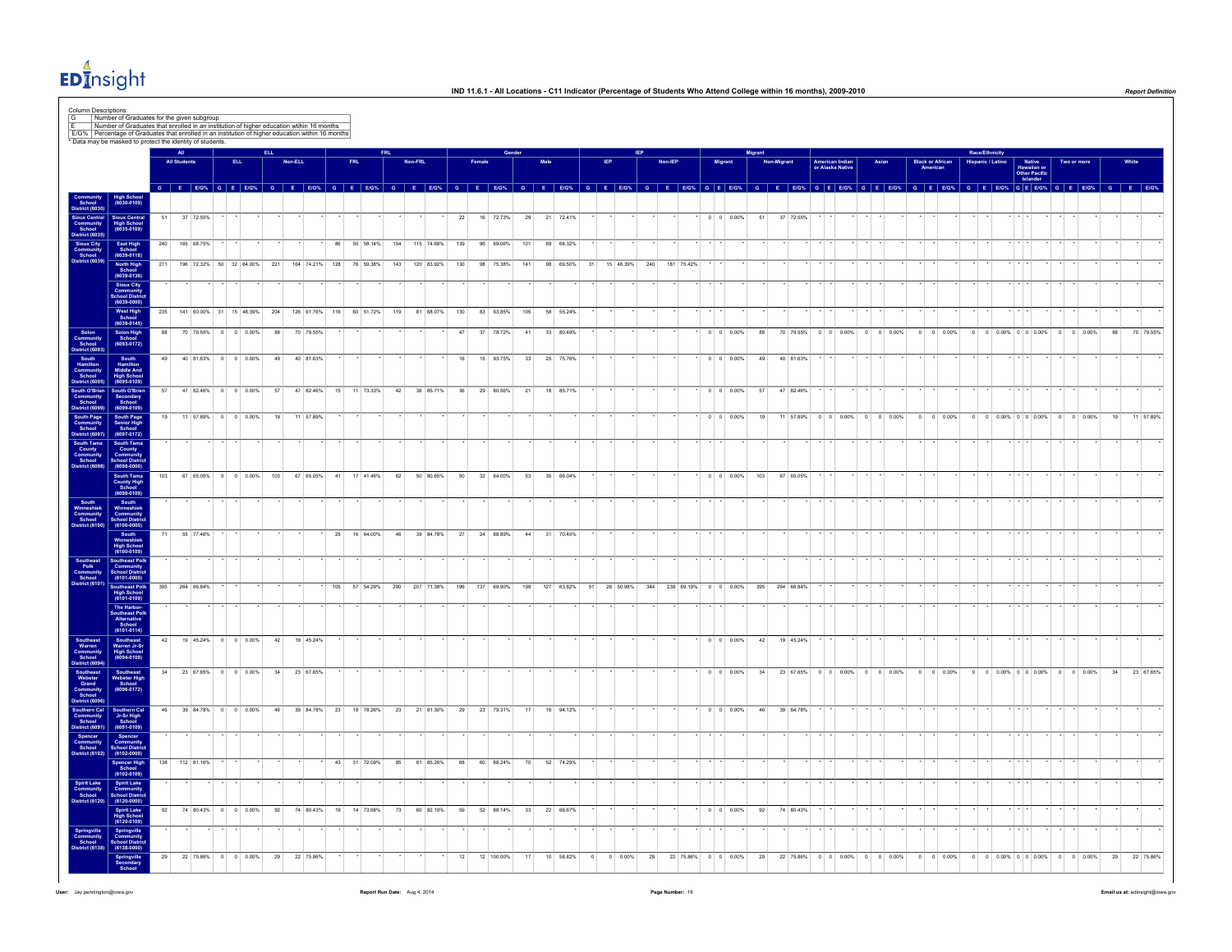

|  | <b>Report Definition</b> |
|--|--------------------------|

|                                                                                                                                                                                                                                                    |     | * Data may be masked to protect the identity of students.    |                     |            |     |          |              |     |                                                      |    |                    |          |            |           |          |           |    |                         |                   |                      |                          |           |              |                                     |                          |                                     |                         |  |                                                    |                |             |    |  |
|----------------------------------------------------------------------------------------------------------------------------------------------------------------------------------------------------------------------------------------------------|-----|--------------------------------------------------------------|---------------------|------------|-----|----------|--------------|-----|------------------------------------------------------|----|--------------------|----------|------------|-----------|----------|-----------|----|-------------------------|-------------------|----------------------|--------------------------|-----------|--------------|-------------------------------------|--------------------------|-------------------------------------|-------------------------|--|----------------------------------------------------|----------------|-------------|----|--|
|                                                                                                                                                                                                                                                    |     | <b>All Students</b>                                          |                     | <b>ELL</b> |     | Non-ELL  |              |     | <b>FRL</b>                                           |    | Non-FRL            |          |            |           |          |           |    |                         | Von-IFP           |                      |                          | Non-Migra |              | American Indian<br>or Alaska Native |                          |                                     | <b>Black or African</b> |  | Native<br>Hawaiian or<br>Other Pacific<br>Islander |                |             |    |  |
|                                                                                                                                                                                                                                                    |     | G E E/G% G E E/G%                                            |                     |            |     | G E E/G% |              |     | G E E/G%                                             |    | G E E/G%           | G E E/G% |            |           | G E E/G% |           |    | G E E/G%                | G E E/G% G E E/G% |                      |                          |           |              |                                     |                          | G E E/G% G E E/G% G E E/G% G E E/G% |                         |  | G E E/G% G E E/G% G E E/G%                         |                |             |    |  |
| High School<br>(6030-0109)                                                                                                                                                                                                                         |     |                                                              |                     |            |     |          |              |     |                                                      |    |                    |          |            |           |          |           |    |                         |                   |                      |                          |           |              |                                     |                          |                                     |                         |  |                                                    |                |             |    |  |
| Sioux Central<br>High School<br>(6035-0109)                                                                                                                                                                                                        | 51  | 37 72.55%                                                    |                     |            |     |          |              |     |                                                      |    |                    | 22       | 16 72.73%  |           | 29       | 21 72.41% |    |                         |                   |                      | $0 \t 0 \t 0.00\%$       |           | 51 37 72.55% |                                     |                          |                                     |                         |  |                                                    |                |             |    |  |
|                                                                                                                                                                                                                                                    |     |                                                              |                     |            |     |          |              |     |                                                      |    |                    |          |            |           |          |           |    |                         |                   |                      |                          |           |              |                                     |                          |                                     |                         |  |                                                    |                |             |    |  |
| East High<br>School<br>(6039-0118)                                                                                                                                                                                                                 |     | 240 165 68.75%                                               |                     |            |     |          |              |     | 86 50 58 14%                                         |    | 154 115 74.68% 139 |          |            | 96 69.06% | 101      | 69 68.32% |    |                         |                   |                      |                          |           |              |                                     |                          |                                     |                         |  | $\cdot$ $\cdot$ $\cdot$                            |                |             |    |  |
| North High<br>School<br>(6039-0136)                                                                                                                                                                                                                | 271 |                                                              |                     |            |     |          |              |     | 196 72.32% 50 32 64.00% 221 164 74.21% 128 76 59.38% |    | 143 120 83.92% 130 |          | 98 75.38%  |           | 141      | 98 69.50% | 31 | 15 48.39%               | 240               | 181 75.42%           |                          |           |              |                                     |                          |                                     |                         |  |                                                    |                |             |    |  |
| Sioux City<br>Community<br>School Distri<br>(6039-0000)                                                                                                                                                                                            |     |                                                              |                     |            |     |          |              |     |                                                      |    |                    |          |            |           |          |           |    |                         |                   |                      |                          |           |              |                                     |                          |                                     |                         |  |                                                    |                |             |    |  |
|                                                                                                                                                                                                                                                    |     | 235 141 60.00% 31 15 48.39% 204 126 61.76% 116 60 51.72% 119 |                     |            |     |          |              |     |                                                      |    | 81 68.07%          | 130      | 83 63.85%  |           | 105      | 58 55.24% |    |                         |                   |                      |                          |           |              |                                     |                          |                                     |                         |  |                                                    |                |             |    |  |
| West High<br>School<br>(6039-0145)                                                                                                                                                                                                                 |     |                                                              |                     |            |     |          |              |     |                                                      |    |                    |          |            |           |          |           |    |                         |                   |                      |                          |           |              |                                     |                          |                                     |                         |  |                                                    |                |             |    |  |
| Solon High<br>School<br>(6093-0172)                                                                                                                                                                                                                | 88  |                                                              | 70 79.55% 0 0 0.00% |            | 88  |          | 70 79.55%    |     |                                                      |    |                    | 47       | 37 78.72%  |           | 41       | 33 80.49% |    |                         |                   |                      | $0 \t 0 \t 0.00\%$       | 88        | 70 79.55%    | $0 \t 0 \t 0.00\%$                  | $\overline{\phantom{0}}$ | $0 - 0.00%$                         | $0 \t 0 \t 0.00\%$      |  | $0$ 0 0.00% 0 0 0.00%                              | $\overline{0}$ | $0 - 0.00%$ | 88 |  |
|                                                                                                                                                                                                                                                    | 49  | 40 81.63% 0 0 0.00%                                          |                     |            |     | 49       | 40 81.63%    |     |                                                      |    |                    | 16       | 15 93.75%  |           | 33       | 25 75.76% |    |                         |                   |                      | $0 \quad 0 \quad 0.00\%$ | 49        | 40 81.63%    |                                     |                          |                                     |                         |  |                                                    |                |             |    |  |
| South<br>Hamilton<br>Middle And<br>High School<br>(6095-0109)                                                                                                                                                                                      |     |                                                              |                     |            |     |          |              |     |                                                      |    |                    |          |            |           |          |           |    |                         |                   |                      |                          |           |              |                                     |                          |                                     |                         |  |                                                    |                |             |    |  |
| South O'Brien<br>Secondary<br>School<br>(6099-0109)                                                                                                                                                                                                | 57  | 47 82.46% 0 0 0.00%                                          |                     |            | 57  |          | 47 82.46%    |     | 15 11 73.33%                                         | 42 | 36 85.71%          | 36       | 29 80.56%  |           | 21       | 18 85.71% |    |                         |                   |                      | $0 \t 0 \t 0.00\%$       | 57        | 47 82.46%    |                                     |                          |                                     |                         |  |                                                    |                |             |    |  |
|                                                                                                                                                                                                                                                    | 19  |                                                              | 11 57.89% 0 0 0.00% |            | 19  |          | 11 57.89%    |     |                                                      |    |                    |          |            |           |          |           |    |                         |                   |                      | $0 \t 0 \t 0.00%$        | 19        |              |                                     |                          | 11 57.89% 0 0 0.00% 0 0 0.00%       | $0 \t 0 \t 0.00\%$      |  | $0$ 0 0.00% 0 0 0.00% 0 0 0.00%                    |                |             | 19 |  |
| South Page<br>Senior High<br>School<br>(6097-0172)                                                                                                                                                                                                 |     |                                                              |                     |            |     |          |              |     |                                                      |    |                    |          |            |           |          |           |    |                         |                   |                      |                          |           |              |                                     |                          |                                     |                         |  |                                                    |                |             |    |  |
|                                                                                                                                                                                                                                                    |     |                                                              |                     |            |     |          |              |     |                                                      |    |                    |          |            |           |          |           |    |                         |                   |                      |                          |           |              |                                     |                          |                                     |                         |  |                                                    |                |             |    |  |
| South Tama<br>County<br>Community<br>School Distric<br>(6098-0000)                                                                                                                                                                                 |     |                                                              |                     |            |     |          |              |     |                                                      |    |                    |          |            |           |          |           |    |                         |                   |                      |                          |           |              |                                     |                          |                                     |                         |  |                                                    |                |             |    |  |
| South Tama<br>County High<br>School<br>(6098-0109)                                                                                                                                                                                                 | 103 | 67 65.05% 0 0 0.00%                                          |                     |            | 103 |          | 67 65.05%    | 41  | 17 41.46%                                            | 62 | 50 80.65%          | 50       | 32 64.00%  |           | 53       | 35 66.04% |    |                         |                   |                      | $0 \t 0 \t 0.00%$        | 103       | 67 65.05%    |                                     |                          |                                     |                         |  |                                                    |                |             |    |  |
|                                                                                                                                                                                                                                                    |     |                                                              |                     |            |     |          |              |     |                                                      |    |                    |          |            |           |          |           |    |                         |                   |                      |                          |           |              |                                     |                          |                                     |                         |  |                                                    |                |             |    |  |
| South<br>Winneshiek<br>Community<br>School Distric<br>(6100-0000)                                                                                                                                                                                  |     |                                                              |                     |            |     |          |              |     |                                                      |    |                    |          |            |           |          |           |    |                         |                   |                      |                          |           |              |                                     |                          |                                     |                         |  |                                                    |                |             |    |  |
|                                                                                                                                                                                                                                                    | 71  | 55 77 46%                                                    |                     |            |     |          |              | 25  | 16 64 00%                                            | 46 | 39 84 78%          | 27       | 24 88 89%  |           | $-44$    | 31 70.45% |    |                         |                   |                      |                          |           |              |                                     |                          |                                     |                         |  |                                                    |                |             |    |  |
| South<br>Winneshiek<br>High School<br>(6100-0109)                                                                                                                                                                                                  |     |                                                              |                     |            |     |          |              |     |                                                      |    |                    |          |            |           |          |           |    |                         |                   |                      |                          |           |              |                                     |                          |                                     |                         |  |                                                    |                |             |    |  |
| Southeast Polk<br>Community<br>School District<br>(6101-0000)                                                                                                                                                                                      |     |                                                              |                     |            |     |          |              |     |                                                      |    |                    |          |            |           |          |           |    |                         |                   |                      |                          |           |              |                                     |                          |                                     |                         |  |                                                    |                |             |    |  |
| Southeast Polk<br>High School<br>(6101-0109)                                                                                                                                                                                                       |     | 395 264 66.84%                                               |                     |            |     |          |              | 105 | 57 54.29% 290 207 71.38%                             |    |                    | 196      | 137 69.90% |           | 199      |           |    | 127 63.82% 51 26 50.98% | 344               | 238 69.19% 0 0 0.00% |                          | 395       | 264 66.84%   |                                     |                          |                                     |                         |  |                                                    |                |             |    |  |
|                                                                                                                                                                                                                                                    |     |                                                              |                     |            |     |          |              |     |                                                      |    |                    |          |            |           |          |           |    |                         |                   |                      |                          |           |              |                                     |                          |                                     |                         |  |                                                    |                |             |    |  |
| The Harbor-<br>Southeast Poll<br>Alternative<br>School<br>(6101-0114)                                                                                                                                                                              |     |                                                              |                     |            |     |          |              |     |                                                      |    |                    |          |            |           |          |           |    |                         |                   |                      |                          |           |              |                                     |                          |                                     |                         |  |                                                    |                |             |    |  |
| Southeast<br>Warren Jr-Sr<br>High School<br>(6094-0109)                                                                                                                                                                                            | 42  |                                                              | 19 45.24% 0 0 0.00% |            | 42  |          | 19 45.24%    |     |                                                      |    |                    |          |            |           |          |           |    |                         |                   |                      | $0 \t 0 \t 0.00\%$       | 42        | 19 45.24%    |                                     |                          |                                     |                         |  |                                                    |                |             |    |  |
| Southeast<br>Warren<br>Community<br>School<br>Southeast<br>Southeast<br>Webster<br>Community<br>District (6096)<br>District (6096)<br>Southern Cal<br>School<br>School<br>District (6096)<br>District (6096)<br>District (6091)<br>District (6091) |     |                                                              |                     |            |     |          |              |     |                                                      |    |                    |          |            |           |          |           |    |                         |                   |                      |                          |           |              |                                     |                          |                                     |                         |  |                                                    |                |             |    |  |
| Southeast<br>Webster High<br>School<br>(6096-0172)                                                                                                                                                                                                 | 34  | 23 67.65% 0 0 0.00%                                          |                     |            | 34  |          | 23 67.65%    |     |                                                      |    |                    |          |            |           |          |           |    |                         |                   |                      | $0 \t 0 \t 0.00%$        | 34        |              |                                     |                          | 23 67.65% 0 0 0.00% 0 0 0.00%       | $0 \t 0 \t 0.00\%$      |  | $0$ 0 0.00% 0 0 0.00% 0 0 0.00%                    |                |             | 34 |  |
|                                                                                                                                                                                                                                                    |     |                                                              |                     |            |     |          |              |     |                                                      |    |                    |          |            |           |          |           |    |                         |                   |                      |                          |           |              |                                     |                          |                                     |                         |  |                                                    |                |             |    |  |
| Southern Cal<br>Jr-Sr High<br>School<br>(6091-0109)                                                                                                                                                                                                | 46  | 39 84.78% 0 0 0.00%                                          |                     |            | 46  |          | 39 84.78% 23 |     | 18 78.26%                                            | 23 | 21 91.30%          | 29       | 23 79.31%  |           | 17       | 16 94.12% |    |                         |                   |                      | $0 \t 0 \t 0.00\%$       | 46        | 39 84.78%    |                                     |                          |                                     |                         |  |                                                    |                |             |    |  |
|                                                                                                                                                                                                                                                    |     |                                                              |                     |            |     |          |              |     |                                                      |    |                    |          |            |           |          |           |    |                         |                   |                      |                          |           |              |                                     |                          |                                     |                         |  |                                                    |                |             |    |  |
| Spencer<br>Community<br>School Distric<br>(6102-0000)                                                                                                                                                                                              |     |                                                              |                     |            |     |          |              |     |                                                      |    |                    |          |            |           |          |           |    |                         |                   |                      |                          |           |              |                                     |                          |                                     |                         |  |                                                    |                |             |    |  |
| Spencer High<br>School<br>(6102-0109)                                                                                                                                                                                                              | 138 | 112 81.16%                                                   |                     |            |     |          |              | 43  | 31 72.09%                                            | 95 | 81 85.26%          | 68       | 60 88.24%  |           | 70       | 52 74.29% |    |                         |                   |                      |                          |           |              |                                     |                          |                                     |                         |  |                                                    |                |             |    |  |
|                                                                                                                                                                                                                                                    |     |                                                              |                     |            |     |          |              |     |                                                      |    |                    |          |            |           |          |           |    |                         |                   |                      |                          |           |              |                                     |                          |                                     |                         |  |                                                    |                |             |    |  |
| Spirit Lake<br>Community<br>School Distric<br>(6120-0000)                                                                                                                                                                                          |     |                                                              |                     |            |     |          |              |     |                                                      |    |                    |          |            |           |          |           |    |                         |                   |                      |                          |           |              |                                     |                          |                                     |                         |  |                                                    |                |             |    |  |
| Spirit Lake<br>High School<br>(6120-0109)                                                                                                                                                                                                          | 92  | 74 80.43% 0 0 0.00%                                          |                     |            | 92  |          | 74 80.43%    | 19  | 14 73.68%                                            | 73 | 60 82.19%          | 59       | 52 88.14%  |           | 33       | 22 66.67% |    |                         |                   |                      | $0 \t 0 \t 0.00\%$       | 92        | 74 80.43%    |                                     |                          |                                     |                         |  |                                                    |                |             |    |  |
| Springville<br>Community<br>School Distric<br>(6138-0000)                                                                                                                                                                                          |     |                                                              |                     |            |     |          |              |     |                                                      |    |                    |          |            |           |          |           |    |                         |                   |                      |                          |           |              |                                     |                          |                                     |                         |  |                                                    |                |             |    |  |
|                                                                                                                                                                                                                                                    |     |                                                              |                     |            |     |          |              |     |                                                      |    |                    |          |            |           |          |           |    |                         |                   |                      |                          |           |              |                                     |                          |                                     |                         |  |                                                    |                |             |    |  |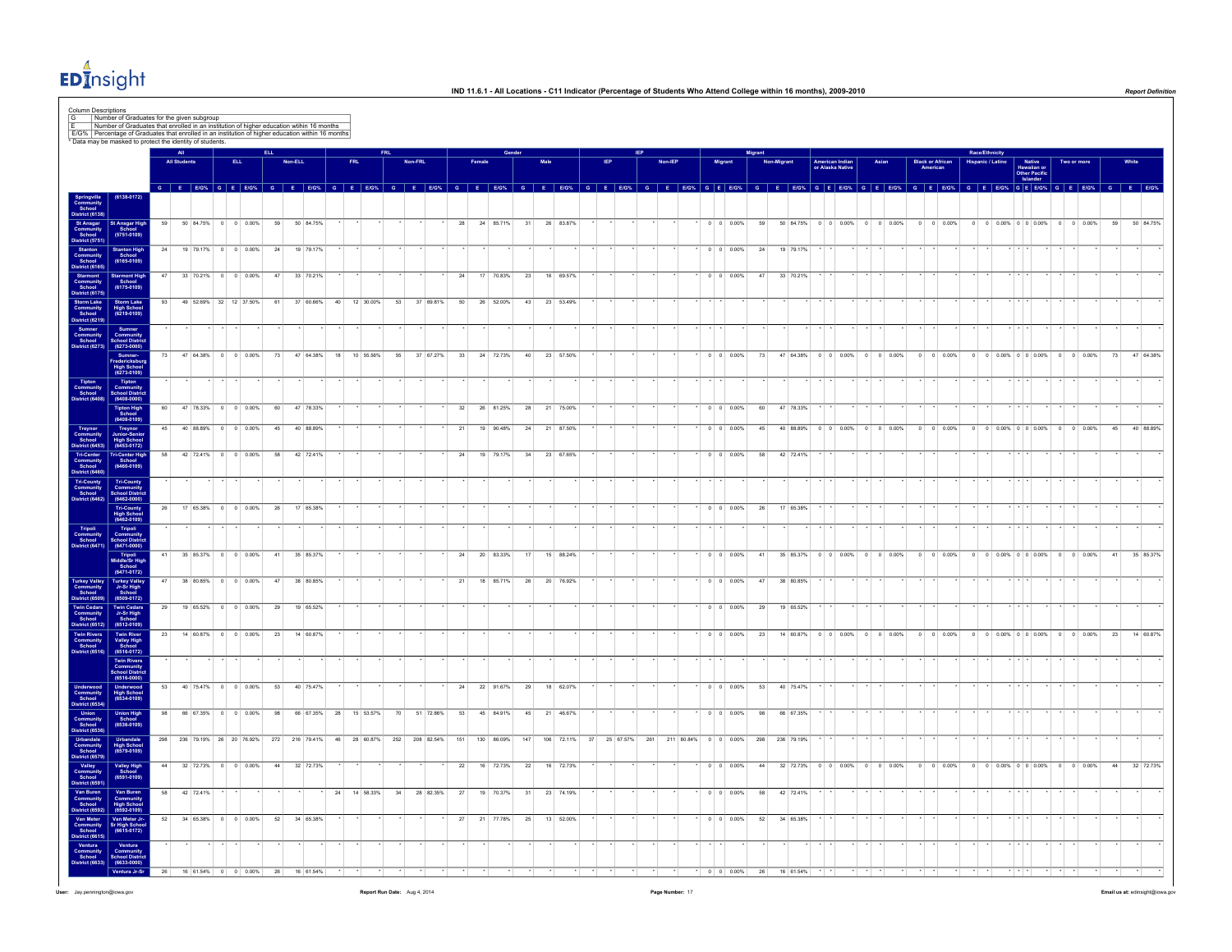

| * Data may be masked to protect the identity of students.                                                                                                                                                   |                                                           | E/G%   Percentage of Graduates that enrolled in an institution of higher education within 16 months |     |                     |                         |         |             |          | Number of Graduates that enrolled in an institution of higher education wtihin 16 months |           |    |            |           |     |         |            |     |                 |           |     |                 |           |  |                 |     |                   |                          |                          |                |                               |                                     |                |         |                |                          |          |                          |                                                    |                    |    |           |
|-------------------------------------------------------------------------------------------------------------------------------------------------------------------------------------------------------------|-----------------------------------------------------------|-----------------------------------------------------------------------------------------------------|-----|---------------------|-------------------------|---------|-------------|----------|------------------------------------------------------------------------------------------|-----------|----|------------|-----------|-----|---------|------------|-----|-----------------|-----------|-----|-----------------|-----------|--|-----------------|-----|-------------------|--------------------------|--------------------------|----------------|-------------------------------|-------------------------------------|----------------|---------|----------------|--------------------------|----------|--------------------------|----------------------------------------------------|--------------------|----|-----------|
|                                                                                                                                                                                                             |                                                           |                                                                                                     |     | <b>All Students</b> |                         |         | <b>ELL</b>  |          | Non-ELL                                                                                  |           |    | <b>FRI</b> |           |     | Non-FRI |            |     |                 |           |     |                 |           |  |                 |     | <b>Non-JEP</b>    | Migrant                  |                          |                |                               | American Indian<br>or Alaska Native |                |         |                | <b>Black or African</b>  |          | <b>Hispanic / Lating</b> |                                                    | Two or more        |    |           |
|                                                                                                                                                                                                             |                                                           |                                                                                                     |     |                     |                         |         |             |          |                                                                                          |           |    |            |           |     |         |            |     |                 |           |     |                 |           |  |                 |     |                   |                          |                          |                |                               |                                     |                |         |                |                          |          |                          | Native<br>Hawaiian or<br>Other Pacific<br>Islander |                    |    |           |
|                                                                                                                                                                                                             | 6138-0172)                                                |                                                                                                     |     | G E E/G%            |                         |         | G E E/G%    | G E E/G% |                                                                                          |           |    | G E E/G%   |           |     |         | G E E/G%   |     | $G$ $E$ $E/G$ % |           |     | $G$ $E$ $E/G$ % |           |  | $G$ $E$ $E/G$ % |     | G E E/G% G E E/G% |                          |                          | $\overline{G}$ | E E/G% G E E/G% G E E/G%      |                                     |                |         |                | G E E/G%                 |          |                          | G E E/G% G E E/G% G E E/G%                         |                    |    |           |
| Springville<br>Community<br>School<br>District (6138                                                                                                                                                        |                                                           |                                                                                                     | 59  |                     |                         |         |             | 59       |                                                                                          |           |    |            |           |     |         |            | 28  |                 |           | 31  |                 |           |  |                 |     |                   |                          | $0 \quad 0 \quad 0.00\%$ | 59             |                               |                                     |                |         |                | $0 \quad 0 \quad 0.00\%$ |          |                          |                                                    |                    | 59 |           |
| St Ansgar<br>Community<br>School<br>District (5751)                                                                                                                                                         | St Ansgar High<br>School<br>(5751-0109)                   |                                                                                                     |     |                     | 50 84.75% 0 0 0.00%     |         |             |          | 50 84.75%                                                                                |           |    |            |           |     |         |            |     | 24 85.71%       |           |     |                 | 26 83.87% |  |                 |     |                   |                          |                          |                | 50 84.75% 0 0 0.00% 0 0 0.00% |                                     |                |         |                |                          |          |                          | $0$ 0 0.00% 0 0 0.00% 0 0 0.00%                    |                    |    | 50 84.75% |
| Stanton<br>Community<br>School<br>District (6165                                                                                                                                                            | Stanton High<br>School<br>(6165-0109)                     |                                                                                                     | 24  |                     | 19 79.17% 0 0 0.00%     |         |             | 24       |                                                                                          | 19 79.17% |    |            |           |     |         |            |     |                 |           |     |                 |           |  |                 |     |                   | $0 \t 0 \t 0.00%$        |                          | 24             | 19 79.17%                     |                                     |                |         |                |                          |          |                          |                                                    |                    |    |           |
|                                                                                                                                                                                                             |                                                           |                                                                                                     | 47  |                     | 33 70.21% 0 0 0.00%     |         |             | 47       |                                                                                          | 33 70.21% |    |            |           |     |         |            | 24  |                 | 17 70.83% | 23  |                 | 16 69.57% |  |                 |     |                   | $0 \t 0 \t 0.00%$        |                          | 47             | 33 70.21%                     |                                     |                |         |                |                          |          |                          |                                                    |                    |    |           |
| Samont<br>Sommunity<br>Community<br>School<br>District (6175)<br>Storm Lake<br>Community<br>School<br>District (6219)                                                                                       | Starmont High<br>School<br>(6175-0109)                    |                                                                                                     |     |                     |                         |         |             |          |                                                                                          |           |    |            |           |     |         |            |     |                 |           |     |                 |           |  |                 |     |                   |                          |                          |                |                               |                                     |                |         |                |                          |          |                          |                                                    |                    |    |           |
|                                                                                                                                                                                                             | Storm Lake<br>High School<br>(6219-0109)                  |                                                                                                     | 93  |                     | 49 52.69% 32 12 37.50%  |         |             | 61       |                                                                                          | 37 60.66% | 40 |            | 12 30.00% | 53  |         | 37 69.81%  | 50  |                 | 26 52.00% | 43  |                 | 23 53.49% |  |                 |     |                   |                          |                          |                |                               |                                     |                |         |                |                          |          |                          |                                                    |                    |    |           |
|                                                                                                                                                                                                             |                                                           |                                                                                                     |     |                     |                         |         |             |          |                                                                                          |           |    |            |           |     |         |            |     |                 |           |     |                 |           |  |                 |     |                   |                          |                          |                |                               |                                     |                |         |                |                          |          |                          |                                                    |                    |    |           |
| Sumner<br>Community<br>School<br>District (6273)                                                                                                                                                            | Sumner<br>Community<br>School Distric<br>(6273-0000)      |                                                                                                     |     |                     |                         |         |             |          |                                                                                          |           |    |            |           |     |         |            |     |                 |           |     |                 |           |  |                 |     |                   |                          |                          |                |                               |                                     |                |         |                |                          |          |                          |                                                    |                    |    |           |
|                                                                                                                                                                                                             | Sumner-<br>Fredericksburg<br>High School<br>(6273-0109)   |                                                                                                     | 73  |                     | 47 64.38% 0 0 0.00%     |         |             | 73       |                                                                                          | 47 64.38% |    |            | 10 55.56% | 55  |         | 37 67.27%  | 33  |                 | 24 72.73% | 40  |                 | 23 57.50% |  |                 |     |                   | $0 \quad 0 \quad 0.00\%$ |                          | 73             | 47 64.38%                     | $0 \quad 0 \quad 0.00\%$            | $\overline{0}$ | 0 0.00% | $\overline{0}$ | $0 \quad 0.00\%$         | $\circ$  |                          | $0$ 0.00% 0 0 0.00%                                | $0 \t 0 \t 0.00\%$ | 73 | 47 64.38% |
| Tipton<br>Community<br>School<br>District (6408)                                                                                                                                                            | Tipton<br>Community<br>School Distric<br>(6408-0000)      |                                                                                                     |     |                     |                         |         |             |          |                                                                                          |           |    |            |           |     |         |            |     |                 |           |     |                 |           |  |                 |     |                   |                          |                          |                |                               |                                     |                |         |                |                          |          |                          |                                                    |                    |    |           |
|                                                                                                                                                                                                             | Tipton High<br>School                                     |                                                                                                     | 60  |                     | 47 78.33% 0 0 0.00%     |         |             | 60       | 47 78.33%                                                                                |           |    |            |           |     |         |            | 32  |                 | 26 81.25% | 28  |                 | 21 75.00% |  |                 |     |                   |                          | $0 \quad 0 \quad 0.00\%$ | 60             | 47 78.33%                     |                                     |                |         |                |                          |          |                          |                                                    |                    |    |           |
|                                                                                                                                                                                                             | (6408-0109)                                               |                                                                                                     | 45  |                     | 40 88.89% 0 0 0.00%     |         |             | 45       |                                                                                          | 40 88.89% |    |            |           |     |         |            |     |                 | 19 90.48% | 24  |                 | 21 87.50% |  |                 |     |                   | $0 \t 0 \t 0.00%$        |                          | 45             | 40 88.89%                     | $0 \t0 \t0.00\%$ 0 0 0.00%          |                |         | $\circ$        | $0 - 0.00%$              |          |                          | $0$ 0 0.00% 0 0 0.00%                              | $0 \t 0 \t 0.00\%$ | 45 | 40 88.89% |
| Treynor<br>Community<br>School                                                                                                                                                                              | Treynor<br>Junior-Senio<br>High School<br>(6453-0172)     |                                                                                                     |     |                     |                         |         |             |          |                                                                                          |           |    |            |           |     |         |            |     |                 |           |     |                 |           |  |                 |     |                   |                          |                          |                |                               |                                     |                |         |                |                          |          |                          |                                                    |                    |    |           |
| Tri-Center<br>Community<br>School<br>District (6460                                                                                                                                                         | Tri-Center High<br>School<br>$(6460 - 0109)$              |                                                                                                     | 58  |                     | 42 72.41% 0 0 0.00%     |         |             | 58       |                                                                                          | 42 72.41% |    |            |           |     |         |            |     |                 | 19 79.17% | 34  |                 | 23 67.65% |  |                 |     |                   | $0 \t 0 \t 0.00%$        |                          | 58             | 42 72.41%                     |                                     |                |         |                |                          |          |                          |                                                    |                    |    |           |
| Tri-County<br>Community<br>School<br>District (6462                                                                                                                                                         |                                                           |                                                                                                     |     |                     |                         |         |             |          |                                                                                          |           |    |            |           |     |         |            |     |                 |           |     |                 |           |  |                 |     |                   |                          |                          |                |                               |                                     |                |         |                |                          |          |                          |                                                    |                    |    |           |
|                                                                                                                                                                                                             | Tri-County<br>Community<br>School Distric<br>(6462-0000)  |                                                                                                     | 26  |                     | 17 65.38% 0 0 0.00%     |         |             | 26       |                                                                                          | 17 65.38% |    |            |           |     |         |            |     |                 |           |     |                 |           |  |                 |     |                   | $0 \quad 0 \quad 0.00\%$ |                          | 26             | 17 65.38%                     |                                     |                |         |                |                          |          |                          |                                                    |                    |    |           |
|                                                                                                                                                                                                             | Tri-County<br>High School<br>(6462-0109)                  |                                                                                                     |     |                     |                         |         |             |          |                                                                                          |           |    |            |           |     |         |            |     |                 |           |     |                 |           |  |                 |     |                   |                          |                          |                |                               |                                     |                |         |                |                          |          |                          |                                                    |                    |    |           |
| Tripoli<br>Community<br>School<br>District (6471)                                                                                                                                                           | Tripoli<br>Community<br>School Distric<br>(6471-0000)     |                                                                                                     |     |                     |                         |         |             |          |                                                                                          |           |    |            |           |     |         |            |     |                 |           |     |                 |           |  |                 |     |                   |                          |                          |                |                               |                                     |                |         |                |                          |          |                          |                                                    |                    |    |           |
|                                                                                                                                                                                                             | Tripoli<br>Middle/Sr High                                 |                                                                                                     | 41  |                     | 35 85.37% 0 0 0.00%     |         |             | 41       |                                                                                          | 35 85.37% |    |            |           |     |         |            | 24  |                 | 20 83.33% | 17  |                 | 15 88.24% |  |                 |     |                   | $0 \quad 0 \quad 0.00\%$ |                          | 41             | 35 85.37%                     | $0 \t0 \t0.00\%$ 0 0 0 0.00%        |                |         | $\mathbf{0}$   | 0 0.00%                  | $\Omega$ |                          | $0$ 0.00% 0 0 0.00% 0 0 0.00%                      |                    | 41 | 35 85.37% |
|                                                                                                                                                                                                             | School<br>  School<br> 6471-0172)                         |                                                                                                     | 47  |                     | 38 80.85% 0 0 0.00%     |         |             | 47       |                                                                                          | 38 80.85% |    |            |           |     |         |            | 21  |                 | 18 85.71% | 26  |                 | 20 76.92% |  |                 |     |                   |                          | $0 \quad 0 \quad 0.00\%$ | 47             | 38 80.85%                     |                                     |                |         |                |                          |          |                          |                                                    |                    |    |           |
| Turkey Valley<br>Community<br>School                                                                                                                                                                        | Turkey Valley<br>Jr-Sr High<br>School<br>(6509-0172)      |                                                                                                     |     |                     |                         |         |             |          |                                                                                          |           |    |            |           |     |         |            |     |                 |           |     |                 |           |  |                 |     |                   |                          |                          |                |                               |                                     |                |         |                |                          |          |                          |                                                    |                    |    |           |
| Twin Cedars<br>Community<br>School<br>District (6512)                                                                                                                                                       | Twin Cedars<br>Jr-Sr High<br>School<br>(6512-0109)        |                                                                                                     | 29  |                     | 19 65.52% 0 0 0.00%     |         |             | 29       |                                                                                          | 19 65.52% |    |            |           |     |         |            |     |                 |           |     |                 |           |  |                 |     |                   | $0 \quad 0 \quad 0.00\%$ |                          | 29             | 19 65.52%                     |                                     |                |         |                |                          |          |                          |                                                    |                    |    |           |
| Twin Rivers<br>Community<br>School<br>District (6516)                                                                                                                                                       |                                                           |                                                                                                     | 23  |                     | 14 60.87% 0 0 0.00%     |         |             | 23       |                                                                                          | 14 60.87% |    |            |           |     |         |            |     |                 |           |     |                 |           |  |                 |     |                   |                          | $0 \quad 0 \quad 0.00\%$ | 23             | 14 60.87% 0 0 0.00% 0 0 0.00% |                                     |                |         |                | $0 \t 0 \t 0.00\%$       |          |                          | $0$ 0 0.00% 0 0 0.00%                              | $0 \t 0 \t 0.00\%$ | 23 | 14 60.87% |
|                                                                                                                                                                                                             | Twin River<br>Valley High<br>School<br>(6516-0172)        |                                                                                                     |     |                     |                         |         |             |          |                                                                                          |           |    |            |           |     |         |            |     |                 |           |     |                 |           |  |                 |     |                   |                          |                          |                |                               |                                     |                |         |                |                          |          |                          |                                                    |                    |    |           |
|                                                                                                                                                                                                             | Twin Rivers<br>Community<br>School Distric<br>(6516-0000) |                                                                                                     |     |                     |                         |         |             |          |                                                                                          |           |    |            |           |     |         |            |     |                 |           |     |                 |           |  |                 |     |                   |                          |                          |                |                               |                                     |                |         |                |                          |          |                          |                                                    |                    |    |           |
|                                                                                                                                                                                                             | Underwood<br>High School<br>(6534-0109)                   |                                                                                                     | 53  |                     | 40 75.47%               | $\circ$ | $0 \ 0.00%$ | 53       |                                                                                          | 40 75.47% |    |            |           |     |         |            | 24  |                 | 22 91.67% | 29  |                 | 18 62.07% |  |                 |     |                   | $0 \t 0 \t 0.00\%$       |                          | 53             | 40 75.47%                     |                                     |                |         |                |                          |          |                          |                                                    |                    |    |           |
| Underwood<br>Community<br>School<br>District (6534<br>Union<br>Community<br>Constrict (6536<br>Urbandale<br>Community<br>School<br>District (6577<br>Constrict (6577<br>Construct School<br>Constrict (6578 | <b>Union High<br/>School</b><br>(6536-0109)               |                                                                                                     | 98  |                     | 66 67.35%               |         | $0 - 0.00%$ | 98       |                                                                                          | 66 67.35% | 28 |            | 15 53.57% | 70  |         | 51 72.86%  | 53  |                 | 45 84.91% | 45  | 21              | 46.67%    |  |                 |     |                   | $0 \t 0 \t 0.00%$        |                          | 98             | 66 67.35%                     |                                     |                |         |                |                          |          |                          |                                                    |                    |    |           |
|                                                                                                                                                                                                             |                                                           |                                                                                                     |     |                     |                         |         |             |          |                                                                                          |           |    |            |           |     |         |            |     |                 |           |     |                 |           |  |                 |     |                   |                          |                          |                |                               |                                     |                |         |                |                          |          |                          |                                                    |                    |    |           |
|                                                                                                                                                                                                             | Urbandale<br>High School<br>(6579-0109)                   |                                                                                                     | 298 |                     | 236 79.19% 26 20 76.92% |         |             | 272      | 216 79.41%                                                                               |           | 46 |            | 28 60.87% | 252 |         | 208 82.54% | 151 | 130 86.09%      |           | 147 | 106             | 72.11%    |  | 25 67.57%       | 261 | 211 80.84%        | $0$ 0 0.00%              |                          | 298            | 236 79.19%                    |                                     |                |         |                |                          |          |                          |                                                    |                    |    |           |
|                                                                                                                                                                                                             | Valley High<br>School<br>(6591-0109)                      |                                                                                                     | 44  |                     | 32 72.73% 0 0 0.00%     |         |             | 44       |                                                                                          | 32 72.73% |    |            |           |     |         |            | 22  |                 | 16 72.73% | 22  |                 | 16 72.73% |  |                 |     |                   | $0 \t 0 \t 0.00%$        |                          | 44             | 32 72.73%                     | $0 \t0 \t0.00\%$ 0 0 0.00%          |                |         |                | $0 \t 0 \t 0.00\%$       |          |                          | $0$ 0 0.00% 0 0 0.00%                              | $0 \t 0 \t 0.00\%$ | 44 | 32 72.73% |
|                                                                                                                                                                                                             |                                                           |                                                                                                     | 58  | 42 72.41%           |                         |         |             |          |                                                                                          |           | 24 |            | 14 58.33% | 34  |         | 28 82.35%  | 27  |                 | 19 70.37% | 31  |                 | 23 74.19% |  |                 |     |                   | $0 \t 0 \t 0.00%$        |                          | 58             | 42 72.41%                     |                                     |                |         |                |                          |          |                          |                                                    |                    |    |           |
| Van Buren<br>Community<br>School<br>District (6592                                                                                                                                                          | Van Buren<br>Community<br>High School<br>(6592-0109)      |                                                                                                     |     |                     |                         |         |             |          |                                                                                          |           |    |            |           |     |         |            |     |                 |           |     |                 |           |  |                 |     |                   |                          |                          |                |                               |                                     |                |         |                |                          |          |                          |                                                    |                    |    |           |
| Van Meter<br>Community<br>School<br>Vistrict (6615                                                                                                                                                          | Van Meter Jr-<br>Sr High Schoo<br>(6615-0172)             |                                                                                                     | 52  |                     | 34 65.38% 0 0 0.00%     |         |             | 52       | 34 65.38%                                                                                |           |    |            |           |     |         |            | 27  |                 | 21 77.78% | 25  |                 | 13 52.00% |  |                 |     |                   | $0 \quad 0 \quad 0.00\%$ |                          | 52             | 34 65.38%                     |                                     |                |         |                |                          |          |                          |                                                    |                    |    |           |
| Ventura<br>Communit<br>School<br>Istrict (662                                                                                                                                                               | Ventura<br>Communit                                       |                                                                                                     |     |                     |                         |         |             |          |                                                                                          |           |    |            |           |     |         |            |     |                 |           |     |                 |           |  |                 |     |                   |                          |                          |                |                               |                                     |                |         |                |                          |          |                          |                                                    |                    |    |           |
|                                                                                                                                                                                                             | $(6633 - 0000)$                                           | Ventura Jr-Sr                                                                                       | 26  |                     | 16 61 54% 0 0 0 00%     |         |             | 26       |                                                                                          | 16 61 54% |    |            |           |     |         |            |     |                 |           |     |                 |           |  |                 |     |                   |                          | $0 \quad 0 \quad 0.00\%$ | 26             | 16 61 54%                     |                                     |                |         |                |                          |          |                          |                                                    |                    |    |           |

**User:** Jay.pennington@iowa.gov **Report Run Date:** Aug 4, 2014 **Page Number:** 17 **Email us at:** edinsight@iowa.gov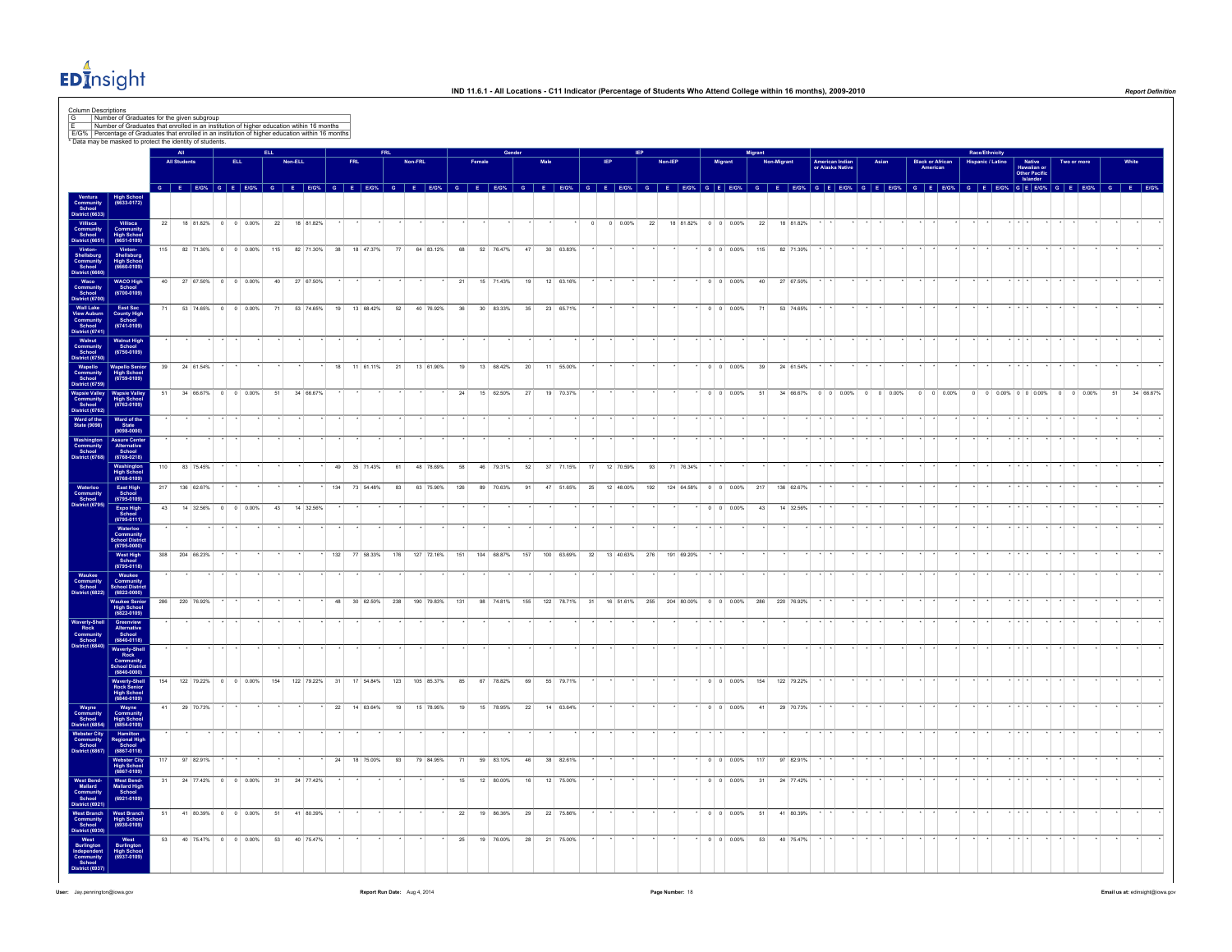

|  | <b>Report Definition</b> |
|--|--------------------------|
|  |                          |

|                                                                                                                                                                                                                                |                                                                                                                                            |       |                                                  | * Data may be masked to protect the identity of students. |     |                 |           |              |     |                 |              |         |                                             |     |           |        |    |            |                   |          |                        |                                        |                          |                     |                                              |                    |     |              |                                     |                               |  |                                     |  |                                 |                                                    |  |               |
|--------------------------------------------------------------------------------------------------------------------------------------------------------------------------------------------------------------------------------|--------------------------------------------------------------------------------------------------------------------------------------------|-------|--------------------------------------------------|-----------------------------------------------------------|-----|-----------------|-----------|--------------|-----|-----------------|--------------|---------|---------------------------------------------|-----|-----------|--------|----|------------|-------------------|----------|------------------------|----------------------------------------|--------------------------|---------------------|----------------------------------------------|--------------------|-----|--------------|-------------------------------------|-------------------------------|--|-------------------------------------|--|---------------------------------|----------------------------------------------------|--|---------------|
|                                                                                                                                                                                                                                |                                                                                                                                            |       | <b>All Students</b>                              |                                                           | ELL |                 | Non-ELL   |              |     | <b>FRL</b>      |              | Non-FRL |                                             |     |           |        |    |            |                   |          |                        |                                        | Non-IEP                  |                     |                                              |                    |     | Non-Migran   | American Indian<br>or Alaska Native |                               |  | <b>Black or African</b>             |  |                                 | Native<br>Hawaiian or<br>Other Pacific<br>Islander |  |               |
|                                                                                                                                                                                                                                |                                                                                                                                            |       | G E E/G% G E E/G%                                |                                                           |     | $G$ $E$ $E/G$ % |           |              |     | $G$ $E$ $E/G$ % |              |         | G E E/G% G E E/G%                           |     |           |        |    |            | G E E/G% G E E/G% |          |                        |                                        | G E E/G% G E E/G%        |                     |                                              |                    |     |              |                                     |                               |  | G E E/G% G E E/G% G E E/G% G E E/G% |  | G E EIG% G E EIG% G E EIG%      |                                                    |  | $G$ $E$ $E/G$ |
| Ventura<br>Community<br>School<br>District (663                                                                                                                                                                                | High School<br>(6633-0172)                                                                                                                 |       |                                                  |                                                           |     |                 |           |              |     |                 |              |         |                                             |     |           |        |    |            |                   |          |                        |                                        |                          |                     |                                              |                    |     |              |                                     |                               |  |                                     |  |                                 |                                                    |  |               |
|                                                                                                                                                                                                                                |                                                                                                                                            | 22    | 18 81.82% 0 0 0.00% 22                           |                                                           |     |                 | 18 81.82% |              |     |                 |              |         |                                             |     |           |        |    |            |                   | $\Omega$ | $0 0.00\%$             | 22                                     |                          | 18 81.82% 0 0 0.00% |                                              |                    |     | 22 18 81.82% |                                     |                               |  |                                     |  |                                 |                                                    |  |               |
|                                                                                                                                                                                                                                | Villisca<br>Community<br>High School<br>(6651-0109)                                                                                        |       |                                                  |                                                           |     |                 |           |              |     |                 |              |         |                                             |     |           |        |    |            |                   |          |                        |                                        |                          |                     |                                              |                    |     |              |                                     |                               |  |                                     |  |                                 |                                                    |  |               |
|                                                                                                                                                                                                                                | Vinton-<br>Shellsburg<br>High School<br>(6660-0109)                                                                                        | 115   | 82 71.30% 0 0 0.00% 115                          |                                                           |     |                 |           | 82 71.30% 38 |     | 18 47.37%       |              | 77      | 64 83.12%                                   | 68  | 52 76.47% | 47     |    | 30 63.83%  |                   |          |                        |                                        |                          |                     |                                              | $0 \t 0 \t 0.00\%$ | 115 | 82 71.30%    |                                     |                               |  |                                     |  |                                 |                                                    |  |               |
|                                                                                                                                                                                                                                |                                                                                                                                            |       |                                                  |                                                           |     |                 |           |              |     |                 |              |         |                                             |     |           |        |    |            |                   |          |                        |                                        |                          |                     |                                              |                    |     |              |                                     |                               |  |                                     |  |                                 |                                                    |  |               |
|                                                                                                                                                                                                                                | WACO High<br>School<br>(6700-0109)                                                                                                         | 40    | 27 67.50% 0 0 0.00% 40 27 67.50%                 |                                                           |     |                 |           |              |     |                 |              |         |                                             | 21  | 15 71.43% |        | 19 | 12 63.16%  |                   |          |                        |                                        |                          |                     | $0 \t 0 \t 0.00\%$                           |                    |     | 40 27 67.50% |                                     |                               |  |                                     |  |                                 |                                                    |  |               |
|                                                                                                                                                                                                                                |                                                                                                                                            | 71    | 53 74.65% 0 0 0.00%                              |                                                           |     | 71              | 53 74.65% |              |     | 19 13 68.42%    |              | 52      | 40 76.92%                                   | 36  | 30 83.33% | 35     |    | 23 65.71%  |                   |          |                        |                                        |                          |                     | $0 \t 0 \t 0.00\%$                           |                    | 71  | 53 74.65%    |                                     |                               |  |                                     |  |                                 |                                                    |  |               |
|                                                                                                                                                                                                                                | East Sac<br>County High<br>School<br>(6741-0109)                                                                                           |       |                                                  |                                                           |     |                 |           |              |     |                 |              |         |                                             |     |           |        |    |            |                   |          |                        |                                        |                          |                     |                                              |                    |     |              |                                     |                               |  |                                     |  |                                 |                                                    |  |               |
|                                                                                                                                                                                                                                | Walnut High<br>School<br>(6750-0109)                                                                                                       |       |                                                  |                                                           |     |                 |           |              |     |                 |              |         |                                             |     |           |        |    |            |                   |          |                        |                                        |                          |                     |                                              |                    |     |              |                                     |                               |  |                                     |  |                                 |                                                    |  |               |
|                                                                                                                                                                                                                                |                                                                                                                                            |       |                                                  |                                                           |     |                 |           |              |     |                 |              |         |                                             |     |           |        |    |            |                   |          |                        |                                        |                          |                     |                                              |                    |     |              |                                     |                               |  |                                     |  |                                 |                                                    |  |               |
| Villege (Community Community Community Community Community Community Community Community Community Community Community Community Community Community Community Community Community Community Community Community Community Com | Wapello Senio<br>High School<br>(6759-0109)                                                                                                | 39    | 24 61.54%                                        |                                                           |     |                 |           |              | 18  |                 | 11 61.11% 21 |         | 13 61.90%                                   | 19  | 13 68.42% | 20     |    | 11 55.00%  |                   |          |                        |                                        |                          |                     | $0 \t 0 \t 0.00\%$                           |                    |     | 39 24 61.54% |                                     |                               |  |                                     |  |                                 |                                                    |  |               |
|                                                                                                                                                                                                                                | Wapsie Valley<br>High School<br>(6762-0109)                                                                                                | 51    |                                                  | 34 66.67% 0 0 0.00%                                       |     | 51              | 34 66.67% |              |     |                 |              |         |                                             | 24  | 15 62.50% | 27     |    | 19 70.37%  |                   |          |                        |                                        |                          |                     | $0 \t 0 \t 0.00%$                            |                    | 51  |              |                                     | 34 66.67% 0 0 0.00% 0 0 0.00% |  | $0 \t 0 \t 0.00\%$                  |  | $0$ 0 0.00% 0 0 0.00% 0 0 0.00% |                                                    |  | 51            |
|                                                                                                                                                                                                                                |                                                                                                                                            |       |                                                  |                                                           |     |                 |           |              |     |                 |              |         |                                             |     |           |        |    |            |                   |          |                        |                                        |                          |                     |                                              |                    |     |              |                                     |                               |  |                                     |  |                                 |                                                    |  |               |
|                                                                                                                                                                                                                                | Ward of the<br>State<br>(9098-0000)                                                                                                        |       |                                                  |                                                           |     |                 |           |              |     |                 |              |         |                                             |     |           |        |    |            |                   |          |                        |                                        |                          |                     |                                              |                    |     |              |                                     |                               |  |                                     |  |                                 |                                                    |  |               |
| Washington<br>Community<br>School<br>District (6768)                                                                                                                                                                           | Assure Cente<br>Alternative<br>School<br>(6768-0218)                                                                                       |       |                                                  |                                                           |     |                 |           |              |     |                 |              |         |                                             |     |           |        |    |            |                   |          |                        |                                        |                          |                     |                                              |                    |     |              |                                     |                               |  |                                     |  |                                 |                                                    |  |               |
|                                                                                                                                                                                                                                | Washington<br>High School<br>(6768-0109)                                                                                                   | 110   | 83 75.45%                                        |                                                           |     |                 |           |              |     | 35 71.43%       |              | 61      | 48 78.69%                                   | 58  | 46 79.31% | 52     |    | 37 71.15%  |                   | 17       | 12 70.59%              | 93                                     | 71 76.34%                |                     |                                              |                    |     |              |                                     |                               |  |                                     |  |                                 |                                                    |  |               |
|                                                                                                                                                                                                                                | East High<br>School<br>(6795-0109)                                                                                                         |       | 217 136 62.67%                                   |                                                           |     |                 |           |              |     | 134 73 54.48%   |              | 83      | 63 75.90% 126                               |     | 89 70.63% | 91     |    |            |                   |          | 47 51.65% 25 12 48.00% |                                        | 192 124 64.58% 0 0 0.00% |                     |                                              |                    | 217 | 136 62.67%   |                                     |                               |  |                                     |  |                                 |                                                    |  |               |
| Waterloo<br>Community<br>School<br>District (6795)                                                                                                                                                                             |                                                                                                                                            | 43    | 14 32.56% 0 0 0.00%                              |                                                           |     | 43              | 14 32.56% |              |     |                 |              |         |                                             |     |           |        |    |            |                   |          |                        |                                        |                          |                     | $0 \t 0 \t 0.00%$                            |                    | 43  | 14 32.56%    |                                     |                               |  |                                     |  |                                 |                                                    |  |               |
|                                                                                                                                                                                                                                | Expo High<br>School<br>(6795-0111)                                                                                                         |       |                                                  |                                                           |     |                 |           |              |     |                 |              |         |                                             |     |           |        |    |            |                   |          |                        |                                        |                          |                     |                                              |                    |     |              |                                     |                               |  |                                     |  |                                 |                                                    |  |               |
|                                                                                                                                                                                                                                | Waterloo<br>Community<br>School Distric<br>(6795-0000)                                                                                     |       |                                                  |                                                           |     |                 |           |              |     |                 |              |         |                                             |     |           |        |    |            |                   |          |                        |                                        |                          |                     |                                              |                    |     |              |                                     |                               |  |                                     |  |                                 |                                                    |  |               |
|                                                                                                                                                                                                                                | West High<br>School<br>(6795-0118)                                                                                                         |       | 308 204 66.23%                                   |                                                           |     |                 |           |              | 132 |                 |              |         | 77 58.33% 176 127 72.16% 151 104 68.87% 157 |     |           |        |    |            |                   |          |                        | 100 63.69% 32 13 40.63% 276 191 69.20% |                          |                     |                                              |                    |     |              |                                     |                               |  |                                     |  |                                 |                                                    |  |               |
| Waukee<br>Community<br>School<br>District (6822                                                                                                                                                                                | Waukee<br>Community<br>School Distric<br>(6822-0000)                                                                                       |       |                                                  |                                                           |     |                 |           |              |     |                 |              |         |                                             |     |           |        |    |            |                   |          |                        |                                        |                          |                     |                                              |                    |     |              |                                     |                               |  |                                     |  |                                 |                                                    |  |               |
|                                                                                                                                                                                                                                |                                                                                                                                            |       | 286 220 76.92%                                   |                                                           |     |                 |           |              | 48  |                 |              |         | 30 62.50% 238 190 79.83%                    | 131 | 98 74.81% | 155    |    | 122 78.71% | 31                |          |                        | 16 51.61% 255 204 80.00% 0 0 0.00%     |                          |                     |                                              |                    | 286 | 220 76.92%   |                                     |                               |  |                                     |  |                                 |                                                    |  |               |
|                                                                                                                                                                                                                                | Waukee Senic<br>High School<br>(6822-0109)                                                                                                 |       |                                                  |                                                           |     |                 |           |              |     |                 |              |         |                                             |     |           |        |    |            |                   |          |                        |                                        |                          |                     |                                              |                    |     |              |                                     |                               |  |                                     |  |                                 |                                                    |  |               |
| Faverly-Shell<br>Rock<br>Community<br>School<br>District (684                                                                                                                                                                  | $(6622-0109)$<br>Greenview<br>Alternative<br>School<br>(6840-0118)<br>Waverly-Shell<br>Rock<br>Community<br>School District<br>(6840-0000) |       |                                                  |                                                           |     |                 |           |              |     |                 |              |         |                                             |     |           |        |    |            |                   |          |                        |                                        |                          |                     |                                              |                    |     |              |                                     |                               |  |                                     |  |                                 |                                                    |  |               |
|                                                                                                                                                                                                                                |                                                                                                                                            |       |                                                  |                                                           |     |                 |           |              |     |                 |              |         |                                             |     |           |        |    |            |                   |          |                        |                                        |                          |                     |                                              |                    |     |              |                                     |                               |  |                                     |  |                                 |                                                    |  |               |
|                                                                                                                                                                                                                                |                                                                                                                                            |       |                                                  |                                                           |     |                 |           |              |     |                 |              |         |                                             |     |           |        |    |            |                   |          |                        |                                        |                          |                     |                                              |                    |     |              |                                     |                               |  |                                     |  |                                 |                                                    |  |               |
|                                                                                                                                                                                                                                | Waverly-Shell<br>Rock Senior<br>High School<br>(6840-0109)                                                                                 | 154   | 122 79.22% 0 0 0.00% 154 122 79.22% 31 17 54.84% |                                                           |     |                 |           |              |     |                 |              |         | 123 105 85.37%                              | 85  | 67 78.82% | 69     |    | 55 79.71%  |                   |          |                        |                                        |                          |                     | $0 \t 0 \t 0.00%$                            |                    | 154 | 122 79.22%   |                                     |                               |  |                                     |  |                                 |                                                    |  |               |
|                                                                                                                                                                                                                                |                                                                                                                                            | 41    | 29 70.73%                                        |                                                           |     |                 |           |              | 22  | 14 63.64%       |              | 19      | 15 78.95%                                   | 19  | 15 78.95% | 22     |    | 14 63.64%  |                   |          |                        |                                        |                          |                     | $\begin{matrix} 0 & 0 & 0.00\% \end{matrix}$ |                    | 41  | 29 70.73%    |                                     |                               |  |                                     |  |                                 |                                                    |  |               |
| Wayne<br>Community<br>School<br>District (6854)                                                                                                                                                                                | Wayne<br>Community<br>High School<br>(6854-0109)                                                                                           |       |                                                  |                                                           |     |                 |           |              |     |                 |              |         |                                             |     |           |        |    |            |                   |          |                        |                                        |                          |                     |                                              |                    |     |              |                                     |                               |  |                                     |  |                                 |                                                    |  |               |
| Webster City<br>Community<br>School<br>District (6867)                                                                                                                                                                         | Hamilton<br>Regional High<br>School<br>(6867-0118)                                                                                         |       |                                                  |                                                           |     |                 |           |              |     |                 |              |         |                                             |     |           |        |    |            |                   |          |                        |                                        |                          |                     |                                              |                    |     |              |                                     |                               |  |                                     |  |                                 |                                                    |  |               |
|                                                                                                                                                                                                                                |                                                                                                                                            | $117$ | 97 82.91%                                        |                                                           |     |                 |           |              | 24  | 18 75.00%       |              | 93      | 79 84.95%                                   | 71  | 59 83.10% | 46     |    | 38 82.61%  |                   |          |                        |                                        |                          |                     | $0 \t 0 \t 0.00\%$                           |                    | 117 | 97 82.91%    |                                     |                               |  |                                     |  |                                 |                                                    |  |               |
|                                                                                                                                                                                                                                | Webster City<br>High School<br>(6867-0109)                                                                                                 | 31    | 24 77.42% 0 0 0.00%                              |                                                           |     | 31              | 24 77.42% |              |     |                 |              |         |                                             | 15  | 12 80.00% | $16\,$ |    | 12 75.00%  |                   |          |                        |                                        |                          |                     | $0 \t 0 \t 0.00\%$                           |                    | 31  | 24 77.42%    |                                     |                               |  |                                     |  |                                 |                                                    |  |               |
| West Bend-<br>Mallard<br>Community<br>School<br>District (6921                                                                                                                                                                 | West Bend-<br>Mallard High<br>School<br>(6921-0109)                                                                                        |       |                                                  |                                                           |     |                 |           |              |     |                 |              |         |                                             |     |           |        |    |            |                   |          |                        |                                        |                          |                     |                                              |                    |     |              |                                     |                               |  |                                     |  |                                 |                                                    |  |               |
|                                                                                                                                                                                                                                | West Branch<br>High School<br>(6930-0109)                                                                                                  | 51    | 41 80.39% 0 0 0.00%                              |                                                           |     | 51              | 41 80.39% |              |     |                 |              |         |                                             | 22  | 19 86.36% | 29     |    | 22 75.86%  |                   |          |                        |                                        |                          |                     | $0 \ 0 \ 0.00\%$                             |                    | 51  | 41 80.39%    |                                     |                               |  |                                     |  |                                 |                                                    |  |               |
| District (6521)<br>West Branch<br>Community<br>District (6930)<br>West<br>Burlington<br>Independent<br>Community                                                                                                               |                                                                                                                                            |       |                                                  |                                                           |     |                 |           |              |     |                 |              |         |                                             |     |           |        |    |            |                   |          |                        |                                        |                          |                     |                                              |                    |     |              |                                     |                               |  |                                     |  |                                 |                                                    |  |               |
|                                                                                                                                                                                                                                | West<br>Burlington<br>High School<br>(6937-0109)                                                                                           | 53    | 40 75.47% 0 0 0.00%                              |                                                           |     | 53              | 40 75.47% |              |     |                 |              |         |                                             | 25  | 19 76.00% | 28     |    | 21 75.00%  |                   |          |                        |                                        |                          |                     | $0 \quad 0 \quad 0.00\%$                     |                    | 53  | 40 75.47%    |                                     |                               |  |                                     |  |                                 |                                                    |  |               |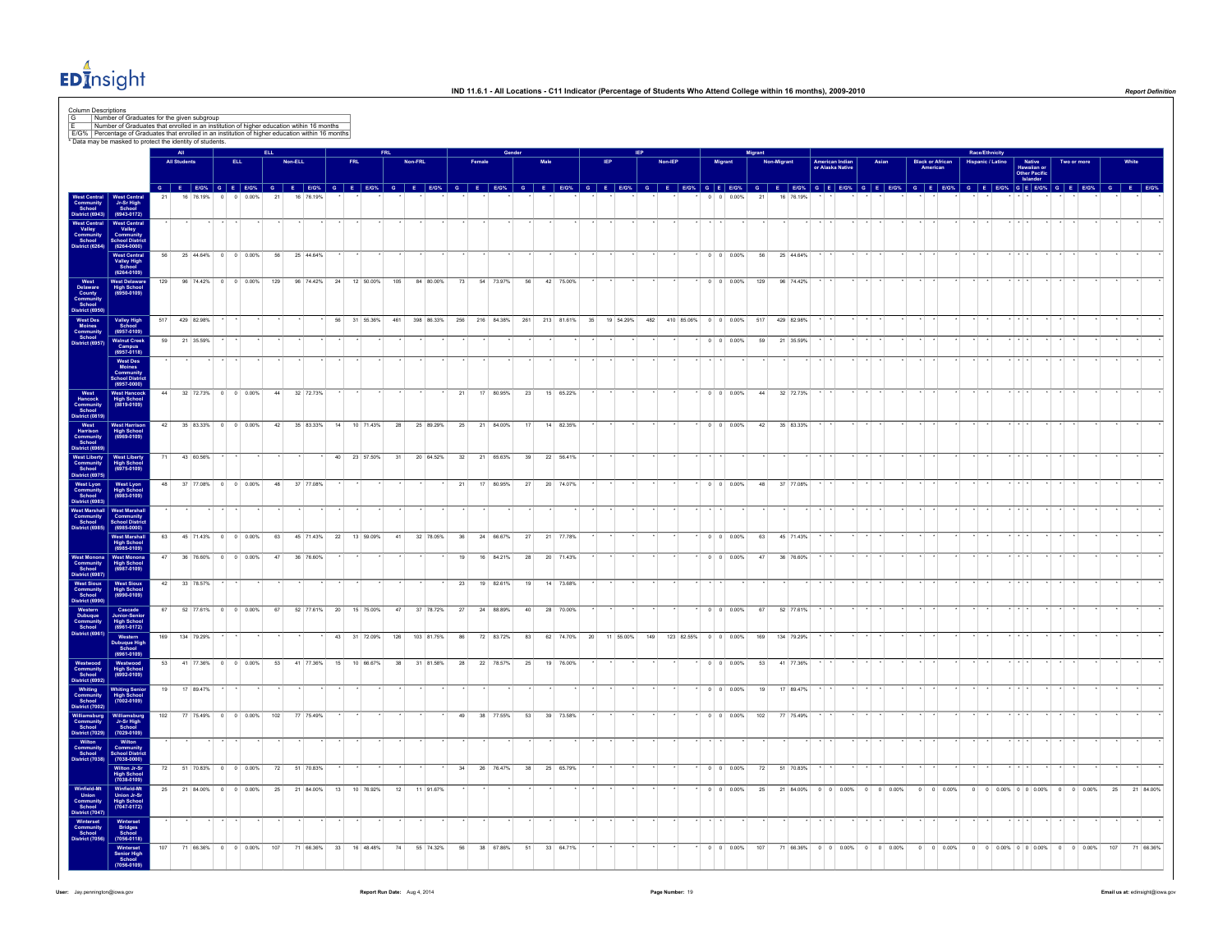

|  | <b>Report Definition</b> |  |
|--|--------------------------|--|

|                                                                                                                                                                                                       |                                                                      |        | E/G%   Percentage of Graduates that enrolled in an institution of higher education within 16 months                                                                                                                     |                     |      |     |           |                              |              |                 |         |                                                                                                                |    |    |              |        |      |                                                                |  |  |         |                    |                        |                         |              |                                     |                               |  |                                     |                                                   |                                                    |                                                                                                           |              |       |
|-------------------------------------------------------------------------------------------------------------------------------------------------------------------------------------------------------|----------------------------------------------------------------------|--------|-------------------------------------------------------------------------------------------------------------------------------------------------------------------------------------------------------------------------|---------------------|------|-----|-----------|------------------------------|--------------|-----------------|---------|----------------------------------------------------------------------------------------------------------------|----|----|--------------|--------|------|----------------------------------------------------------------|--|--|---------|--------------------|------------------------|-------------------------|--------------|-------------------------------------|-------------------------------|--|-------------------------------------|---------------------------------------------------|----------------------------------------------------|-----------------------------------------------------------------------------------------------------------|--------------|-------|
|                                                                                                                                                                                                       | * Data may be masked to protect the identity of students.            |        | <b>All Students</b>                                                                                                                                                                                                     |                     | ELL. | ELL | Non-ELL   |                              | FRL          |                 | Non-FRL |                                                                                                                |    |    |              |        | Male |                                                                |  |  | Non-IFP |                    |                        |                         | Non-Migran   |                                     | Asian                         |  |                                     | <b>Race/Ethnicity</b><br><b>Hispanic / Lating</b> |                                                    | Two or more                                                                                               |              | White |
|                                                                                                                                                                                                       |                                                                      |        |                                                                                                                                                                                                                         |                     |      |     |           |                              |              |                 |         |                                                                                                                |    |    |              |        |      |                                                                |  |  |         |                    |                        |                         |              | American Indian<br>or Alaska Native |                               |  | <b>Black or African</b><br>American |                                                   | Native<br>Hawaiian or<br>Other Pacific<br>Islander |                                                                                                           |              |       |
|                                                                                                                                                                                                       |                                                                      |        | G E EOSK G E EOSK G E EOSK G E EOSK G E EOSK G E EOSK G E EOSK G E EOSK G E EOSK G E EOSK G E EOSK G E EOSK G E EOSK G E EOSK G E EOSK G E EOSK G E EOSK G E EOSK G E EOSK G E EOSK G E EOSK G E EOSK G E EOSK G E EOSK |                     |      |     |           |                              |              |                 |         |                                                                                                                |    |    |              |        |      |                                                                |  |  |         |                    |                        |                         |              |                                     |                               |  |                                     |                                                   |                                                    |                                                                                                           | G E E/G%     |       |
|                                                                                                                                                                                                       | West Central<br>Jr-Sr High<br>School<br>(6943-0172)                  |        |                                                                                                                                                                                                                         |                     |      |     |           |                              |              |                 |         |                                                                                                                |    |    |              |        |      |                                                                |  |  |         |                    |                        |                         |              |                                     |                               |  |                                     |                                                   |                                                    |                                                                                                           |              |       |
| West Central<br>Valley<br>Community<br>School<br>District (6264)                                                                                                                                      | West Central<br>Valley<br>Community<br>School Distric<br>(6264-0000) |        |                                                                                                                                                                                                                         |                     |      |     |           |                              |              |                 |         |                                                                                                                |    |    |              |        |      |                                                                |  |  |         |                    |                        |                         |              |                                     |                               |  |                                     |                                                   |                                                    |                                                                                                           |              |       |
|                                                                                                                                                                                                       |                                                                      | 56     | 25 44.64% 0 0 0.00%                                                                                                                                                                                                     |                     |      | 56  | 25 44.64% |                              |              |                 |         |                                                                                                                |    |    |              |        |      |                                                                |  |  |         |                    | $0 \t 0 \t 0.00\%$     |                         | 56 25 44.64% |                                     |                               |  |                                     |                                                   |                                                    |                                                                                                           |              |       |
|                                                                                                                                                                                                       | West Central<br>Valley High<br>School<br>(6264-0109)                 |        |                                                                                                                                                                                                                         |                     |      |     |           |                              |              |                 |         |                                                                                                                |    |    |              |        |      |                                                                |  |  |         |                    |                        |                         |              |                                     |                               |  |                                     |                                                   |                                                    |                                                                                                           |              |       |
|                                                                                                                                                                                                       | West Delawar<br>High School<br>(6950-0109)                           | 129    |                                                                                                                                                                                                                         | 96 74.42% 0 0 0.00% |      | 129 |           | 96 74.42% 24 12 50.00%       |              |                 | $105\,$ | 84 80.00%                                                                                                      | 73 |    | 54 73.97%    | $56\,$ |      | 42 75.00%                                                      |  |  |         |                    |                        | $0 \t 0 \t 0.00\%$ 129  | 96 74.42%    |                                     |                               |  |                                     |                                                   |                                                    |                                                                                                           |              |       |
|                                                                                                                                                                                                       |                                                                      |        |                                                                                                                                                                                                                         |                     |      |     |           |                              |              |                 |         |                                                                                                                |    |    |              |        |      |                                                                |  |  |         |                    |                        |                         |              |                                     |                               |  |                                     |                                                   |                                                    |                                                                                                           |              |       |
| West<br>Delaware<br>County<br>Community<br>School<br>District (6957)<br>District (6957)                                                                                                               | Valley High<br>School<br>(6957-0109)                                 |        | 517 429 82.98%                                                                                                                                                                                                          |                     |      |     |           |                              |              |                 |         | 56 31 55.36% 461 398 86.33% 256 216 84.38% 261 213 81.61% 35 19 54.29% 482 410 85.06% 0 0 0.00% 517 429 82.98% |    |    |              |        |      |                                                                |  |  |         |                    |                        |                         |              |                                     |                               |  |                                     |                                                   |                                                    |                                                                                                           |              |       |
|                                                                                                                                                                                                       | Walnut Creek<br>Campus<br>(6957-0118)                                |        | 59 21 35.59%                                                                                                                                                                                                            |                     |      |     |           |                              |              |                 |         |                                                                                                                |    |    |              |        |      |                                                                |  |  |         |                    |                        | 0 0 0.00% 59 21 35.59%  |              |                                     |                               |  |                                     |                                                   |                                                    |                                                                                                           |              |       |
|                                                                                                                                                                                                       | West Des<br>Moines<br>Community<br>School Distric<br>(6957-0000)     |        |                                                                                                                                                                                                                         |                     |      |     |           |                              |              |                 |         |                                                                                                                |    |    |              |        |      |                                                                |  |  |         |                    |                        |                         |              |                                     |                               |  |                                     |                                                   |                                                    |                                                                                                           |              |       |
|                                                                                                                                                                                                       |                                                                      |        |                                                                                                                                                                                                                         |                     |      |     |           |                              |              |                 |         |                                                                                                                |    |    |              |        |      |                                                                |  |  |         |                    |                        |                         |              |                                     |                               |  |                                     |                                                   |                                                    |                                                                                                           |              |       |
|                                                                                                                                                                                                       |                                                                      | 44     | 32 72.73% 0 0 0.00%                                                                                                                                                                                                     |                     |      | 44  | 32 72.73% |                              |              |                 |         |                                                                                                                | 21 |    | 17 80.95%    | 23     |      | 15 65.22%                                                      |  |  |         | $0 \t 0 \t 0.00\%$ |                        | 44                      | 32 72.73%    |                                     |                               |  |                                     |                                                   |                                                    |                                                                                                           |              |       |
|                                                                                                                                                                                                       |                                                                      | 42     | 35 83.33% 0 0 0.00%                                                                                                                                                                                                     |                     |      |     |           | 42 35 83.33% 14 10 71.43% 28 |              |                 |         | 25 89.29%                                                                                                      |    | 25 | 21 84.00%    | 17     |      | 14 82.35%                                                      |  |  |         |                    | $0 \t 0 \t 0.00\%$     |                         | 42 35 83.33% |                                     |                               |  |                                     |                                                   |                                                    |                                                                                                           |              |       |
|                                                                                                                                                                                                       |                                                                      |        |                                                                                                                                                                                                                         |                     |      |     |           |                              |              |                 |         |                                                                                                                |    |    |              |        |      |                                                                |  |  |         |                    |                        |                         |              |                                     |                               |  |                                     |                                                   |                                                    |                                                                                                           |              |       |
|                                                                                                                                                                                                       |                                                                      | 71     | 43 60.56%                                                                                                                                                                                                               |                     |      |     |           |                              |              | 40 23 57.50% 31 |         | 20 64.52%                                                                                                      |    |    | 32 21 65.63% | 39     |      | 22 56.41%                                                      |  |  |         |                    |                        |                         |              |                                     |                               |  |                                     |                                                   |                                                    |                                                                                                           |              |       |
|                                                                                                                                                                                                       |                                                                      | 48     | 37 77.08% 0 0 0.00%                                                                                                                                                                                                     |                     |      | 48  | 37 77.08% |                              |              |                 |         |                                                                                                                | 21 |    | 17 80.95%    | 27     |      | 20 74.07%                                                      |  |  |         | $0 \t 0 \t 0.00\%$ |                        | 48                      | 37 77.08%    |                                     |                               |  |                                     |                                                   |                                                    |                                                                                                           |              |       |
|                                                                                                                                                                                                       |                                                                      |        |                                                                                                                                                                                                                         |                     |      |     |           |                              |              |                 |         |                                                                                                                |    |    |              |        |      |                                                                |  |  |         |                    |                        |                         |              |                                     |                               |  |                                     |                                                   |                                                    |                                                                                                           |              |       |
|                                                                                                                                                                                                       |                                                                      |        |                                                                                                                                                                                                                         |                     |      |     |           |                              |              |                 |         |                                                                                                                |    |    |              |        |      |                                                                |  |  |         |                    |                        |                         |              |                                     |                               |  |                                     |                                                   |                                                    |                                                                                                           |              |       |
|                                                                                                                                                                                                       | West Marshall<br>High School<br>(6985-0109)                          | 63     | 45 71.43% 0 0 0.00%                                                                                                                                                                                                     |                     |      | 63  | 45 71.43% | 22                           | 13 59.09%    |                 | 41      | 32 78.05%                                                                                                      | 36 |    | 24 66.67%    | 27     |      | 21 77.78%                                                      |  |  |         | $0 \t 0 \t 0.00\%$ |                        | 63                      | 45 71.43%    |                                     |                               |  |                                     |                                                   |                                                    |                                                                                                           |              |       |
| West Monona<br>Community<br>Community<br>District (6987)<br>West Sioux<br>Community<br>District (6990)<br>Western<br>Community<br>Community<br>Community<br>Community<br>Community<br>District (6961) | West Monons<br>High School<br>(6987-0109)                            | 47     | 36 76.60% 0 0 0.00%                                                                                                                                                                                                     |                     |      | 47  | 36 76.60% |                              |              |                 |         |                                                                                                                |    |    | 16 84.21%    | 28     |      | 20 71.43%                                                      |  |  |         | $0 \t 0 \t 0.00\%$ |                        | 47                      | 36 76.60%    |                                     |                               |  |                                     |                                                   |                                                    |                                                                                                           |              |       |
|                                                                                                                                                                                                       |                                                                      | $42\,$ | 33 78.57%                                                                                                                                                                                                               |                     |      |     |           |                              |              |                 |         |                                                                                                                | 23 |    | 19 82.61%    | 19     |      | 14 73.68%                                                      |  |  |         |                    |                        |                         |              |                                     |                               |  |                                     |                                                   |                                                    |                                                                                                           |              |       |
|                                                                                                                                                                                                       | West Sioux<br>High School<br>(6990-0109)                             |        |                                                                                                                                                                                                                         |                     |      |     |           |                              |              |                 |         |                                                                                                                |    |    |              |        |      |                                                                |  |  |         |                    |                        |                         |              |                                     |                               |  |                                     |                                                   |                                                    |                                                                                                           |              |       |
|                                                                                                                                                                                                       | Cascade<br>Junior-Senior<br>High School<br>(6961-0172)               | 67     | 52 77.61% 0 0 0.00%                                                                                                                                                                                                     |                     |      | 67  |           | 52 77.61% 20 15 75.00%       |              |                 | 47      | 37 78.72%                                                                                                      | 27 |    | 24 88.89%    | 40     |      | 28 70.00%                                                      |  |  |         |                    | $0 \t 0 \t 0.00\%$     |                         | 67 52 77.61% |                                     |                               |  |                                     |                                                   |                                                    |                                                                                                           |              |       |
|                                                                                                                                                                                                       | Western<br>Dubuque High<br>School<br>(6961-0109)                     | 169    | 134 79.29%                                                                                                                                                                                                              |                     |      |     |           |                              | 43 31 72.09% |                 | 126     | 103 81.75%                                                                                                     | 86 |    | 72 83.72%    | 83     |      | 62 74.70% 20 11 55.00% 149 123 82.55% 0 0 0.00% 169 134 79.29% |  |  |         |                    |                        |                         |              |                                     |                               |  |                                     |                                                   |                                                    |                                                                                                           |              |       |
|                                                                                                                                                                                                       |                                                                      | 53     | 41 77.36% 0 0 0.00%                                                                                                                                                                                                     |                     |      | 53  | 41 77.36% | 15 10 66.67%                 |              |                 | 38      | 31 81.58%                                                                                                      | 28 |    | 22 78.57%    | 25     |      | 19 76.00%                                                      |  |  |         |                    |                        | 0 0 0.00% 53 41 77.36%  |              |                                     |                               |  |                                     |                                                   |                                                    |                                                                                                           |              |       |
|                                                                                                                                                                                                       | Westwood<br>High School<br>(6992-0109)                               |        |                                                                                                                                                                                                                         |                     |      |     |           |                              |              |                 |         |                                                                                                                |    |    |              |        |      |                                                                |  |  |         |                    |                        |                         |              |                                     |                               |  |                                     |                                                   |                                                    |                                                                                                           |              |       |
|                                                                                                                                                                                                       | Whiting Senic<br>High School<br>(7002-0109)                          | 19     | 17 89.47%                                                                                                                                                                                                               |                     |      |     |           |                              |              |                 |         |                                                                                                                |    |    |              |        |      |                                                                |  |  |         | $0 \t 0 \t 0.00\%$ |                        | 19                      | 17 89.47%    |                                     |                               |  |                                     |                                                   |                                                    |                                                                                                           |              |       |
| Westwood<br>Community<br>School<br>District (6992)<br>Whiting<br>Community<br>School<br>Community<br>School<br>District (7029)<br>District (7029)                                                     | Williamsburg<br>Jr-Sr High<br>School<br>(7029-0109)                  |        | 102 77 75.49% 0 0 0.00% 102 77 75.49%                                                                                                                                                                                   |                     |      |     |           |                              |              |                 |         |                                                                                                                | 49 |    | 38 77.55%    |        |      | 53 39 73.58%                                                   |  |  |         |                    |                        | 0 0 0.00% 102 77 75.49% |              |                                     |                               |  |                                     |                                                   |                                                    |                                                                                                           |              |       |
|                                                                                                                                                                                                       |                                                                      |        |                                                                                                                                                                                                                         |                     |      |     |           |                              |              |                 |         |                                                                                                                |    |    |              |        |      |                                                                |  |  |         |                    |                        |                         |              |                                     |                               |  |                                     |                                                   |                                                    |                                                                                                           |              |       |
| Wilton<br>Wilton<br>Community<br>School<br>District (7038)                                                                                                                                            | Wilton<br>Community<br>School Distric<br>(7038-0000)                 |        |                                                                                                                                                                                                                         |                     |      |     |           |                              |              |                 |         |                                                                                                                |    |    |              |        |      |                                                                |  |  |         |                    |                        |                         |              |                                     |                               |  |                                     |                                                   |                                                    |                                                                                                           |              |       |
|                                                                                                                                                                                                       | Wilton Jr-Sr<br>High School<br>(7038-0109)                           | 72     | 51 70.83% 0 0 0.00%                                                                                                                                                                                                     |                     |      | 72  | 51 70.83% |                              |              |                 |         |                                                                                                                | 34 |    | 26 76.47%    | 38     |      | 25 65.79%                                                      |  |  |         | $0 \t 0 \t 0.00\%$ |                        | 72                      | 51 70.83%    |                                     |                               |  |                                     |                                                   |                                                    |                                                                                                           |              |       |
|                                                                                                                                                                                                       | Winfield-Mt<br>Union Jr-Sr<br>High School<br>(7047-0172)             | 25     | 21 84.00% 0 0 0.00%                                                                                                                                                                                                     |                     |      | 25  | 21 84.00% | 13                           | 10 76.92%    |                 | 12      | 11 91.67%                                                                                                      |    |    |              |        |      |                                                                |  |  |         | $0 \t 0 \t 0.00\%$ |                        | 25                      |              |                                     | 21 84.00% 0 0 0.00% 0 0 0.00% |  | $0 \t 0 \t 0.00\%$                  |                                                   |                                                    | $0 \qquad 0 \qquad 0.00\% \qquad 0 \qquad 0 \qquad 0.00\% \qquad 0 \qquad 0 \qquad 0.00\%$                | 25 21 84.00% |       |
| Winfield-Mt<br>Union<br>Community<br>School<br>District (7047)<br>Winterset<br>Community<br>School<br>District (7056)                                                                                 |                                                                      |        |                                                                                                                                                                                                                         |                     |      |     |           |                              |              |                 |         |                                                                                                                |    |    |              |        |      |                                                                |  |  |         |                    |                        |                         |              |                                     |                               |  |                                     |                                                   |                                                    |                                                                                                           |              |       |
|                                                                                                                                                                                                       | Winterset<br>Bridges<br>School<br>(7056-0118)                        |        |                                                                                                                                                                                                                         |                     |      |     |           |                              |              |                 |         |                                                                                                                |    |    |              |        |      |                                                                |  |  |         |                    |                        |                         |              |                                     |                               |  |                                     |                                                   |                                                    |                                                                                                           |              |       |
|                                                                                                                                                                                                       | Winterset<br>Senior High<br>School                                   | 107    | 71 66.36% 0 0 0.00%                                                                                                                                                                                                     |                     |      | 107 |           | 71 66.36% 33 16 48.48%       |              |                 | 74      | 55 74.32%                                                                                                      | 56 |    | 38 67.86%    | 51     |      | 33 64.71%                                                      |  |  |         |                    | $0 \t 0 \t 0.00\%$ 107 |                         |              |                                     |                               |  |                                     |                                                   |                                                    | 71 66.36%   0   0   0.00%   0   0.00%   0   0.00%   0   0.00%   0   0.00%   0   0.00%   107   71   66.36% |              |       |